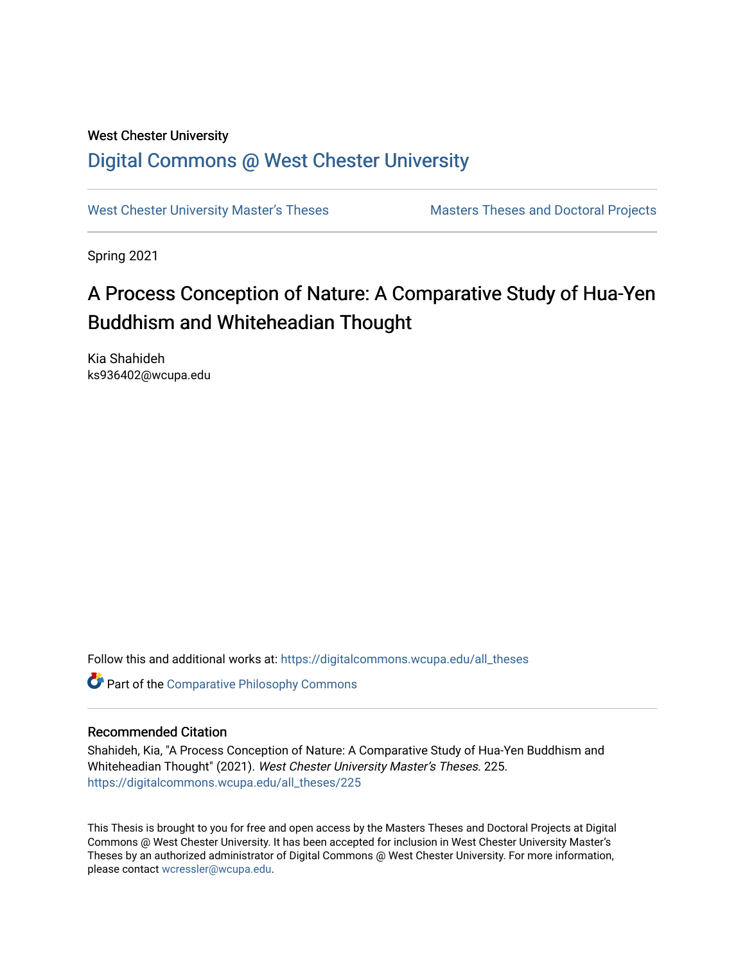## West Chester University [Digital Commons @ West Chester University](https://digitalcommons.wcupa.edu/)

[West Chester University Master's Theses](https://digitalcommons.wcupa.edu/all_theses) Masters Theses and Doctoral Projects

Spring 2021

# A Process Conception of Nature: A Comparative Study of Hua-Yen Buddhism and Whiteheadian Thought

Kia Shahideh ks936402@wcupa.edu

Follow this and additional works at: [https://digitalcommons.wcupa.edu/all\\_theses](https://digitalcommons.wcupa.edu/all_theses?utm_source=digitalcommons.wcupa.edu%2Fall_theses%2F225&utm_medium=PDF&utm_campaign=PDFCoverPages) 

**Part of the Comparative Philosophy Commons** 

### Recommended Citation

Shahideh, Kia, "A Process Conception of Nature: A Comparative Study of Hua-Yen Buddhism and Whiteheadian Thought" (2021). West Chester University Master's Theses. 225. [https://digitalcommons.wcupa.edu/all\\_theses/225](https://digitalcommons.wcupa.edu/all_theses/225?utm_source=digitalcommons.wcupa.edu%2Fall_theses%2F225&utm_medium=PDF&utm_campaign=PDFCoverPages) 

This Thesis is brought to you for free and open access by the Masters Theses and Doctoral Projects at Digital Commons @ West Chester University. It has been accepted for inclusion in West Chester University Master's Theses by an authorized administrator of Digital Commons @ West Chester University. For more information, please contact [wcressler@wcupa.edu](mailto:wcressler@wcupa.edu).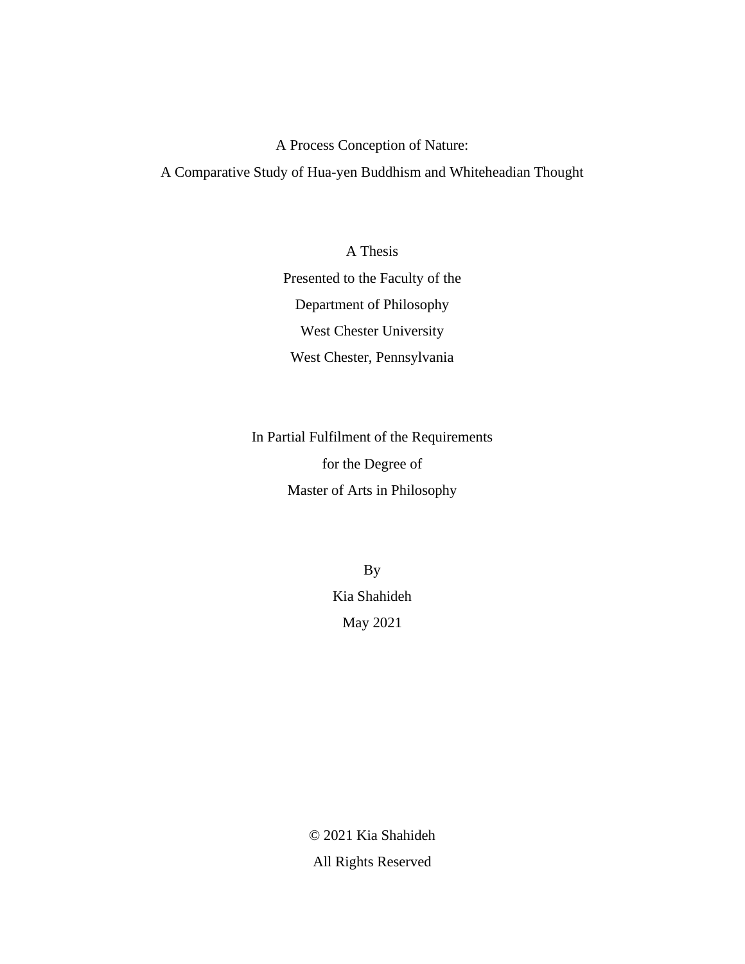A Process Conception of Nature:

A Comparative Study of Hua-yen Buddhism and Whiteheadian Thought

A Thesis Presented to the Faculty of the Department of Philosophy West Chester University West Chester, Pennsylvania

In Partial Fulfilment of the Requirements for the Degree of Master of Arts in Philosophy

> By Kia Shahideh May 2021

© 2021 Kia Shahideh All Rights Reserved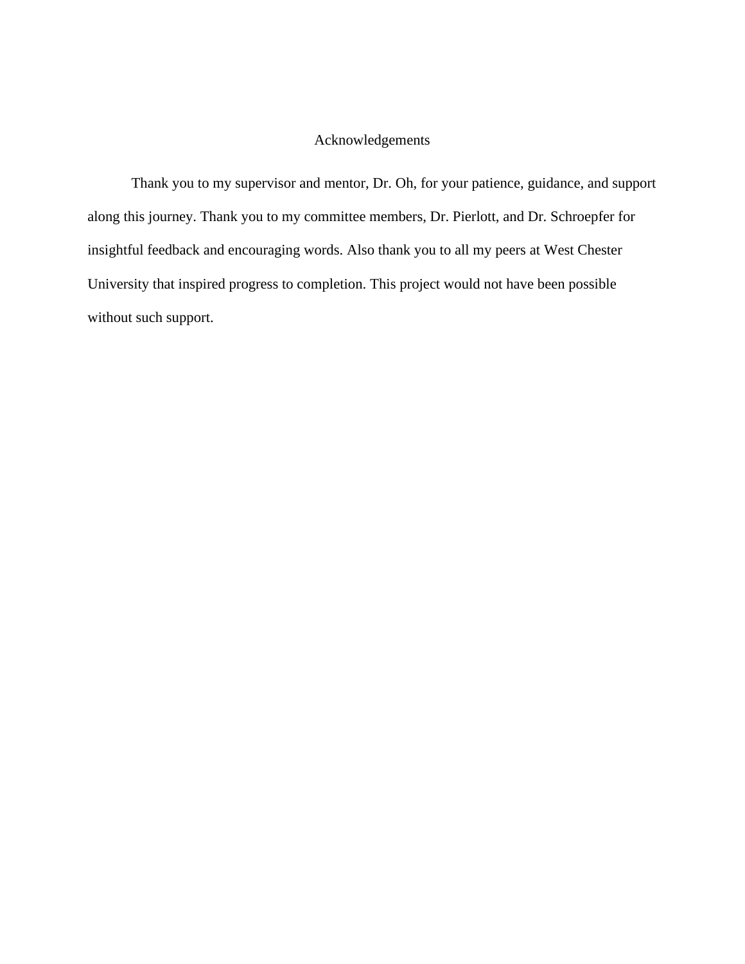### Acknowledgements

Thank you to my supervisor and mentor, Dr. Oh, for your patience, guidance, and support along this journey. Thank you to my committee members, Dr. Pierlott, and Dr. Schroepfer for insightful feedback and encouraging words. Also thank you to all my peers at West Chester University that inspired progress to completion. This project would not have been possible without such support.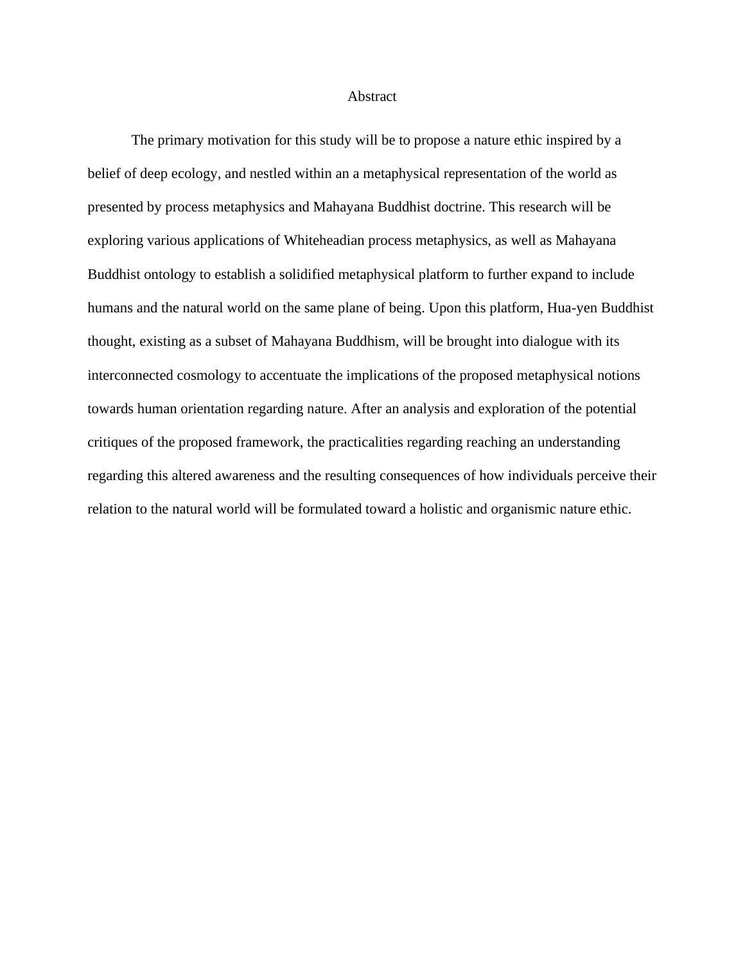### Abstract

The primary motivation for this study will be to propose a nature ethic inspired by a belief of deep ecology, and nestled within an a metaphysical representation of the world as presented by process metaphysics and Mahayana Buddhist doctrine. This research will be exploring various applications of Whiteheadian process metaphysics, as well as Mahayana Buddhist ontology to establish a solidified metaphysical platform to further expand to include humans and the natural world on the same plane of being. Upon this platform, Hua-yen Buddhist thought, existing as a subset of Mahayana Buddhism, will be brought into dialogue with its interconnected cosmology to accentuate the implications of the proposed metaphysical notions towards human orientation regarding nature. After an analysis and exploration of the potential critiques of the proposed framework, the practicalities regarding reaching an understanding regarding this altered awareness and the resulting consequences of how individuals perceive their relation to the natural world will be formulated toward a holistic and organismic nature ethic.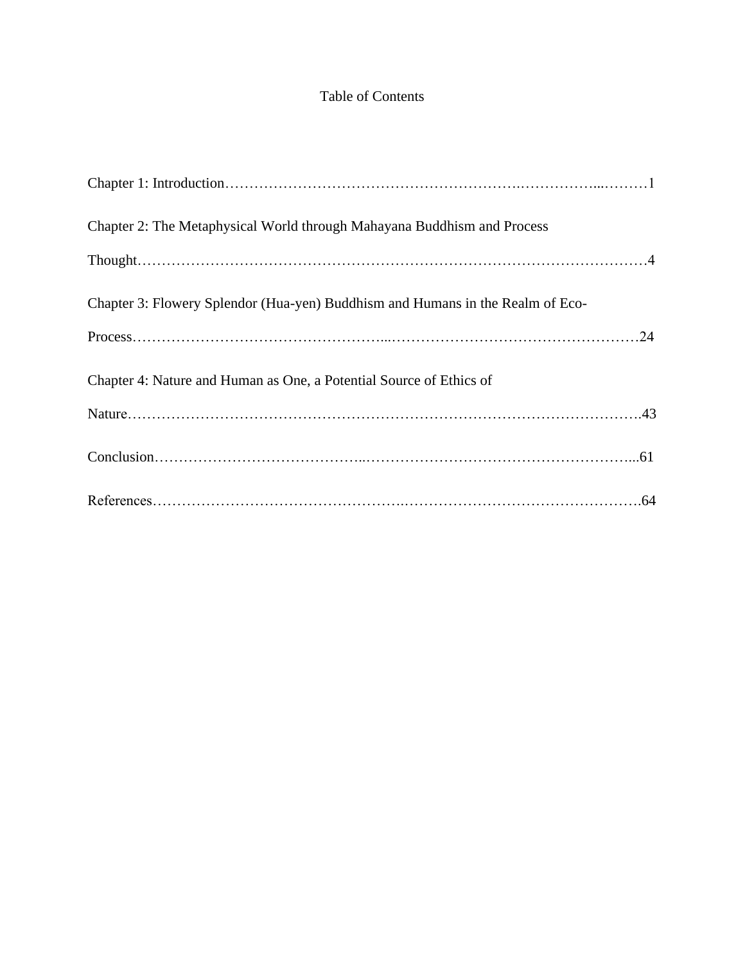### Table of Contents

| Chapter 2: The Metaphysical World through Mahayana Buddhism and Process        |
|--------------------------------------------------------------------------------|
|                                                                                |
| Chapter 3: Flowery Splendor (Hua-yen) Buddhism and Humans in the Realm of Eco- |
|                                                                                |
| Chapter 4: Nature and Human as One, a Potential Source of Ethics of            |
|                                                                                |
|                                                                                |
|                                                                                |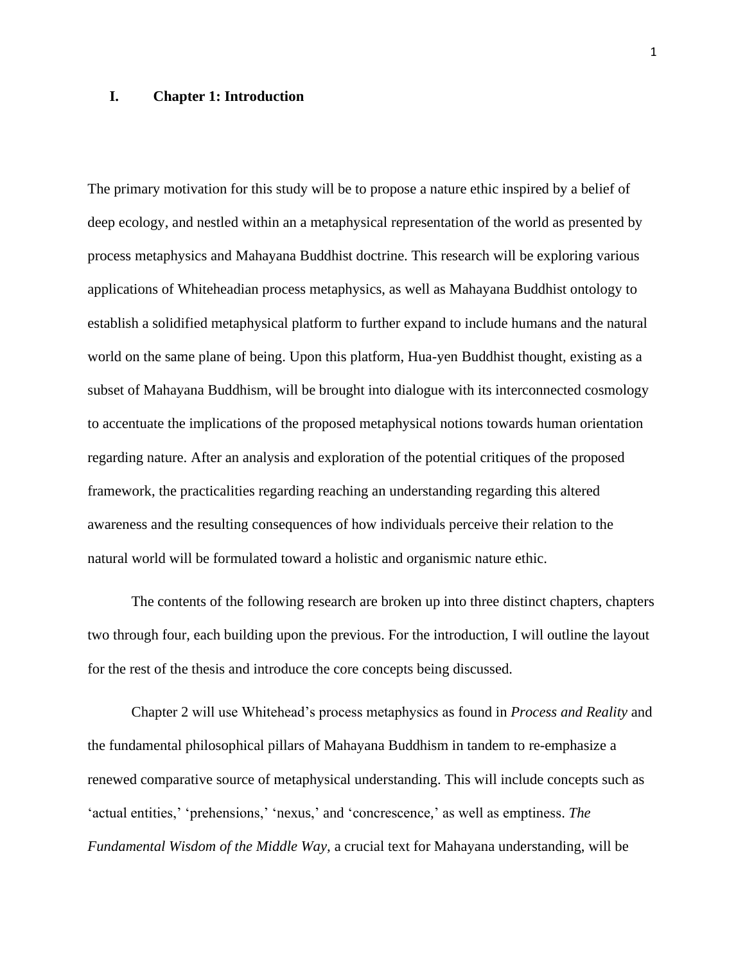### **I. Chapter 1: Introduction**

The primary motivation for this study will be to propose a nature ethic inspired by a belief of deep ecology, and nestled within an a metaphysical representation of the world as presented by process metaphysics and Mahayana Buddhist doctrine. This research will be exploring various applications of Whiteheadian process metaphysics, as well as Mahayana Buddhist ontology to establish a solidified metaphysical platform to further expand to include humans and the natural world on the same plane of being. Upon this platform, Hua-yen Buddhist thought, existing as a subset of Mahayana Buddhism, will be brought into dialogue with its interconnected cosmology to accentuate the implications of the proposed metaphysical notions towards human orientation regarding nature. After an analysis and exploration of the potential critiques of the proposed framework, the practicalities regarding reaching an understanding regarding this altered awareness and the resulting consequences of how individuals perceive their relation to the natural world will be formulated toward a holistic and organismic nature ethic.

The contents of the following research are broken up into three distinct chapters, chapters two through four, each building upon the previous. For the introduction, I will outline the layout for the rest of the thesis and introduce the core concepts being discussed.

Chapter 2 will use Whitehead's process metaphysics as found in *Process and Reality* and the fundamental philosophical pillars of Mahayana Buddhism in tandem to re-emphasize a renewed comparative source of metaphysical understanding. This will include concepts such as 'actual entities,' 'prehensions,' 'nexus,' and 'concrescence,' as well as emptiness. *The Fundamental Wisdom of the Middle Way,* a crucial text for Mahayana understanding, will be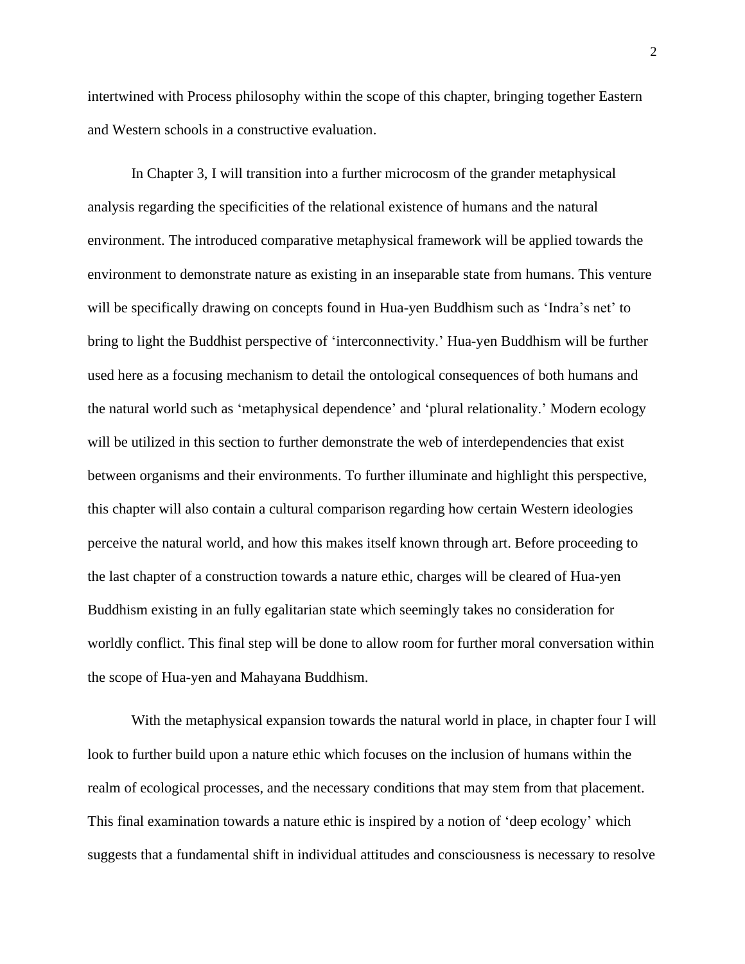intertwined with Process philosophy within the scope of this chapter, bringing together Eastern and Western schools in a constructive evaluation.

In Chapter 3, I will transition into a further microcosm of the grander metaphysical analysis regarding the specificities of the relational existence of humans and the natural environment. The introduced comparative metaphysical framework will be applied towards the environment to demonstrate nature as existing in an inseparable state from humans. This venture will be specifically drawing on concepts found in Hua-yen Buddhism such as 'Indra's net' to bring to light the Buddhist perspective of 'interconnectivity.' Hua-yen Buddhism will be further used here as a focusing mechanism to detail the ontological consequences of both humans and the natural world such as 'metaphysical dependence' and 'plural relationality.' Modern ecology will be utilized in this section to further demonstrate the web of interdependencies that exist between organisms and their environments. To further illuminate and highlight this perspective, this chapter will also contain a cultural comparison regarding how certain Western ideologies perceive the natural world, and how this makes itself known through art. Before proceeding to the last chapter of a construction towards a nature ethic, charges will be cleared of Hua-yen Buddhism existing in an fully egalitarian state which seemingly takes no consideration for worldly conflict. This final step will be done to allow room for further moral conversation within the scope of Hua-yen and Mahayana Buddhism.

With the metaphysical expansion towards the natural world in place, in chapter four I will look to further build upon a nature ethic which focuses on the inclusion of humans within the realm of ecological processes, and the necessary conditions that may stem from that placement. This final examination towards a nature ethic is inspired by a notion of 'deep ecology' which suggests that a fundamental shift in individual attitudes and consciousness is necessary to resolve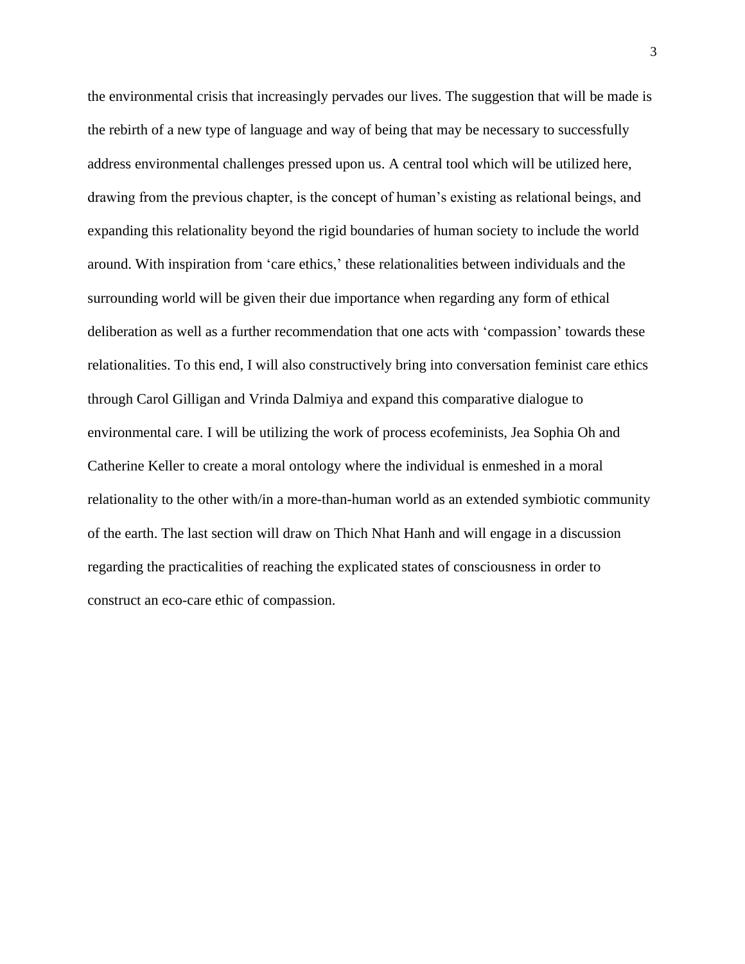the environmental crisis that increasingly pervades our lives. The suggestion that will be made is the rebirth of a new type of language and way of being that may be necessary to successfully address environmental challenges pressed upon us. A central tool which will be utilized here, drawing from the previous chapter, is the concept of human's existing as relational beings, and expanding this relationality beyond the rigid boundaries of human society to include the world around. With inspiration from 'care ethics,' these relationalities between individuals and the surrounding world will be given their due importance when regarding any form of ethical deliberation as well as a further recommendation that one acts with 'compassion' towards these relationalities. To this end, I will also constructively bring into conversation feminist care ethics through Carol Gilligan and Vrinda Dalmiya and expand this comparative dialogue to environmental care. I will be utilizing the work of process ecofeminists, Jea Sophia Oh and Catherine Keller to create a moral ontology where the individual is enmeshed in a moral relationality to the other with/in a more-than-human world as an extended symbiotic community of the earth. The last section will draw on Thich Nhat Hanh and will engage in a discussion regarding the practicalities of reaching the explicated states of consciousness in order to construct an eco-care ethic of compassion.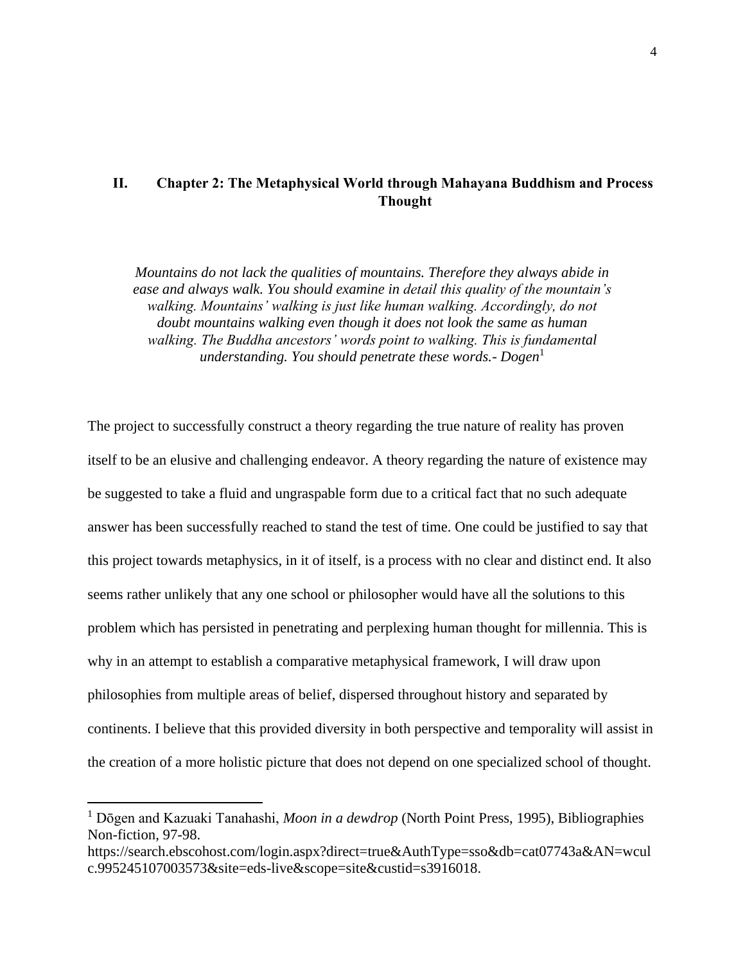### **II. Chapter 2: The Metaphysical World through Mahayana Buddhism and Process Thought**

*Mountains do not lack the qualities of mountains. Therefore they always abide in ease and always walk. You should examine in detail this quality of the mountain's walking. Mountains' walking is just like human walking. Accordingly, do not doubt mountains walking even though it does not look the same as human walking. The Buddha ancestors' words point to walking. This is fundamental understanding. You should penetrate these words.- Dogen*<sup>1</sup>

The project to successfully construct a theory regarding the true nature of reality has proven itself to be an elusive and challenging endeavor. A theory regarding the nature of existence may be suggested to take a fluid and ungraspable form due to a critical fact that no such adequate answer has been successfully reached to stand the test of time. One could be justified to say that this project towards metaphysics, in it of itself, is a process with no clear and distinct end. It also seems rather unlikely that any one school or philosopher would have all the solutions to this problem which has persisted in penetrating and perplexing human thought for millennia. This is why in an attempt to establish a comparative metaphysical framework, I will draw upon philosophies from multiple areas of belief, dispersed throughout history and separated by continents. I believe that this provided diversity in both perspective and temporality will assist in the creation of a more holistic picture that does not depend on one specialized school of thought.

<sup>1</sup> Dōgen and Kazuaki Tanahashi, *Moon in a dewdrop* (North Point Press, 1995), Bibliographies Non-fiction, 97-98.

https://search.ebscohost.com/login.aspx?direct=true&AuthType=sso&db=cat07743a&AN=wcul c.995245107003573&site=eds-live&scope=site&custid=s3916018.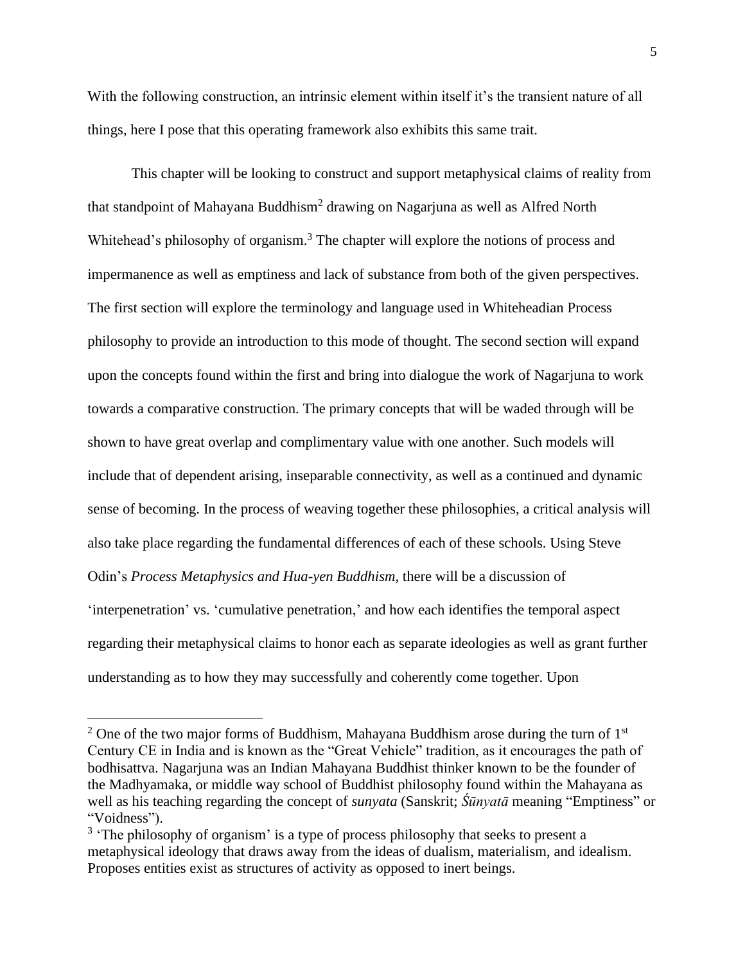With the following construction, an intrinsic element within itself it's the transient nature of all things, here I pose that this operating framework also exhibits this same trait.

This chapter will be looking to construct and support metaphysical claims of reality from that standpoint of Mahayana Buddhism<sup>2</sup> drawing on Nagarjuna as well as Alfred North Whitehead's philosophy of organism.<sup>3</sup> The chapter will explore the notions of process and impermanence as well as emptiness and lack of substance from both of the given perspectives. The first section will explore the terminology and language used in Whiteheadian Process philosophy to provide an introduction to this mode of thought. The second section will expand upon the concepts found within the first and bring into dialogue the work of Nagarjuna to work towards a comparative construction. The primary concepts that will be waded through will be shown to have great overlap and complimentary value with one another. Such models will include that of dependent arising, inseparable connectivity, as well as a continued and dynamic sense of becoming. In the process of weaving together these philosophies, a critical analysis will also take place regarding the fundamental differences of each of these schools. Using Steve Odin's *Process Metaphysics and Hua-yen Buddhism,* there will be a discussion of 'interpenetration' vs. 'cumulative penetration,' and how each identifies the temporal aspect regarding their metaphysical claims to honor each as separate ideologies as well as grant further understanding as to how they may successfully and coherently come together. Upon

 $2$  One of the two major forms of Buddhism, Mahayana Buddhism arose during the turn of  $1<sup>st</sup>$ Century CE in India and is known as the "Great Vehicle" tradition, as it encourages the path of bodhisattva. Nagarjuna was an Indian Mahayana Buddhist thinker known to be the founder of the Madhyamaka, or middle way school of Buddhist philosophy found within the Mahayana as well as his teaching regarding the concept of *sunyata* (Sanskrit; *Śūnyatā* meaning "Emptiness" or "Voidness").

 $3$  'The philosophy of organism' is a type of process philosophy that seeks to present a metaphysical ideology that draws away from the ideas of dualism, materialism, and idealism. Proposes entities exist as structures of activity as opposed to inert beings.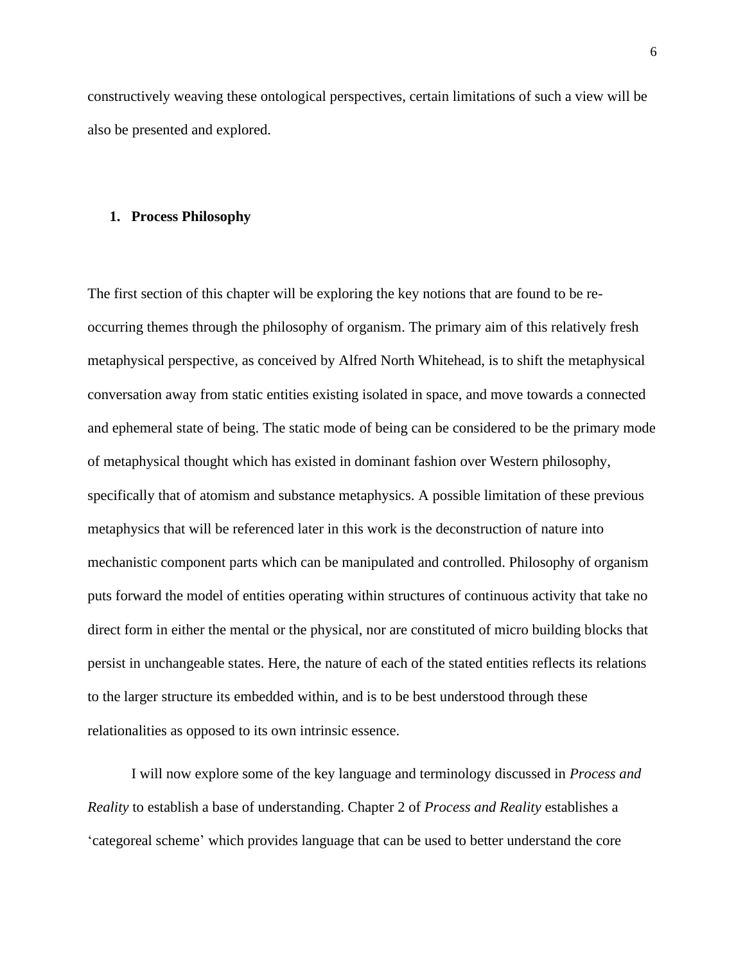constructively weaving these ontological perspectives, certain limitations of such a view will be also be presented and explored.

### **1. Process Philosophy**

The first section of this chapter will be exploring the key notions that are found to be reoccurring themes through the philosophy of organism. The primary aim of this relatively fresh metaphysical perspective, as conceived by Alfred North Whitehead, is to shift the metaphysical conversation away from static entities existing isolated in space, and move towards a connected and ephemeral state of being. The static mode of being can be considered to be the primary mode of metaphysical thought which has existed in dominant fashion over Western philosophy, specifically that of atomism and substance metaphysics. A possible limitation of these previous metaphysics that will be referenced later in this work is the deconstruction of nature into mechanistic component parts which can be manipulated and controlled. Philosophy of organism puts forward the model of entities operating within structures of continuous activity that take no direct form in either the mental or the physical, nor are constituted of micro building blocks that persist in unchangeable states. Here, the nature of each of the stated entities reflects its relations to the larger structure its embedded within, and is to be best understood through these relationalities as opposed to its own intrinsic essence.

I will now explore some of the key language and terminology discussed in *Process and Reality* to establish a base of understanding. Chapter 2 of *Process and Reality* establishes a 'categoreal scheme' which provides language that can be used to better understand the core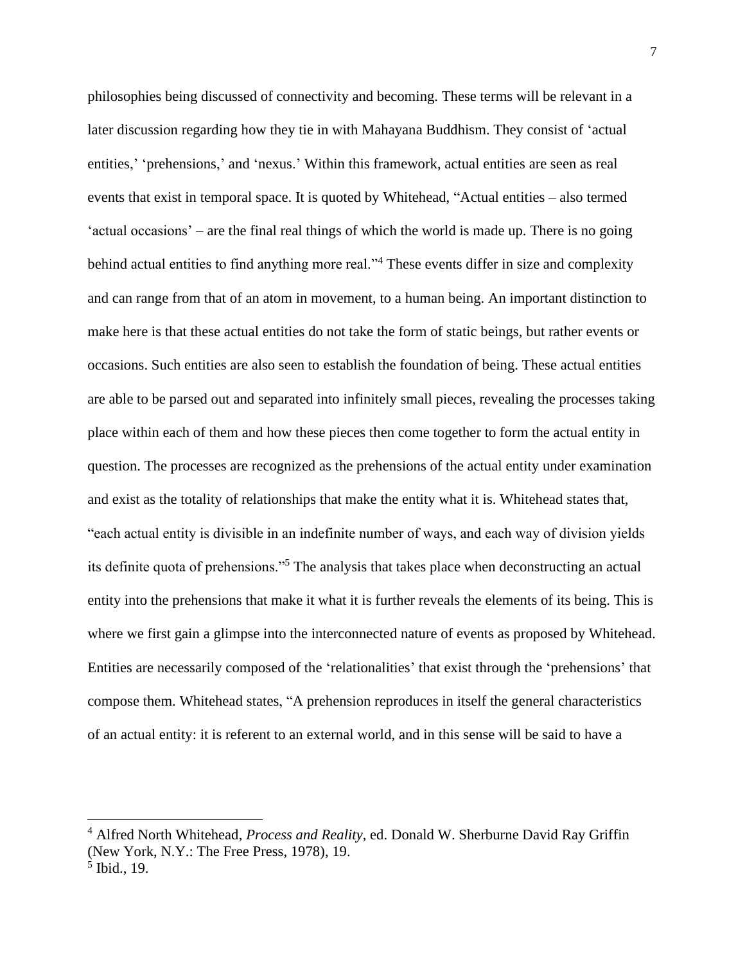philosophies being discussed of connectivity and becoming. These terms will be relevant in a later discussion regarding how they tie in with Mahayana Buddhism. They consist of 'actual entities,' 'prehensions,' and 'nexus.' Within this framework, actual entities are seen as real events that exist in temporal space. It is quoted by Whitehead, "Actual entities – also termed 'actual occasions' – are the final real things of which the world is made up. There is no going behind actual entities to find anything more real."<sup>4</sup> These events differ in size and complexity and can range from that of an atom in movement, to a human being. An important distinction to make here is that these actual entities do not take the form of static beings, but rather events or occasions. Such entities are also seen to establish the foundation of being. These actual entities are able to be parsed out and separated into infinitely small pieces, revealing the processes taking place within each of them and how these pieces then come together to form the actual entity in question. The processes are recognized as the prehensions of the actual entity under examination and exist as the totality of relationships that make the entity what it is. Whitehead states that, "each actual entity is divisible in an indefinite number of ways, and each way of division yields its definite quota of prehensions."<sup>5</sup> The analysis that takes place when deconstructing an actual entity into the prehensions that make it what it is further reveals the elements of its being. This is where we first gain a glimpse into the interconnected nature of events as proposed by Whitehead. Entities are necessarily composed of the 'relationalities' that exist through the 'prehensions' that compose them. Whitehead states, "A prehension reproduces in itself the general characteristics of an actual entity: it is referent to an external world, and in this sense will be said to have a

<sup>4</sup> Alfred North Whitehead, *Process and Reality*, ed. Donald W. Sherburne David Ray Griffin (New York, N.Y.: The Free Press, 1978), 19.

<sup>5</sup> Ibid., 19.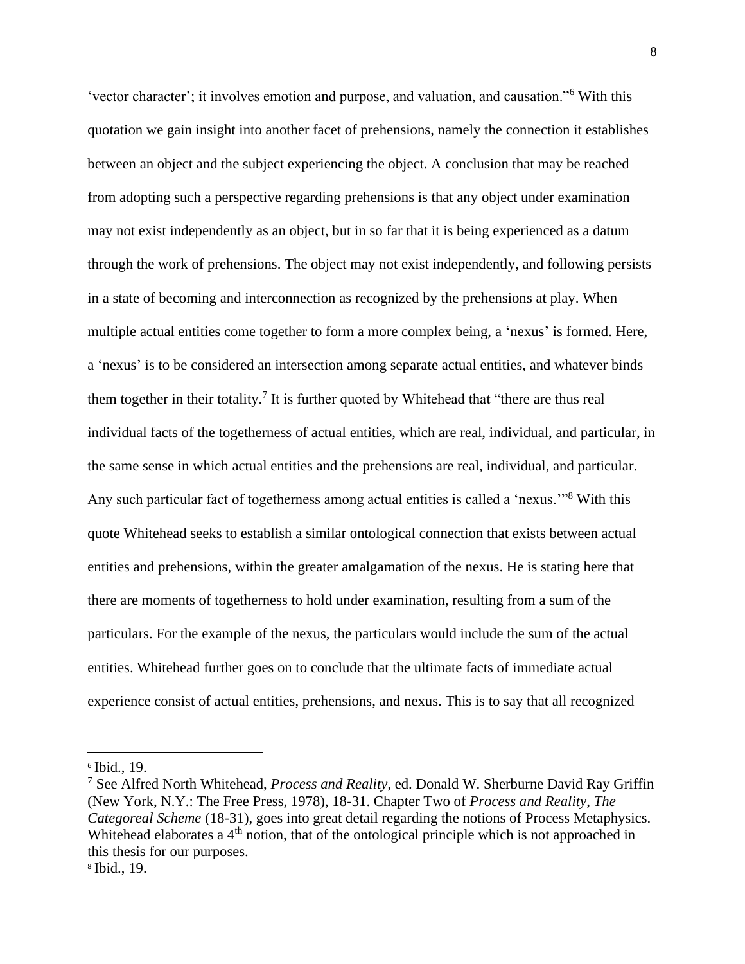'vector character'; it involves emotion and purpose, and valuation, and causation."<sup>6</sup> With this quotation we gain insight into another facet of prehensions, namely the connection it establishes between an object and the subject experiencing the object. A conclusion that may be reached from adopting such a perspective regarding prehensions is that any object under examination may not exist independently as an object, but in so far that it is being experienced as a datum through the work of prehensions. The object may not exist independently, and following persists in a state of becoming and interconnection as recognized by the prehensions at play. When multiple actual entities come together to form a more complex being, a 'nexus' is formed. Here, a 'nexus' is to be considered an intersection among separate actual entities, and whatever binds them together in their totality.<sup>7</sup> It is further quoted by Whitehead that "there are thus real individual facts of the togetherness of actual entities, which are real, individual, and particular, in the same sense in which actual entities and the prehensions are real, individual, and particular. Any such particular fact of togetherness among actual entities is called a 'nexus."<sup>8</sup> With this quote Whitehead seeks to establish a similar ontological connection that exists between actual entities and prehensions, within the greater amalgamation of the nexus. He is stating here that there are moments of togetherness to hold under examination, resulting from a sum of the particulars. For the example of the nexus, the particulars would include the sum of the actual entities. Whitehead further goes on to conclude that the ultimate facts of immediate actual experience consist of actual entities, prehensions, and nexus. This is to say that all recognized

<sup>6</sup> Ibid., 19.

<sup>7</sup> See Alfred North Whitehead, *Process and Reality*, ed. Donald W. Sherburne David Ray Griffin (New York, N.Y.: The Free Press, 1978), 18-31. Chapter Two of *Process and Reality*, *The Categoreal Scheme* (18-31), goes into great detail regarding the notions of Process Metaphysics. Whitehead elaborates a 4<sup>th</sup> notion, that of the ontological principle which is not approached in this thesis for our purposes.

<sup>8</sup> Ibid., 19.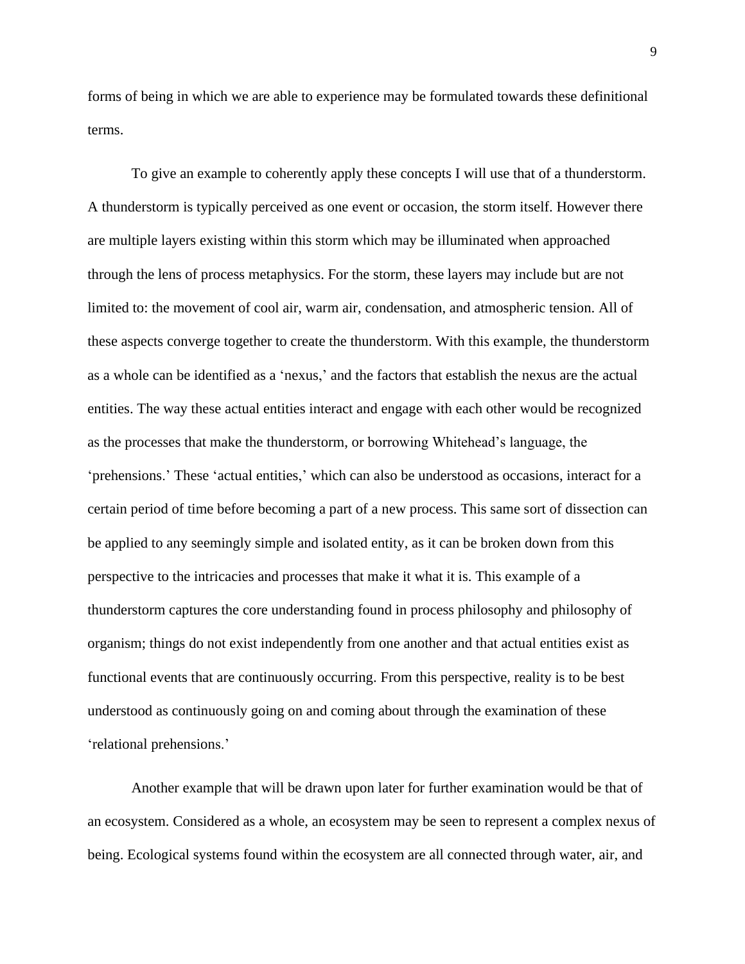forms of being in which we are able to experience may be formulated towards these definitional terms.

To give an example to coherently apply these concepts I will use that of a thunderstorm. A thunderstorm is typically perceived as one event or occasion, the storm itself. However there are multiple layers existing within this storm which may be illuminated when approached through the lens of process metaphysics. For the storm, these layers may include but are not limited to: the movement of cool air, warm air, condensation, and atmospheric tension. All of these aspects converge together to create the thunderstorm. With this example, the thunderstorm as a whole can be identified as a 'nexus,' and the factors that establish the nexus are the actual entities. The way these actual entities interact and engage with each other would be recognized as the processes that make the thunderstorm, or borrowing Whitehead's language, the 'prehensions.' These 'actual entities,' which can also be understood as occasions, interact for a certain period of time before becoming a part of a new process. This same sort of dissection can be applied to any seemingly simple and isolated entity, as it can be broken down from this perspective to the intricacies and processes that make it what it is. This example of a thunderstorm captures the core understanding found in process philosophy and philosophy of organism; things do not exist independently from one another and that actual entities exist as functional events that are continuously occurring. From this perspective, reality is to be best understood as continuously going on and coming about through the examination of these 'relational prehensions.'

Another example that will be drawn upon later for further examination would be that of an ecosystem. Considered as a whole, an ecosystem may be seen to represent a complex nexus of being. Ecological systems found within the ecosystem are all connected through water, air, and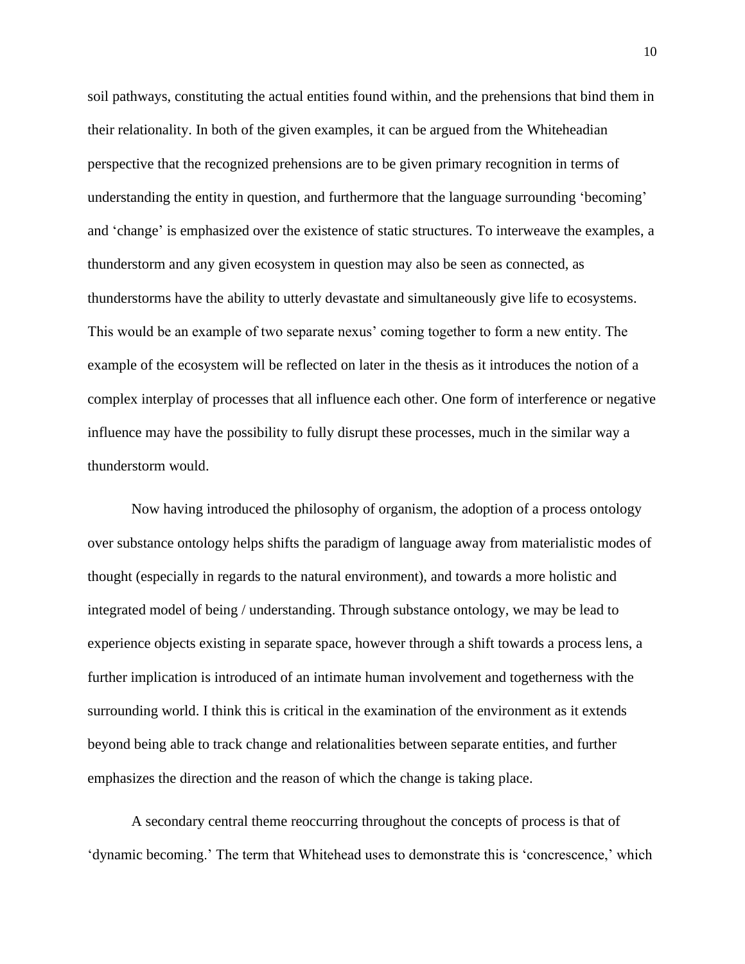soil pathways, constituting the actual entities found within, and the prehensions that bind them in their relationality. In both of the given examples, it can be argued from the Whiteheadian perspective that the recognized prehensions are to be given primary recognition in terms of understanding the entity in question, and furthermore that the language surrounding 'becoming' and 'change' is emphasized over the existence of static structures. To interweave the examples, a thunderstorm and any given ecosystem in question may also be seen as connected, as thunderstorms have the ability to utterly devastate and simultaneously give life to ecosystems. This would be an example of two separate nexus' coming together to form a new entity. The example of the ecosystem will be reflected on later in the thesis as it introduces the notion of a complex interplay of processes that all influence each other. One form of interference or negative influence may have the possibility to fully disrupt these processes, much in the similar way a thunderstorm would.

Now having introduced the philosophy of organism, the adoption of a process ontology over substance ontology helps shifts the paradigm of language away from materialistic modes of thought (especially in regards to the natural environment), and towards a more holistic and integrated model of being / understanding. Through substance ontology, we may be lead to experience objects existing in separate space, however through a shift towards a process lens, a further implication is introduced of an intimate human involvement and togetherness with the surrounding world. I think this is critical in the examination of the environment as it extends beyond being able to track change and relationalities between separate entities, and further emphasizes the direction and the reason of which the change is taking place.

A secondary central theme reoccurring throughout the concepts of process is that of 'dynamic becoming.' The term that Whitehead uses to demonstrate this is 'concrescence,' which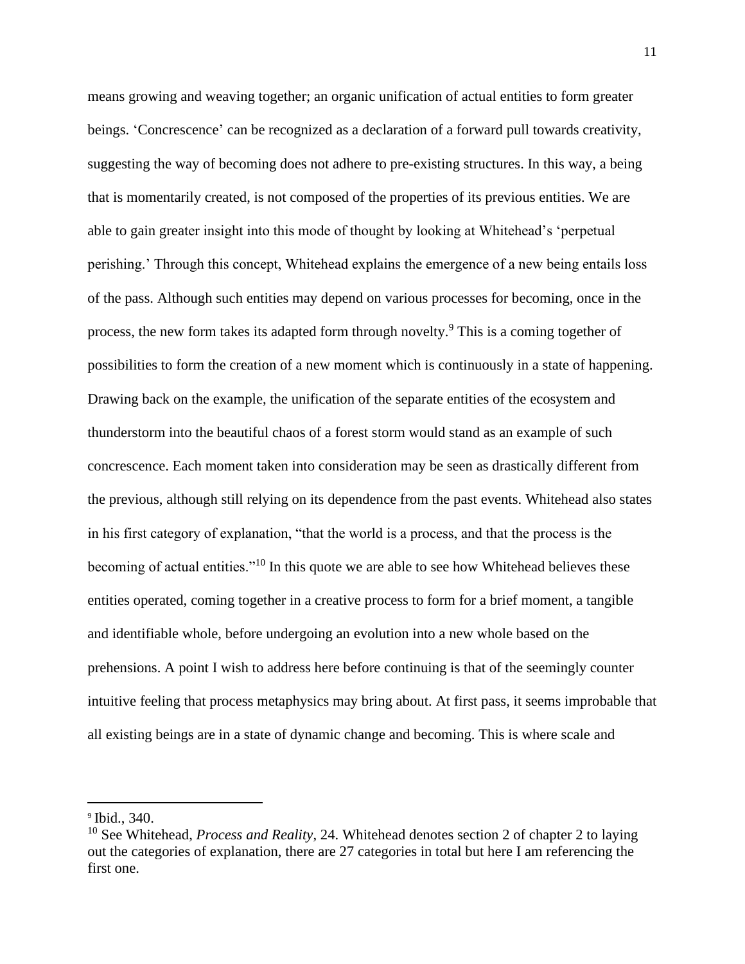means growing and weaving together; an organic unification of actual entities to form greater beings. 'Concrescence' can be recognized as a declaration of a forward pull towards creativity, suggesting the way of becoming does not adhere to pre-existing structures. In this way, a being that is momentarily created, is not composed of the properties of its previous entities. We are able to gain greater insight into this mode of thought by looking at Whitehead's 'perpetual perishing.' Through this concept, Whitehead explains the emergence of a new being entails loss of the pass. Although such entities may depend on various processes for becoming, once in the process, the new form takes its adapted form through novelty.<sup>9</sup> This is a coming together of possibilities to form the creation of a new moment which is continuously in a state of happening. Drawing back on the example, the unification of the separate entities of the ecosystem and thunderstorm into the beautiful chaos of a forest storm would stand as an example of such concrescence. Each moment taken into consideration may be seen as drastically different from the previous, although still relying on its dependence from the past events. Whitehead also states in his first category of explanation, "that the world is a process, and that the process is the becoming of actual entities."<sup>10</sup> In this quote we are able to see how Whitehead believes these entities operated, coming together in a creative process to form for a brief moment, a tangible and identifiable whole, before undergoing an evolution into a new whole based on the prehensions. A point I wish to address here before continuing is that of the seemingly counter intuitive feeling that process metaphysics may bring about. At first pass, it seems improbable that all existing beings are in a state of dynamic change and becoming. This is where scale and

<sup>9</sup> Ibid., 340.

<sup>10</sup> See Whitehead, *Process and Reality*, 24. Whitehead denotes section 2 of chapter 2 to laying out the categories of explanation, there are 27 categories in total but here I am referencing the first one.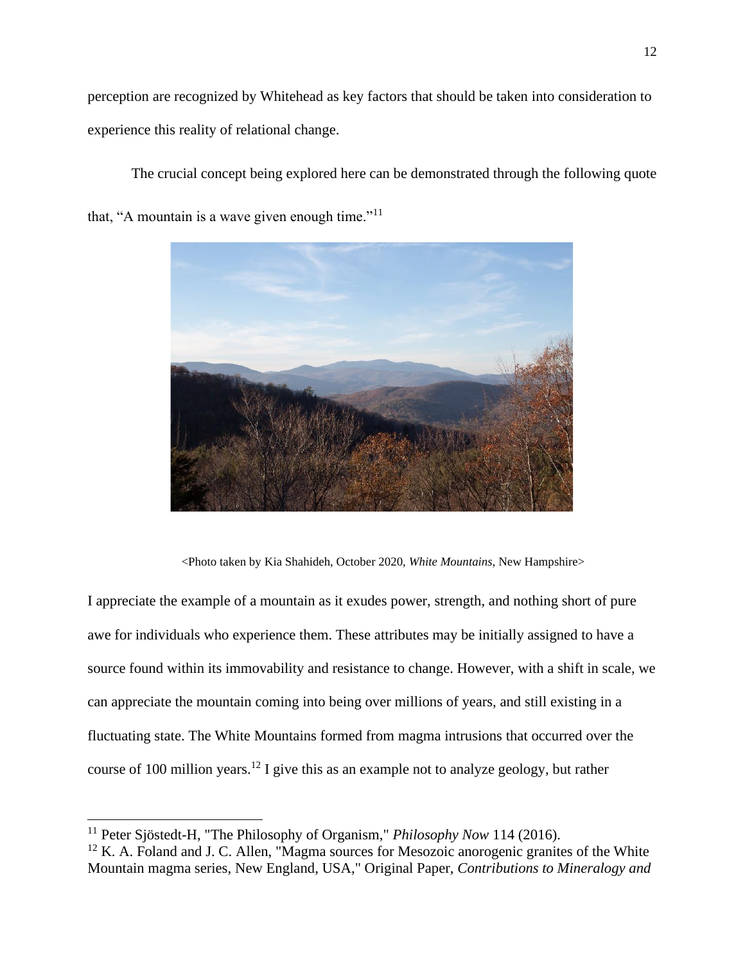perception are recognized by Whitehead as key factors that should be taken into consideration to experience this reality of relational change.

The crucial concept being explored here can be demonstrated through the following quote

that, "A mountain is a wave given enough time." $11$ 



<Photo taken by Kia Shahideh, October 2020, *White Mountains*, New Hampshire>

I appreciate the example of a mountain as it exudes power, strength, and nothing short of pure awe for individuals who experience them. These attributes may be initially assigned to have a source found within its immovability and resistance to change. However, with a shift in scale, we can appreciate the mountain coming into being over millions of years, and still existing in a fluctuating state. The White Mountains formed from magma intrusions that occurred over the course of 100 million years.<sup>12</sup> I give this as an example not to analyze geology, but rather

<sup>11</sup> Peter Sjöstedt-H, "The Philosophy of Organism," *Philosophy Now* 114 (2016).

 $12$  K. A. Foland and J. C. Allen, "Magma sources for Mesozoic anorogenic granites of the White Mountain magma series, New England, USA," Original Paper, *Contributions to Mineralogy and*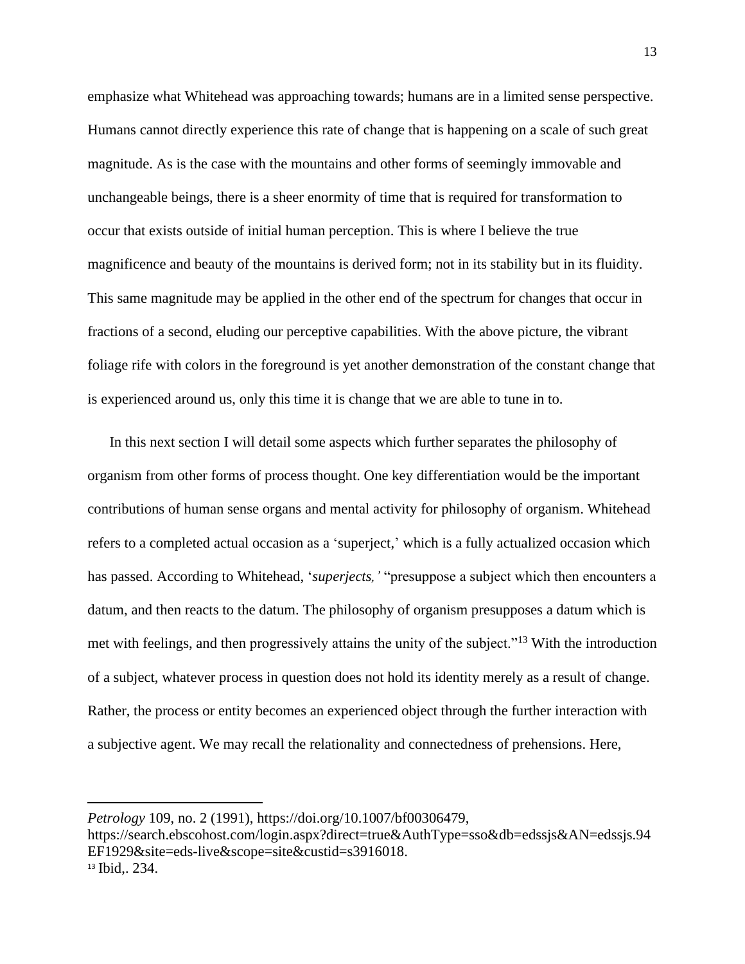emphasize what Whitehead was approaching towards; humans are in a limited sense perspective. Humans cannot directly experience this rate of change that is happening on a scale of such great magnitude. As is the case with the mountains and other forms of seemingly immovable and unchangeable beings, there is a sheer enormity of time that is required for transformation to occur that exists outside of initial human perception. This is where I believe the true magnificence and beauty of the mountains is derived form; not in its stability but in its fluidity. This same magnitude may be applied in the other end of the spectrum for changes that occur in fractions of a second, eluding our perceptive capabilities. With the above picture, the vibrant foliage rife with colors in the foreground is yet another demonstration of the constant change that is experienced around us, only this time it is change that we are able to tune in to.

In this next section I will detail some aspects which further separates the philosophy of organism from other forms of process thought. One key differentiation would be the important contributions of human sense organs and mental activity for philosophy of organism. Whitehead refers to a completed actual occasion as a 'superject,' which is a fully actualized occasion which has passed. According to Whitehead, '*superjects,'* "presuppose a subject which then encounters a datum, and then reacts to the datum. The philosophy of organism presupposes a datum which is met with feelings, and then progressively attains the unity of the subject."<sup>13</sup> With the introduction of a subject, whatever process in question does not hold its identity merely as a result of change. Rather, the process or entity becomes an experienced object through the further interaction with a subjective agent. We may recall the relationality and connectedness of prehensions. Here,

https://search.ebscohost.com/login.aspx?direct=true&AuthType=sso&db=edssjs&AN=edssjs.94 EF1929&site=eds-live&scope=site&custid=s3916018. <sup>13</sup> Ibid,. 234.

*Petrology* 109, no. 2 (1991), https://doi.org/10.1007/bf00306479,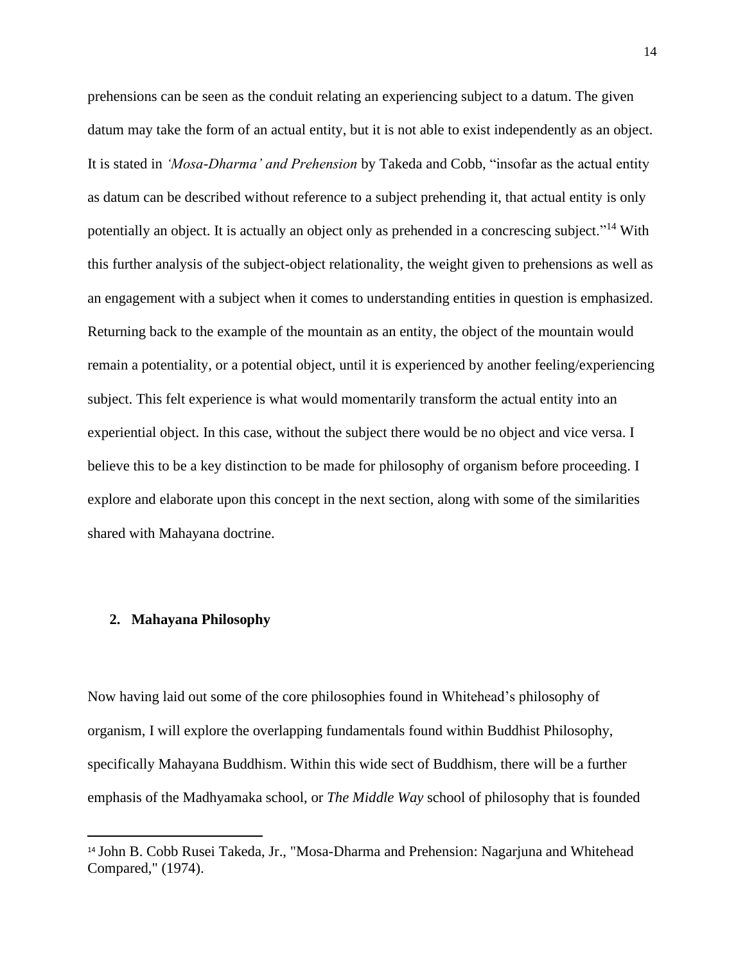prehensions can be seen as the conduit relating an experiencing subject to a datum. The given datum may take the form of an actual entity, but it is not able to exist independently as an object. It is stated in *'Mosa-Dharma' and Prehension* by Takeda and Cobb, "insofar as the actual entity as datum can be described without reference to a subject prehending it, that actual entity is only potentially an object. It is actually an object only as prehended in a concrescing subject."<sup>14</sup> With this further analysis of the subject-object relationality, the weight given to prehensions as well as an engagement with a subject when it comes to understanding entities in question is emphasized. Returning back to the example of the mountain as an entity, the object of the mountain would remain a potentiality, or a potential object, until it is experienced by another feeling/experiencing subject. This felt experience is what would momentarily transform the actual entity into an experiential object. In this case, without the subject there would be no object and vice versa. I believe this to be a key distinction to be made for philosophy of organism before proceeding. I explore and elaborate upon this concept in the next section, along with some of the similarities shared with Mahayana doctrine.

### **2. Mahayana Philosophy**

Now having laid out some of the core philosophies found in Whitehead's philosophy of organism, I will explore the overlapping fundamentals found within Buddhist Philosophy, specifically Mahayana Buddhism. Within this wide sect of Buddhism, there will be a further emphasis of the Madhyamaka school, or *The Middle Way* school of philosophy that is founded

<sup>14</sup> John B. Cobb Rusei Takeda, Jr., "Mosa-Dharma and Prehension: Nagarjuna and Whitehead Compared," (1974).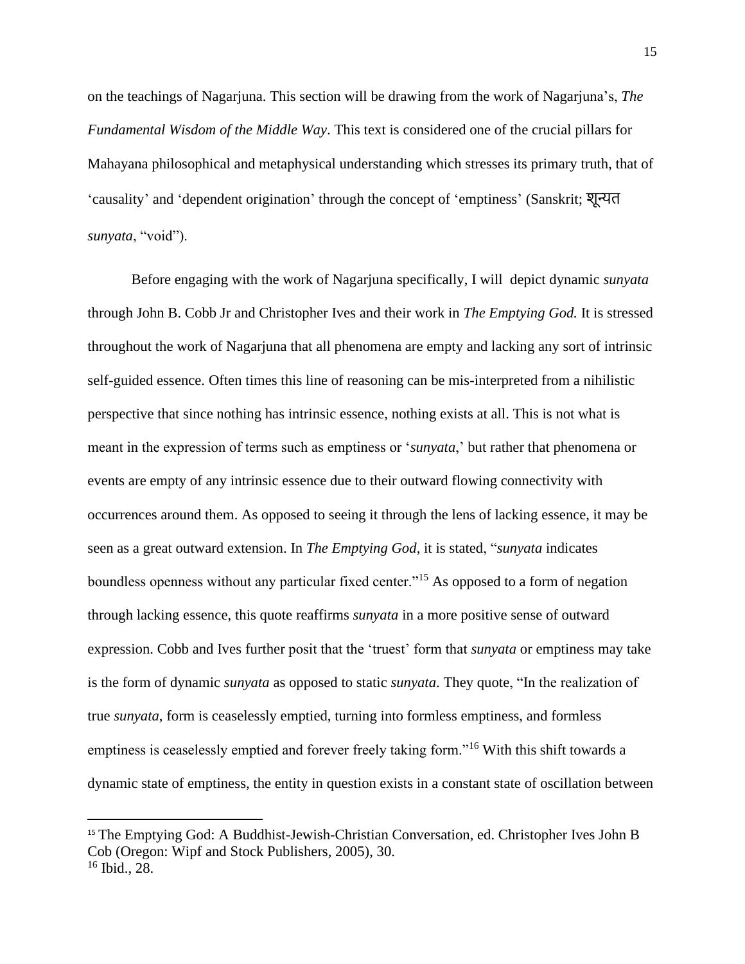on the teachings of Nagarjuna. This section will be drawing from the work of Nagarjuna's, *The Fundamental Wisdom of the Middle Way*. This text is considered one of the crucial pillars for Mahayana philosophical and metaphysical understanding which stresses its primary truth, that of 'causality' and 'dependent origination' through the concept of 'emptiness' (Sanskrit; शून्यत *sunyata*, "void").

Before engaging with the work of Nagarjuna specifically, I will depict dynamic *sunyata* through John B. Cobb Jr and Christopher Ives and their work in *The Emptying God.* It is stressed throughout the work of Nagarjuna that all phenomena are empty and lacking any sort of intrinsic self-guided essence. Often times this line of reasoning can be mis-interpreted from a nihilistic perspective that since nothing has intrinsic essence, nothing exists at all. This is not what is meant in the expression of terms such as emptiness or '*sunyata*,' but rather that phenomena or events are empty of any intrinsic essence due to their outward flowing connectivity with occurrences around them. As opposed to seeing it through the lens of lacking essence, it may be seen as a great outward extension. In *The Emptying God,* it is stated, "*sunyata* indicates boundless openness without any particular fixed center."<sup>15</sup> As opposed to a form of negation through lacking essence, this quote reaffirms *sunyata* in a more positive sense of outward expression. Cobb and Ives further posit that the 'truest' form that *sunyata* or emptiness may take is the form of dynamic *sunyata* as opposed to static *sunyata*. They quote, "In the realization of true *sunyata*, form is ceaselessly emptied, turning into formless emptiness, and formless emptiness is ceaselessly emptied and forever freely taking form."<sup>16</sup> With this shift towards a dynamic state of emptiness, the entity in question exists in a constant state of oscillation between

<sup>15</sup> The Emptying God: A Buddhist-Jewish-Christian Conversation, ed. Christopher Ives John B Cob (Oregon: Wipf and Stock Publishers, 2005), 30. <sup>16</sup> Ibid., 28.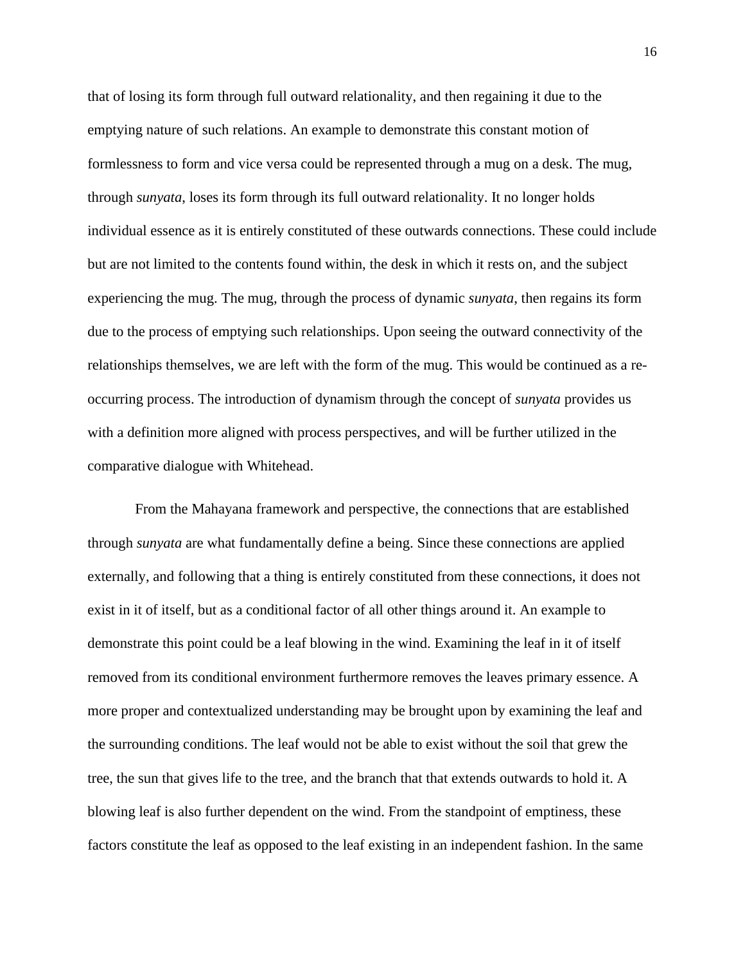that of losing its form through full outward relationality, and then regaining it due to the emptying nature of such relations. An example to demonstrate this constant motion of formlessness to form and vice versa could be represented through a mug on a desk. The mug, through *sunyata*, loses its form through its full outward relationality. It no longer holds individual essence as it is entirely constituted of these outwards connections. These could include but are not limited to the contents found within, the desk in which it rests on, and the subject experiencing the mug. The mug, through the process of dynamic *sunyata*, then regains its form due to the process of emptying such relationships. Upon seeing the outward connectivity of the relationships themselves, we are left with the form of the mug. This would be continued as a reoccurring process. The introduction of dynamism through the concept of *sunyata* provides us with a definition more aligned with process perspectives, and will be further utilized in the comparative dialogue with Whitehead.

From the Mahayana framework and perspective, the connections that are established through *sunyata* are what fundamentally define a being. Since these connections are applied externally, and following that a thing is entirely constituted from these connections, it does not exist in it of itself, but as a conditional factor of all other things around it. An example to demonstrate this point could be a leaf blowing in the wind. Examining the leaf in it of itself removed from its conditional environment furthermore removes the leaves primary essence. A more proper and contextualized understanding may be brought upon by examining the leaf and the surrounding conditions. The leaf would not be able to exist without the soil that grew the tree, the sun that gives life to the tree, and the branch that that extends outwards to hold it. A blowing leaf is also further dependent on the wind. From the standpoint of emptiness, these factors constitute the leaf as opposed to the leaf existing in an independent fashion. In the same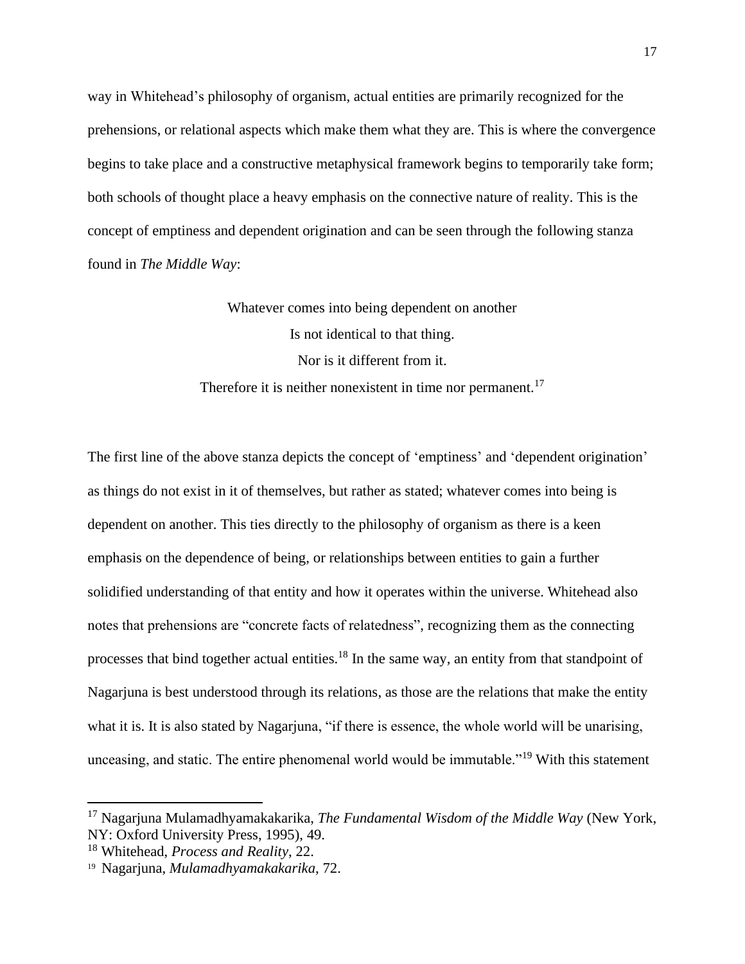way in Whitehead's philosophy of organism, actual entities are primarily recognized for the prehensions, or relational aspects which make them what they are. This is where the convergence begins to take place and a constructive metaphysical framework begins to temporarily take form; both schools of thought place a heavy emphasis on the connective nature of reality. This is the concept of emptiness and dependent origination and can be seen through the following stanza found in *The Middle Way*:

> Whatever comes into being dependent on another Is not identical to that thing. Nor is it different from it. Therefore it is neither nonexistent in time nor permanent.<sup>17</sup>

The first line of the above stanza depicts the concept of 'emptiness' and 'dependent origination' as things do not exist in it of themselves, but rather as stated; whatever comes into being is dependent on another. This ties directly to the philosophy of organism as there is a keen emphasis on the dependence of being, or relationships between entities to gain a further solidified understanding of that entity and how it operates within the universe. Whitehead also notes that prehensions are "concrete facts of relatedness", recognizing them as the connecting processes that bind together actual entities.<sup>18</sup> In the same way, an entity from that standpoint of Nagarjuna is best understood through its relations, as those are the relations that make the entity what it is. It is also stated by Nagarjuna, "if there is essence, the whole world will be unarising, unceasing, and static. The entire phenomenal world would be immutable."<sup>19</sup> With this statement

<sup>17</sup> Nagarjuna Mulamadhyamakakarika, *The Fundamental Wisdom of the Middle Way* (New York, NY: Oxford University Press, 1995), 49.

<sup>18</sup> Whitehead, *Process and Reality*, 22.

<sup>19</sup> Nagarjuna, *Mulamadhyamakakarika*, 72.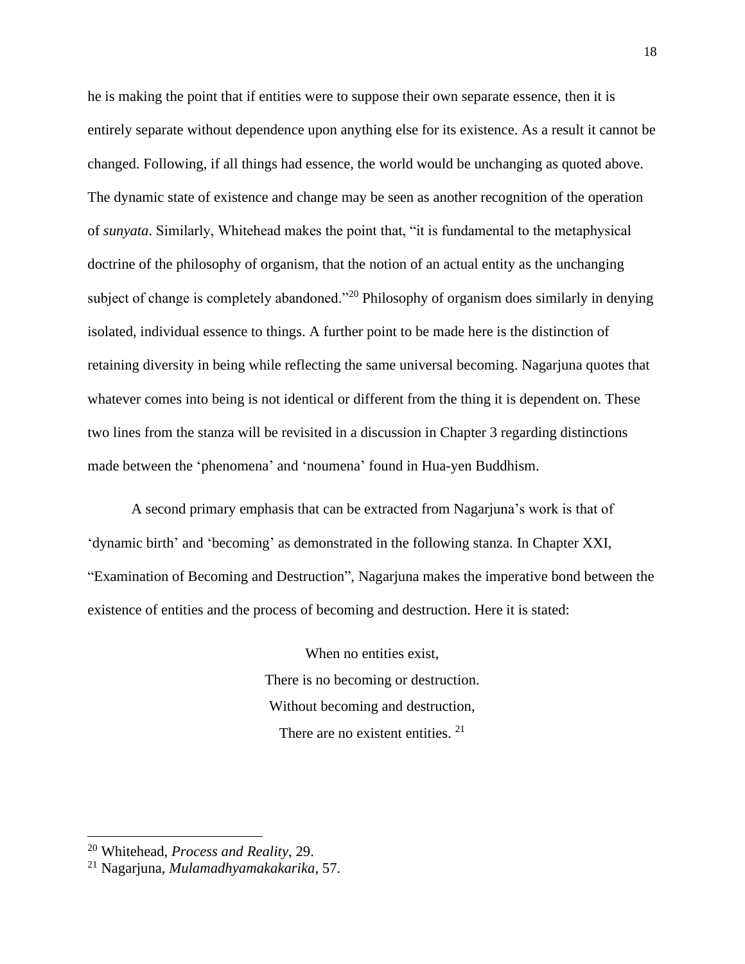he is making the point that if entities were to suppose their own separate essence, then it is entirely separate without dependence upon anything else for its existence. As a result it cannot be changed. Following, if all things had essence, the world would be unchanging as quoted above. The dynamic state of existence and change may be seen as another recognition of the operation of *sunyata*. Similarly, Whitehead makes the point that, "it is fundamental to the metaphysical doctrine of the philosophy of organism, that the notion of an actual entity as the unchanging subject of change is completely abandoned."<sup>20</sup> Philosophy of organism does similarly in denying isolated, individual essence to things. A further point to be made here is the distinction of retaining diversity in being while reflecting the same universal becoming. Nagarjuna quotes that whatever comes into being is not identical or different from the thing it is dependent on. These two lines from the stanza will be revisited in a discussion in Chapter 3 regarding distinctions made between the 'phenomena' and 'noumena' found in Hua-yen Buddhism.

A second primary emphasis that can be extracted from Nagarjuna's work is that of 'dynamic birth' and 'becoming' as demonstrated in the following stanza. In Chapter XXI, "Examination of Becoming and Destruction", Nagarjuna makes the imperative bond between the existence of entities and the process of becoming and destruction. Here it is stated:

> When no entities exist, There is no becoming or destruction. Without becoming and destruction, There are no existent entities. <sup>21</sup>

<sup>20</sup> Whitehead, *Process and Reality*, 29.

<sup>21</sup> Nagarjuna, *Mulamadhyamakakarika*, 57.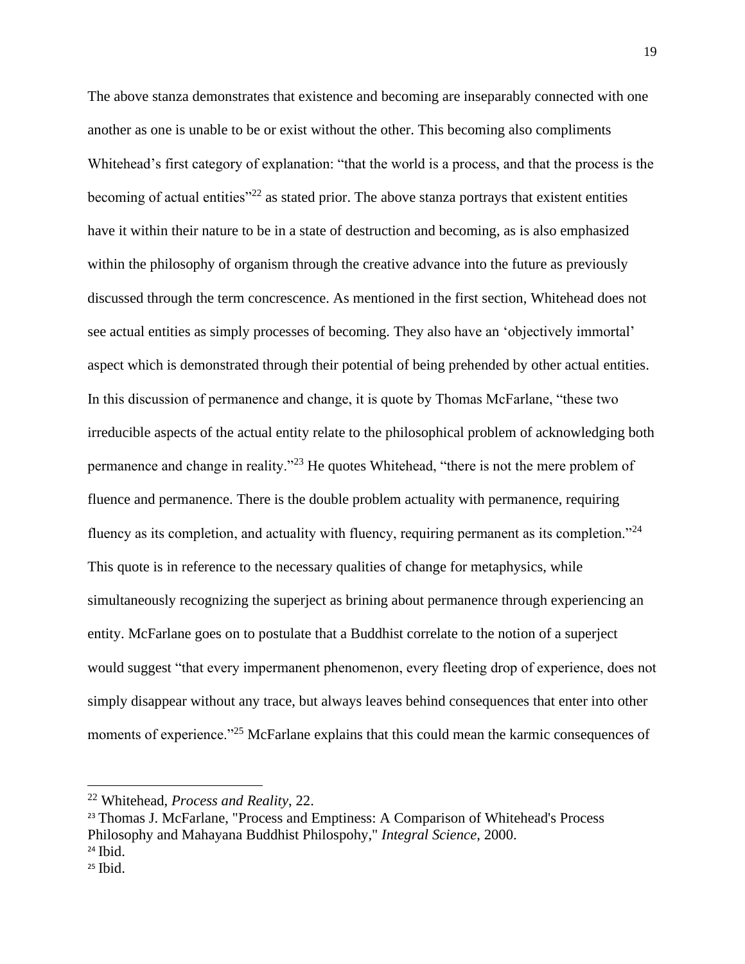The above stanza demonstrates that existence and becoming are inseparably connected with one another as one is unable to be or exist without the other. This becoming also compliments Whitehead's first category of explanation: "that the world is a process, and that the process is the becoming of actual entities $^{322}$  as stated prior. The above stanza portrays that existent entities have it within their nature to be in a state of destruction and becoming, as is also emphasized within the philosophy of organism through the creative advance into the future as previously discussed through the term concrescence. As mentioned in the first section, Whitehead does not see actual entities as simply processes of becoming. They also have an 'objectively immortal' aspect which is demonstrated through their potential of being prehended by other actual entities. In this discussion of permanence and change, it is quote by Thomas McFarlane, "these two irreducible aspects of the actual entity relate to the philosophical problem of acknowledging both permanence and change in reality."<sup>23</sup> He quotes Whitehead, "there is not the mere problem of fluence and permanence. There is the double problem actuality with permanence, requiring fluency as its completion, and actuality with fluency, requiring permanent as its completion."<sup>24</sup> This quote is in reference to the necessary qualities of change for metaphysics, while simultaneously recognizing the superject as brining about permanence through experiencing an entity. McFarlane goes on to postulate that a Buddhist correlate to the notion of a superject would suggest "that every impermanent phenomenon, every fleeting drop of experience, does not simply disappear without any trace, but always leaves behind consequences that enter into other moments of experience."<sup>25</sup> McFarlane explains that this could mean the karmic consequences of

<sup>22</sup> Whitehead, *Process and Reality*, 22.

<sup>&</sup>lt;sup>23</sup> Thomas J. McFarlane, "Process and Emptiness: A Comparison of Whitehead's Process Philosophy and Mahayana Buddhist Philospohy," *Integral Science*, 2000.  $24$  Ibid.

 $25$  Ibid.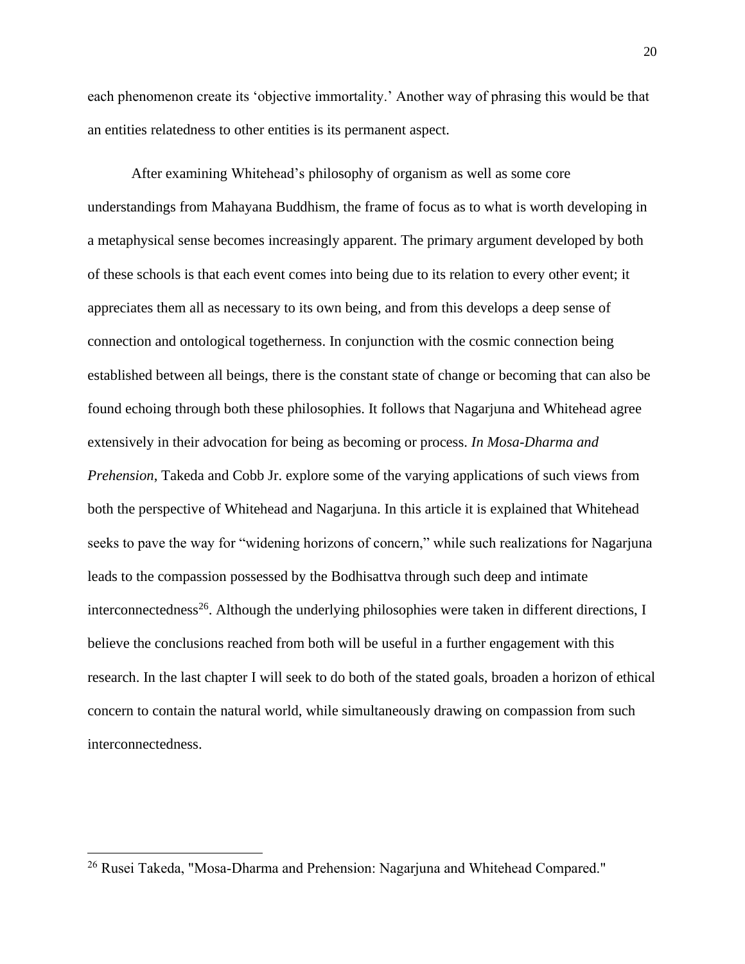each phenomenon create its 'objective immortality.' Another way of phrasing this would be that an entities relatedness to other entities is its permanent aspect.

After examining Whitehead's philosophy of organism as well as some core understandings from Mahayana Buddhism, the frame of focus as to what is worth developing in a metaphysical sense becomes increasingly apparent. The primary argument developed by both of these schools is that each event comes into being due to its relation to every other event; it appreciates them all as necessary to its own being, and from this develops a deep sense of connection and ontological togetherness. In conjunction with the cosmic connection being established between all beings, there is the constant state of change or becoming that can also be found echoing through both these philosophies. It follows that Nagarjuna and Whitehead agree extensively in their advocation for being as becoming or process. *In Mosa-Dharma and Prehension*, Takeda and Cobb Jr. explore some of the varying applications of such views from both the perspective of Whitehead and Nagarjuna. In this article it is explained that Whitehead seeks to pave the way for "widening horizons of concern," while such realizations for Nagarjuna leads to the compassion possessed by the Bodhisattva through such deep and intimate interconnectedness<sup>26</sup>. Although the underlying philosophies were taken in different directions, I believe the conclusions reached from both will be useful in a further engagement with this research. In the last chapter I will seek to do both of the stated goals, broaden a horizon of ethical concern to contain the natural world, while simultaneously drawing on compassion from such interconnectedness.

<sup>&</sup>lt;sup>26</sup> Rusei Takeda, "Mosa-Dharma and Prehension: Nagarjuna and Whitehead Compared."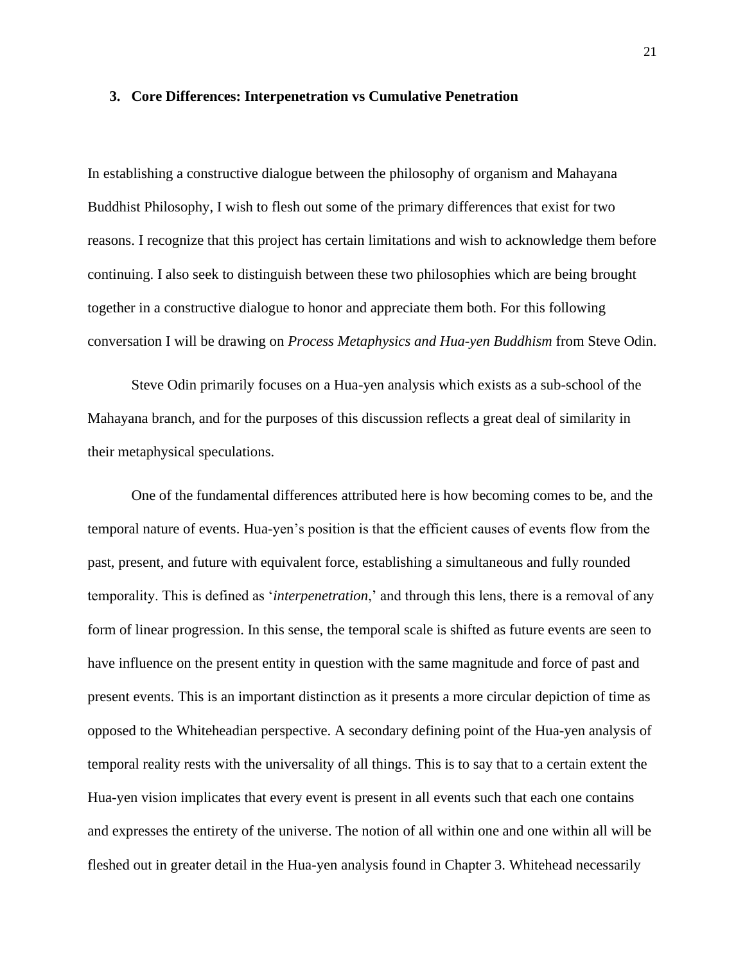### **3. Core Differences: Interpenetration vs Cumulative Penetration**

In establishing a constructive dialogue between the philosophy of organism and Mahayana Buddhist Philosophy, I wish to flesh out some of the primary differences that exist for two reasons. I recognize that this project has certain limitations and wish to acknowledge them before continuing. I also seek to distinguish between these two philosophies which are being brought together in a constructive dialogue to honor and appreciate them both. For this following conversation I will be drawing on *Process Metaphysics and Hua-yen Buddhism* from Steve Odin.

Steve Odin primarily focuses on a Hua-yen analysis which exists as a sub-school of the Mahayana branch, and for the purposes of this discussion reflects a great deal of similarity in their metaphysical speculations.

One of the fundamental differences attributed here is how becoming comes to be, and the temporal nature of events. Hua-yen's position is that the efficient causes of events flow from the past, present, and future with equivalent force, establishing a simultaneous and fully rounded temporality. This is defined as '*interpenetration*,' and through this lens, there is a removal of any form of linear progression. In this sense, the temporal scale is shifted as future events are seen to have influence on the present entity in question with the same magnitude and force of past and present events. This is an important distinction as it presents a more circular depiction of time as opposed to the Whiteheadian perspective. A secondary defining point of the Hua-yen analysis of temporal reality rests with the universality of all things. This is to say that to a certain extent the Hua-yen vision implicates that every event is present in all events such that each one contains and expresses the entirety of the universe. The notion of all within one and one within all will be fleshed out in greater detail in the Hua-yen analysis found in Chapter 3. Whitehead necessarily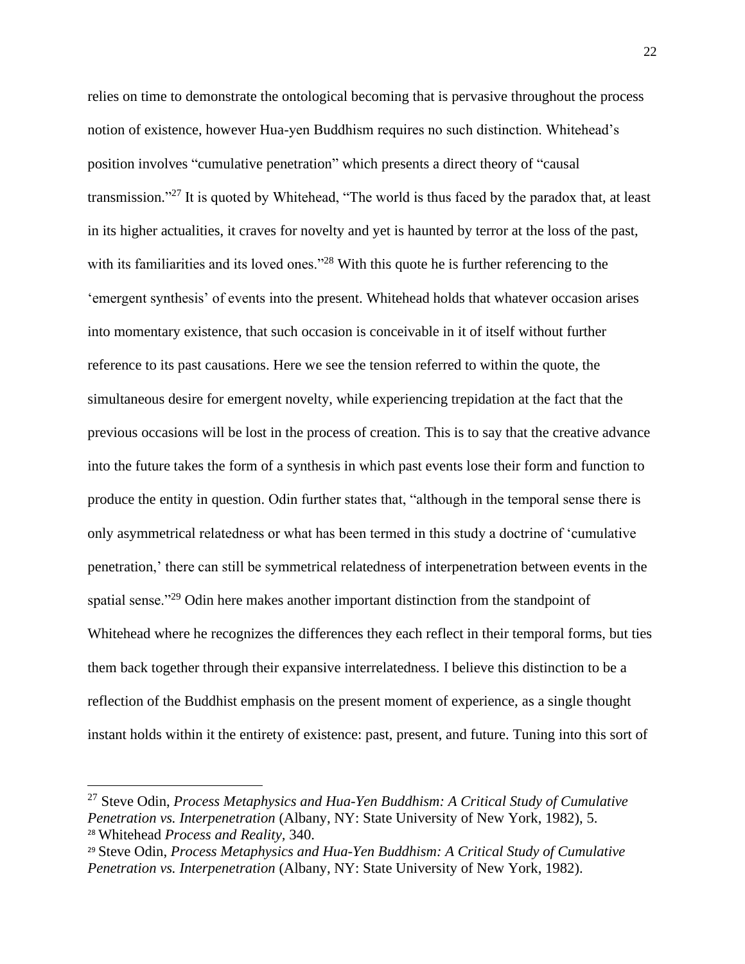relies on time to demonstrate the ontological becoming that is pervasive throughout the process notion of existence, however Hua-yen Buddhism requires no such distinction. Whitehead's position involves "cumulative penetration" which presents a direct theory of "causal transmission."<sup>27</sup> It is quoted by Whitehead, "The world is thus faced by the paradox that, at least in its higher actualities, it craves for novelty and yet is haunted by terror at the loss of the past, with its familiarities and its loved ones."<sup>28</sup> With this quote he is further referencing to the 'emergent synthesis' of events into the present. Whitehead holds that whatever occasion arises into momentary existence, that such occasion is conceivable in it of itself without further reference to its past causations. Here we see the tension referred to within the quote, the simultaneous desire for emergent novelty, while experiencing trepidation at the fact that the previous occasions will be lost in the process of creation. This is to say that the creative advance into the future takes the form of a synthesis in which past events lose their form and function to produce the entity in question. Odin further states that, "although in the temporal sense there is only asymmetrical relatedness or what has been termed in this study a doctrine of 'cumulative penetration,' there can still be symmetrical relatedness of interpenetration between events in the spatial sense."<sup>29</sup> Odin here makes another important distinction from the standpoint of Whitehead where he recognizes the differences they each reflect in their temporal forms, but ties them back together through their expansive interrelatedness. I believe this distinction to be a reflection of the Buddhist emphasis on the present moment of experience, as a single thought instant holds within it the entirety of existence: past, present, and future. Tuning into this sort of

<sup>27</sup> Steve Odin, *Process Metaphysics and Hua-Yen Buddhism: A Critical Study of Cumulative Penetration vs. Interpenetration* (Albany, NY: State University of New York, 1982), 5. <sup>28</sup> Whitehead *Process and Reality,* 340.

<sup>29</sup> Steve Odin, *Process Metaphysics and Hua-Yen Buddhism: A Critical Study of Cumulative Penetration vs. Interpenetration* (Albany, NY: State University of New York, 1982).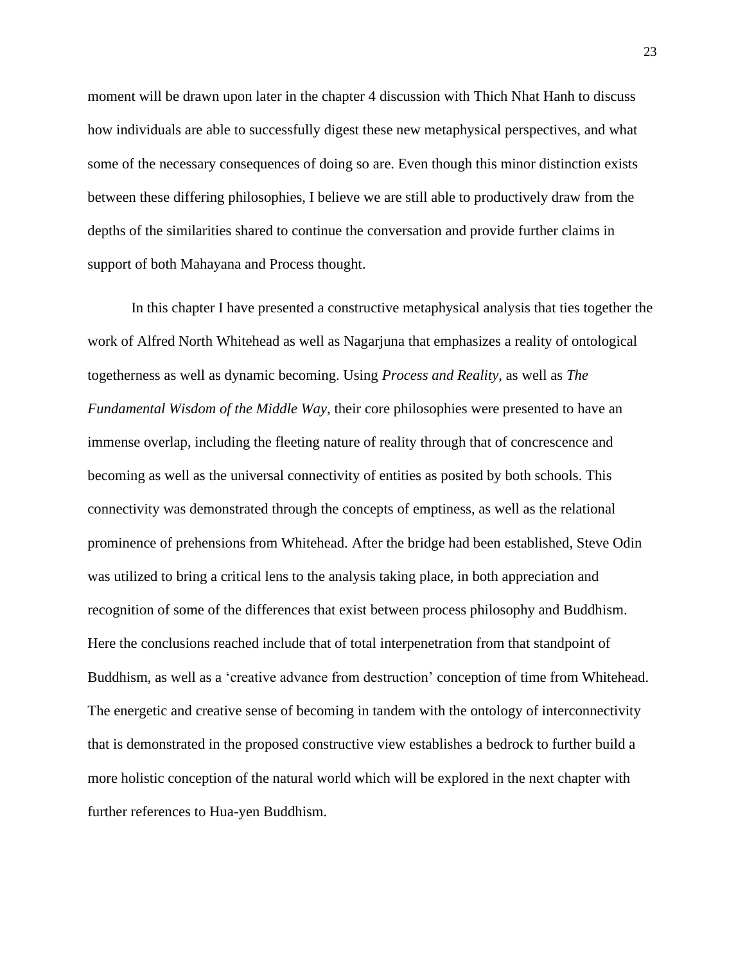moment will be drawn upon later in the chapter 4 discussion with Thich Nhat Hanh to discuss how individuals are able to successfully digest these new metaphysical perspectives, and what some of the necessary consequences of doing so are. Even though this minor distinction exists between these differing philosophies, I believe we are still able to productively draw from the depths of the similarities shared to continue the conversation and provide further claims in support of both Mahayana and Process thought.

In this chapter I have presented a constructive metaphysical analysis that ties together the work of Alfred North Whitehead as well as Nagarjuna that emphasizes a reality of ontological togetherness as well as dynamic becoming. Using *Process and Reality*, as well as *The Fundamental Wisdom of the Middle Way*, their core philosophies were presented to have an immense overlap, including the fleeting nature of reality through that of concrescence and becoming as well as the universal connectivity of entities as posited by both schools. This connectivity was demonstrated through the concepts of emptiness, as well as the relational prominence of prehensions from Whitehead. After the bridge had been established, Steve Odin was utilized to bring a critical lens to the analysis taking place, in both appreciation and recognition of some of the differences that exist between process philosophy and Buddhism. Here the conclusions reached include that of total interpenetration from that standpoint of Buddhism, as well as a 'creative advance from destruction' conception of time from Whitehead. The energetic and creative sense of becoming in tandem with the ontology of interconnectivity that is demonstrated in the proposed constructive view establishes a bedrock to further build a more holistic conception of the natural world which will be explored in the next chapter with further references to Hua-yen Buddhism.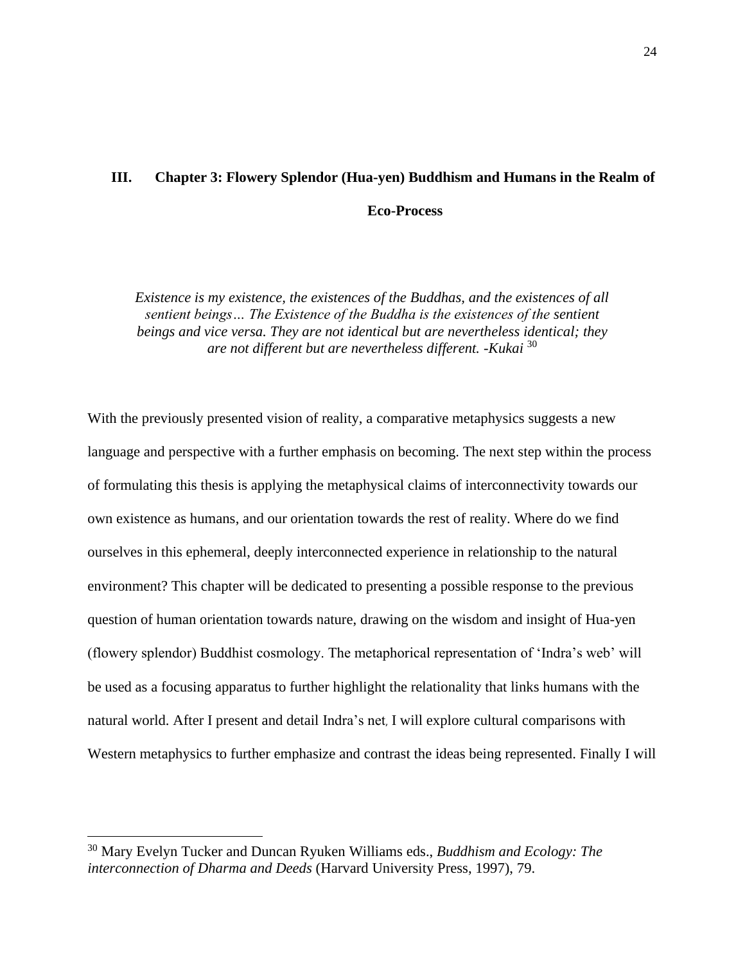# **III. Chapter 3: Flowery Splendor (Hua-yen) Buddhism and Humans in the Realm of Eco-Process**

*Existence is my existence, the existences of the Buddhas, and the existences of all sentient beings… The Existence of the Buddha is the existences of the sentient beings and vice versa. They are not identical but are nevertheless identical; they are not different but are nevertheless different. -Kukai* 30

With the previously presented vision of reality, a comparative metaphysics suggests a new language and perspective with a further emphasis on becoming. The next step within the process of formulating this thesis is applying the metaphysical claims of interconnectivity towards our own existence as humans, and our orientation towards the rest of reality. Where do we find ourselves in this ephemeral, deeply interconnected experience in relationship to the natural environment? This chapter will be dedicated to presenting a possible response to the previous question of human orientation towards nature, drawing on the wisdom and insight of Hua-yen (flowery splendor) Buddhist cosmology. The metaphorical representation of 'Indra's web' will be used as a focusing apparatus to further highlight the relationality that links humans with the natural world. After I present and detail Indra's net, I will explore cultural comparisons with Western metaphysics to further emphasize and contrast the ideas being represented. Finally I will

<sup>30</sup> Mary Evelyn Tucker and Duncan Ryuken Williams eds., *Buddhism and Ecology: The interconnection of Dharma and Deeds* (Harvard University Press, 1997), 79.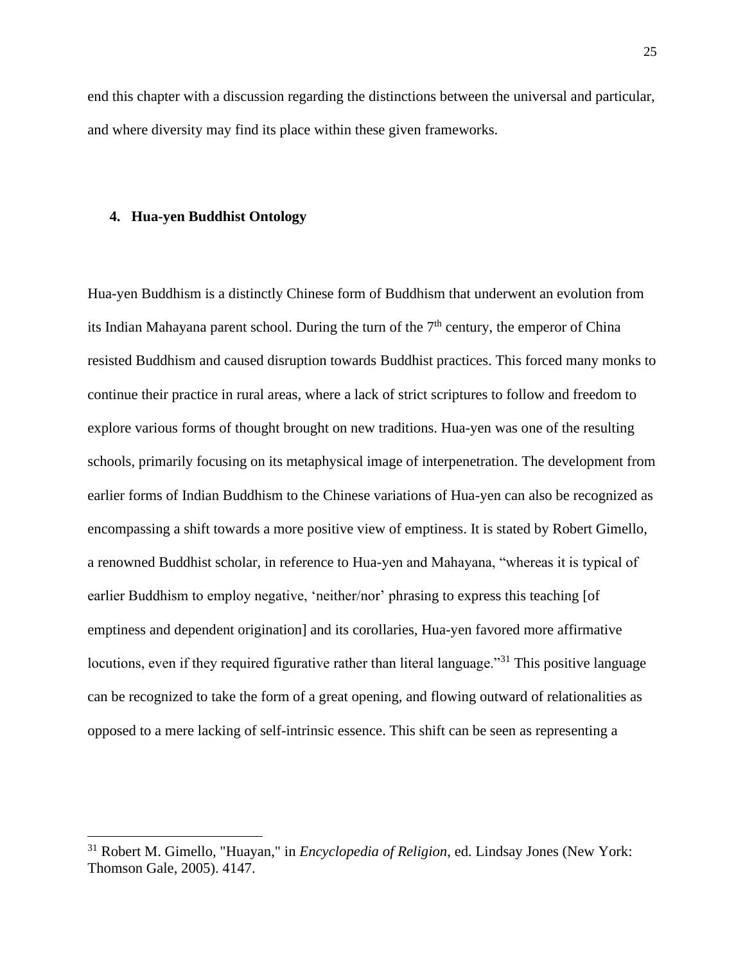end this chapter with a discussion regarding the distinctions between the universal and particular, and where diversity may find its place within these given frameworks.

### **4. Hua-yen Buddhist Ontology**

Hua-yen Buddhism is a distinctly Chinese form of Buddhism that underwent an evolution from its Indian Mahayana parent school. During the turn of the  $7<sup>th</sup>$  century, the emperor of China resisted Buddhism and caused disruption towards Buddhist practices. This forced many monks to continue their practice in rural areas, where a lack of strict scriptures to follow and freedom to explore various forms of thought brought on new traditions. Hua-yen was one of the resulting schools, primarily focusing on its metaphysical image of interpenetration. The development from earlier forms of Indian Buddhism to the Chinese variations of Hua-yen can also be recognized as encompassing a shift towards a more positive view of emptiness. It is stated by Robert Gimello, a renowned Buddhist scholar, in reference to Hua-yen and Mahayana, "whereas it is typical of earlier Buddhism to employ negative, 'neither/nor' phrasing to express this teaching [of emptiness and dependent origination] and its corollaries, Hua-yen favored more affirmative locutions, even if they required figurative rather than literal language."<sup>31</sup> This positive language can be recognized to take the form of a great opening, and flowing outward of relationalities as opposed to a mere lacking of self-intrinsic essence. This shift can be seen as representing a

<sup>31</sup> Robert M. Gimello, "Huayan," in *Encyclopedia of Religion*, ed. Lindsay Jones (New York: Thomson Gale, 2005). 4147.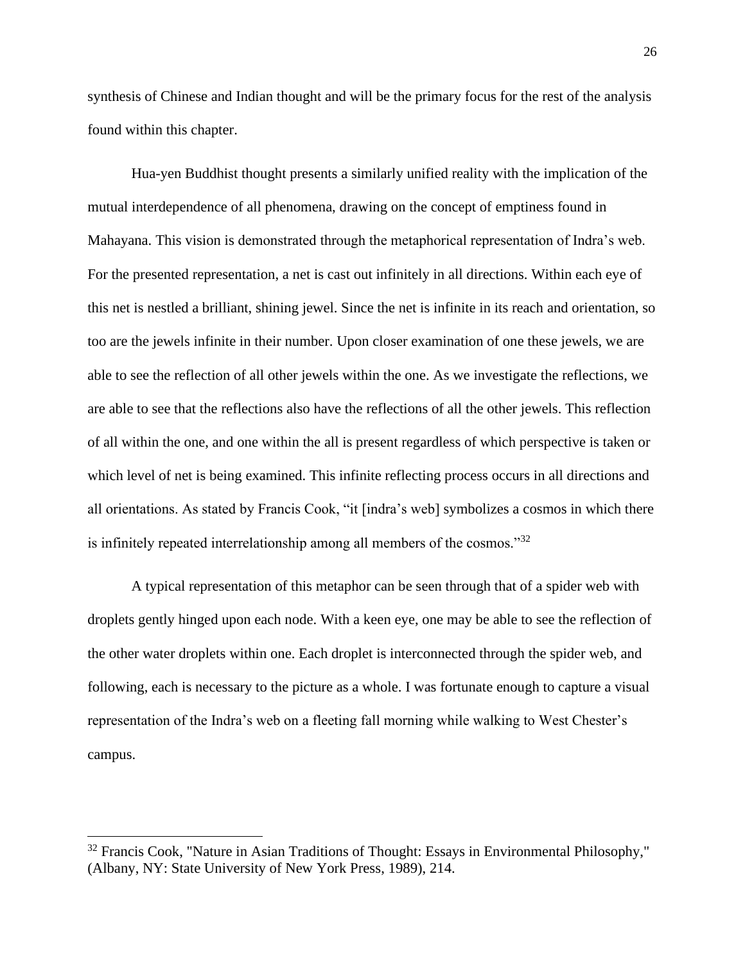synthesis of Chinese and Indian thought and will be the primary focus for the rest of the analysis found within this chapter.

Hua-yen Buddhist thought presents a similarly unified reality with the implication of the mutual interdependence of all phenomena, drawing on the concept of emptiness found in Mahayana. This vision is demonstrated through the metaphorical representation of Indra's web. For the presented representation, a net is cast out infinitely in all directions. Within each eye of this net is nestled a brilliant, shining jewel. Since the net is infinite in its reach and orientation, so too are the jewels infinite in their number. Upon closer examination of one these jewels, we are able to see the reflection of all other jewels within the one. As we investigate the reflections, we are able to see that the reflections also have the reflections of all the other jewels. This reflection of all within the one, and one within the all is present regardless of which perspective is taken or which level of net is being examined. This infinite reflecting process occurs in all directions and all orientations. As stated by Francis Cook, "it [indra's web] symbolizes a cosmos in which there is infinitely repeated interrelationship among all members of the cosmos."<sup>32</sup>

A typical representation of this metaphor can be seen through that of a spider web with droplets gently hinged upon each node. With a keen eye, one may be able to see the reflection of the other water droplets within one. Each droplet is interconnected through the spider web, and following, each is necessary to the picture as a whole. I was fortunate enough to capture a visual representation of the Indra's web on a fleeting fall morning while walking to West Chester's campus.

 $32$  Francis Cook, "Nature in Asian Traditions of Thought: Essays in Environmental Philosophy," (Albany, NY: State University of New York Press, 1989), 214.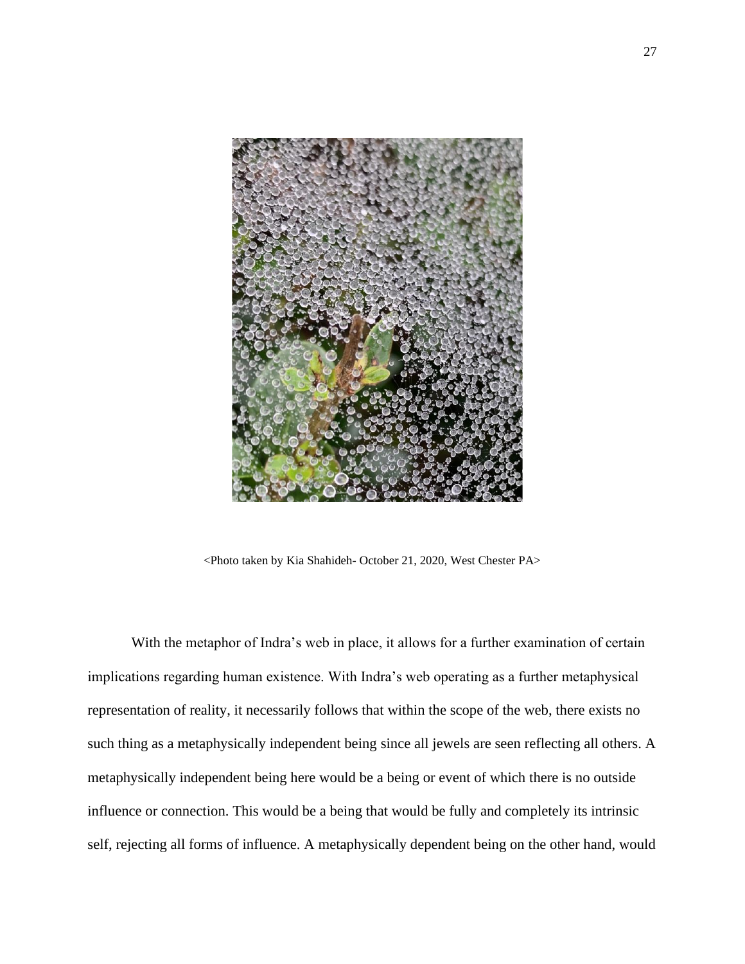

<Photo taken by Kia Shahideh- October 21, 2020, West Chester PA>

With the metaphor of Indra's web in place, it allows for a further examination of certain implications regarding human existence. With Indra's web operating as a further metaphysical representation of reality, it necessarily follows that within the scope of the web, there exists no such thing as a metaphysically independent being since all jewels are seen reflecting all others. A metaphysically independent being here would be a being or event of which there is no outside influence or connection. This would be a being that would be fully and completely its intrinsic self, rejecting all forms of influence. A metaphysically dependent being on the other hand, would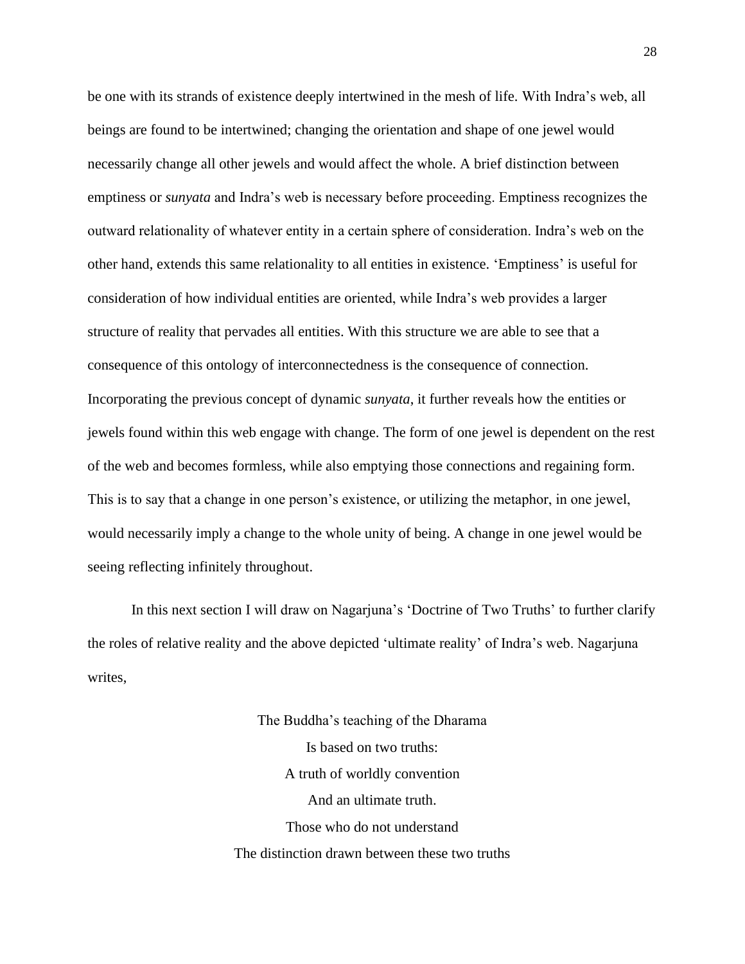be one with its strands of existence deeply intertwined in the mesh of life. With Indra's web, all beings are found to be intertwined; changing the orientation and shape of one jewel would necessarily change all other jewels and would affect the whole. A brief distinction between emptiness or *sunyata* and Indra's web is necessary before proceeding. Emptiness recognizes the outward relationality of whatever entity in a certain sphere of consideration. Indra's web on the other hand, extends this same relationality to all entities in existence. 'Emptiness' is useful for consideration of how individual entities are oriented, while Indra's web provides a larger structure of reality that pervades all entities. With this structure we are able to see that a consequence of this ontology of interconnectedness is the consequence of connection. Incorporating the previous concept of dynamic *sunyata*, it further reveals how the entities or jewels found within this web engage with change. The form of one jewel is dependent on the rest of the web and becomes formless, while also emptying those connections and regaining form. This is to say that a change in one person's existence, or utilizing the metaphor, in one jewel, would necessarily imply a change to the whole unity of being. A change in one jewel would be seeing reflecting infinitely throughout.

In this next section I will draw on Nagarjuna's 'Doctrine of Two Truths' to further clarify the roles of relative reality and the above depicted 'ultimate reality' of Indra's web. Nagarjuna writes,

> The Buddha's teaching of the Dharama Is based on two truths: A truth of worldly convention And an ultimate truth. Those who do not understand The distinction drawn between these two truths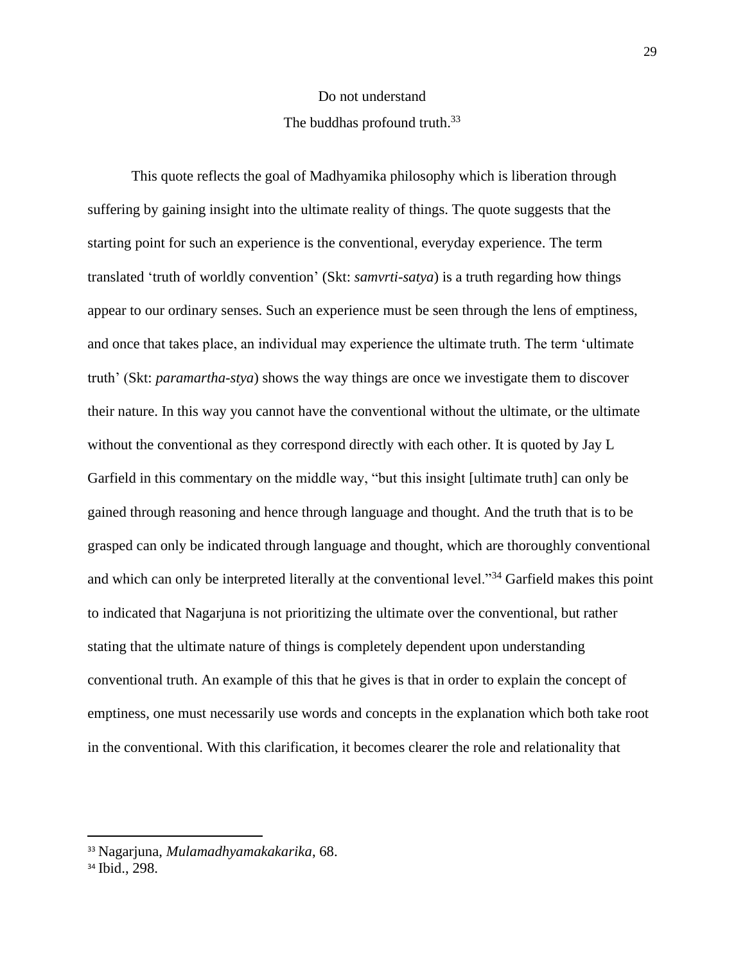# Do not understand The buddhas profound truth.<sup>33</sup>

This quote reflects the goal of Madhyamika philosophy which is liberation through suffering by gaining insight into the ultimate reality of things. The quote suggests that the starting point for such an experience is the conventional, everyday experience. The term translated 'truth of worldly convention' (Skt: *samvrti-satya*) is a truth regarding how things appear to our ordinary senses. Such an experience must be seen through the lens of emptiness, and once that takes place, an individual may experience the ultimate truth. The term 'ultimate truth' (Skt: *paramartha-stya*) shows the way things are once we investigate them to discover their nature. In this way you cannot have the conventional without the ultimate, or the ultimate without the conventional as they correspond directly with each other. It is quoted by Jay L Garfield in this commentary on the middle way, "but this insight [ultimate truth] can only be gained through reasoning and hence through language and thought. And the truth that is to be grasped can only be indicated through language and thought, which are thoroughly conventional and which can only be interpreted literally at the conventional level."<sup>34</sup> Garfield makes this point to indicated that Nagarjuna is not prioritizing the ultimate over the conventional, but rather stating that the ultimate nature of things is completely dependent upon understanding conventional truth. An example of this that he gives is that in order to explain the concept of emptiness, one must necessarily use words and concepts in the explanation which both take root in the conventional. With this clarification, it becomes clearer the role and relationality that

<sup>33</sup> Nagarjuna, *Mulamadhyamakakarika*, 68.

<sup>34</sup> Ibid., 298.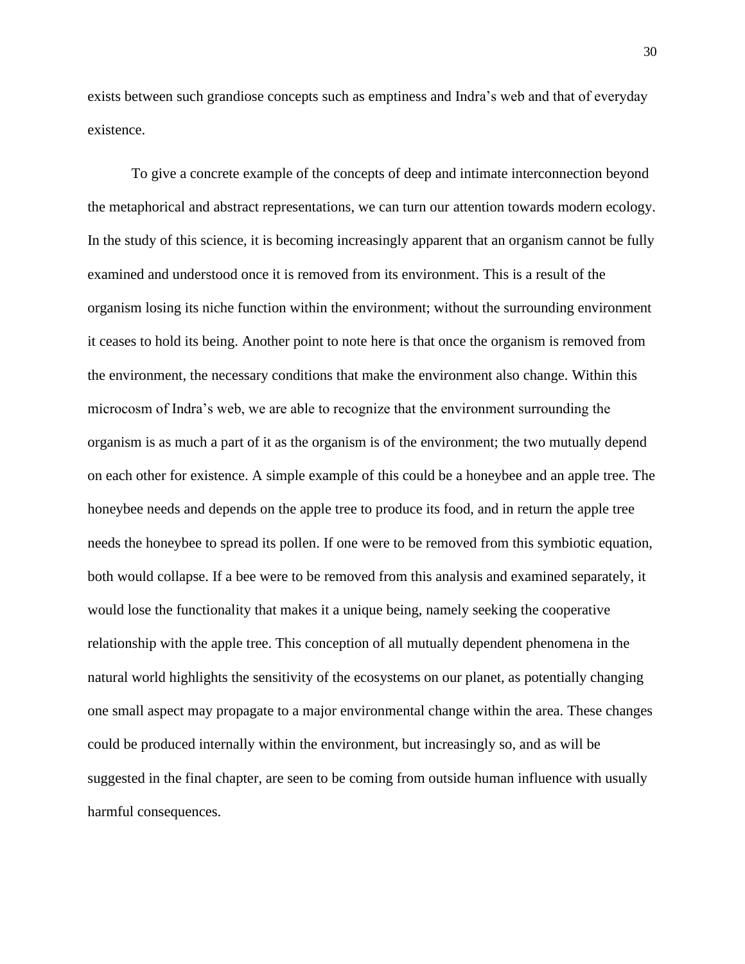exists between such grandiose concepts such as emptiness and Indra's web and that of everyday existence.

To give a concrete example of the concepts of deep and intimate interconnection beyond the metaphorical and abstract representations, we can turn our attention towards modern ecology. In the study of this science, it is becoming increasingly apparent that an organism cannot be fully examined and understood once it is removed from its environment. This is a result of the organism losing its niche function within the environment; without the surrounding environment it ceases to hold its being. Another point to note here is that once the organism is removed from the environment, the necessary conditions that make the environment also change. Within this microcosm of Indra's web, we are able to recognize that the environment surrounding the organism is as much a part of it as the organism is of the environment; the two mutually depend on each other for existence. A simple example of this could be a honeybee and an apple tree. The honeybee needs and depends on the apple tree to produce its food, and in return the apple tree needs the honeybee to spread its pollen. If one were to be removed from this symbiotic equation, both would collapse. If a bee were to be removed from this analysis and examined separately, it would lose the functionality that makes it a unique being, namely seeking the cooperative relationship with the apple tree. This conception of all mutually dependent phenomena in the natural world highlights the sensitivity of the ecosystems on our planet, as potentially changing one small aspect may propagate to a major environmental change within the area. These changes could be produced internally within the environment, but increasingly so, and as will be suggested in the final chapter, are seen to be coming from outside human influence with usually harmful consequences.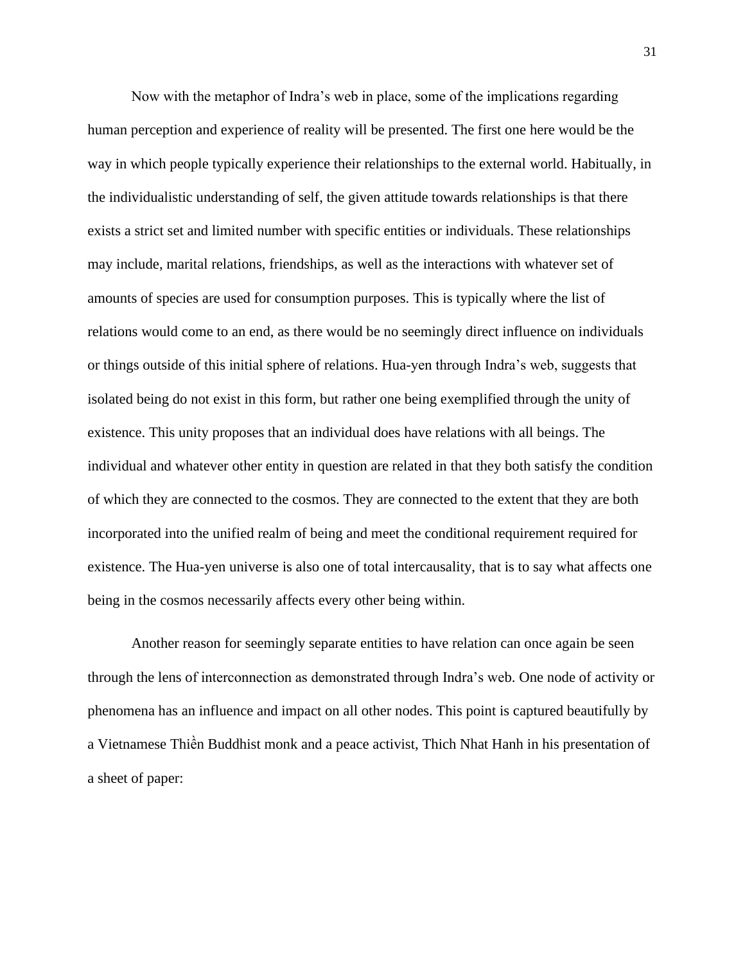Now with the metaphor of Indra's web in place, some of the implications regarding human perception and experience of reality will be presented. The first one here would be the way in which people typically experience their relationships to the external world. Habitually, in the individualistic understanding of self, the given attitude towards relationships is that there exists a strict set and limited number with specific entities or individuals. These relationships may include, marital relations, friendships, as well as the interactions with whatever set of amounts of species are used for consumption purposes. This is typically where the list of relations would come to an end, as there would be no seemingly direct influence on individuals or things outside of this initial sphere of relations. Hua-yen through Indra's web, suggests that isolated being do not exist in this form, but rather one being exemplified through the unity of existence. This unity proposes that an individual does have relations with all beings. The individual and whatever other entity in question are related in that they both satisfy the condition of which they are connected to the cosmos. They are connected to the extent that they are both incorporated into the unified realm of being and meet the conditional requirement required for existence. The Hua-yen universe is also one of total intercausality, that is to say what affects one being in the cosmos necessarily affects every other being within.

Another reason for seemingly separate entities to have relation can once again be seen through the lens of interconnection as demonstrated through Indra's web. One node of activity or phenomena has an influence and impact on all other nodes. This point is captured beautifully by a Vietnamese Thiền Buddhist monk and a peace activist, Thich Nhat Hanh in his presentation of a sheet of paper: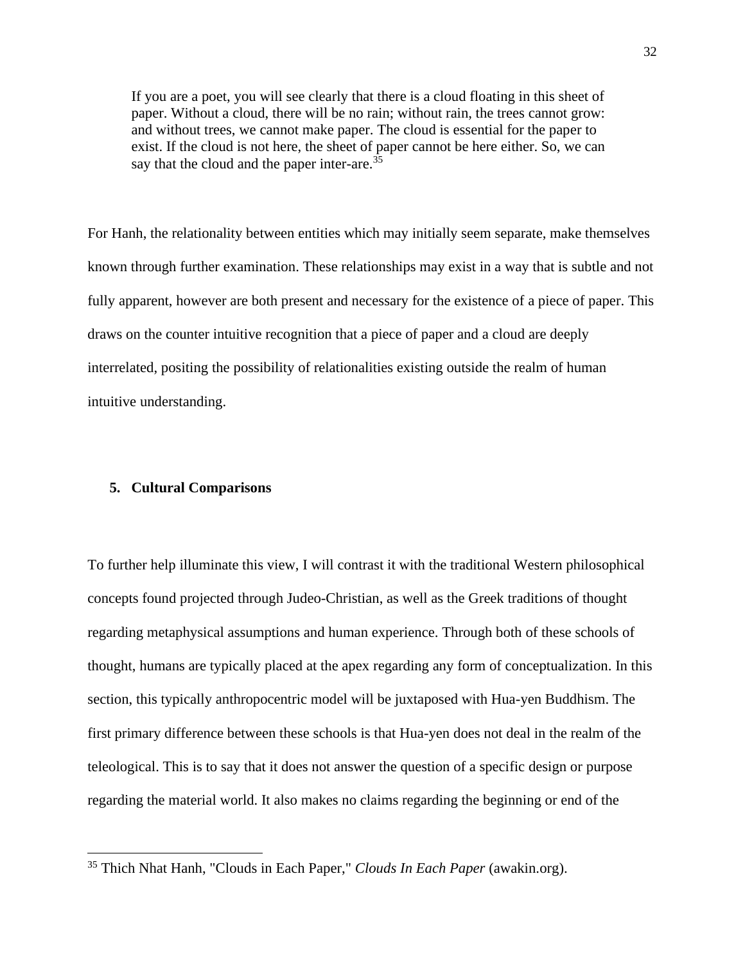If you are a poet, you will see clearly that there is a cloud floating in this sheet of paper. Without a cloud, there will be no rain; without rain, the trees cannot grow: and without trees, we cannot make paper. The cloud is essential for the paper to exist. If the cloud is not here, the sheet of paper cannot be here either. So, we can say that the cloud and the paper inter-are.<sup>35</sup>

For Hanh, the relationality between entities which may initially seem separate, make themselves known through further examination. These relationships may exist in a way that is subtle and not fully apparent, however are both present and necessary for the existence of a piece of paper. This draws on the counter intuitive recognition that a piece of paper and a cloud are deeply interrelated, positing the possibility of relationalities existing outside the realm of human intuitive understanding.

### **5. Cultural Comparisons**

To further help illuminate this view, I will contrast it with the traditional Western philosophical concepts found projected through Judeo-Christian, as well as the Greek traditions of thought regarding metaphysical assumptions and human experience. Through both of these schools of thought, humans are typically placed at the apex regarding any form of conceptualization. In this section, this typically anthropocentric model will be juxtaposed with Hua-yen Buddhism. The first primary difference between these schools is that Hua-yen does not deal in the realm of the teleological. This is to say that it does not answer the question of a specific design or purpose regarding the material world. It also makes no claims regarding the beginning or end of the

<sup>35</sup> Thich Nhat Hanh, "Clouds in Each Paper," *Clouds In Each Paper* (awakin.org).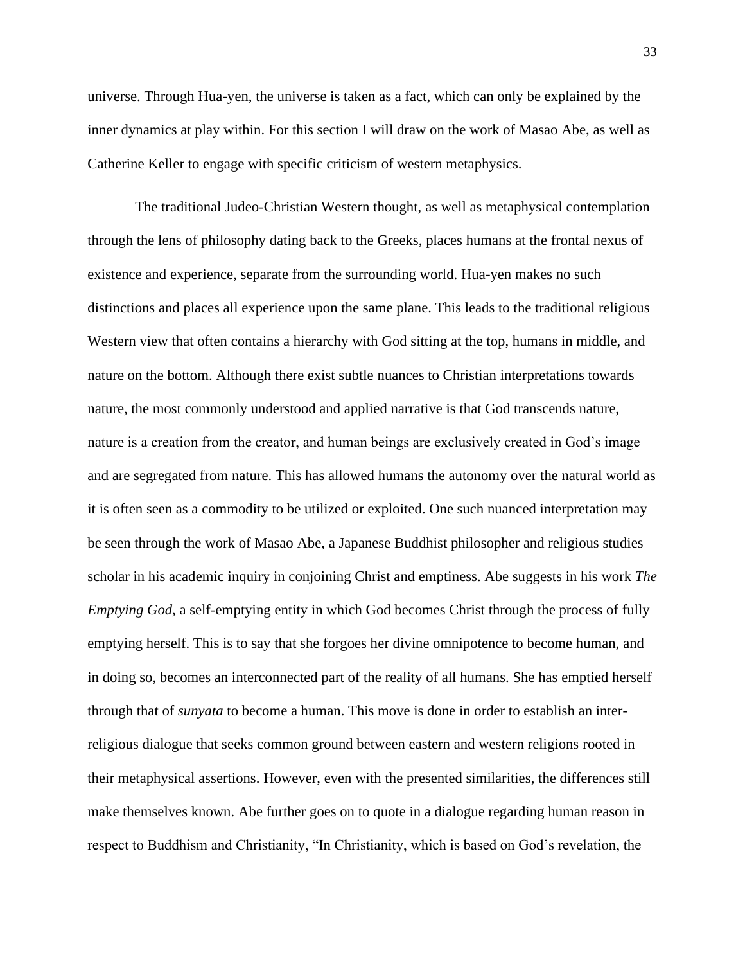universe. Through Hua-yen, the universe is taken as a fact, which can only be explained by the inner dynamics at play within. For this section I will draw on the work of Masao Abe, as well as Catherine Keller to engage with specific criticism of western metaphysics.

The traditional Judeo-Christian Western thought, as well as metaphysical contemplation through the lens of philosophy dating back to the Greeks, places humans at the frontal nexus of existence and experience, separate from the surrounding world. Hua-yen makes no such distinctions and places all experience upon the same plane. This leads to the traditional religious Western view that often contains a hierarchy with God sitting at the top, humans in middle, and nature on the bottom. Although there exist subtle nuances to Christian interpretations towards nature, the most commonly understood and applied narrative is that God transcends nature, nature is a creation from the creator, and human beings are exclusively created in God's image and are segregated from nature. This has allowed humans the autonomy over the natural world as it is often seen as a commodity to be utilized or exploited. One such nuanced interpretation may be seen through the work of Masao Abe, a Japanese Buddhist philosopher and religious studies scholar in his academic inquiry in conjoining Christ and emptiness. Abe suggests in his work *The Emptying God*, a self-emptying entity in which God becomes Christ through the process of fully emptying herself. This is to say that she forgoes her divine omnipotence to become human, and in doing so, becomes an interconnected part of the reality of all humans. She has emptied herself through that of *sunyata* to become a human. This move is done in order to establish an interreligious dialogue that seeks common ground between eastern and western religions rooted in their metaphysical assertions. However, even with the presented similarities, the differences still make themselves known. Abe further goes on to quote in a dialogue regarding human reason in respect to Buddhism and Christianity, "In Christianity, which is based on God's revelation, the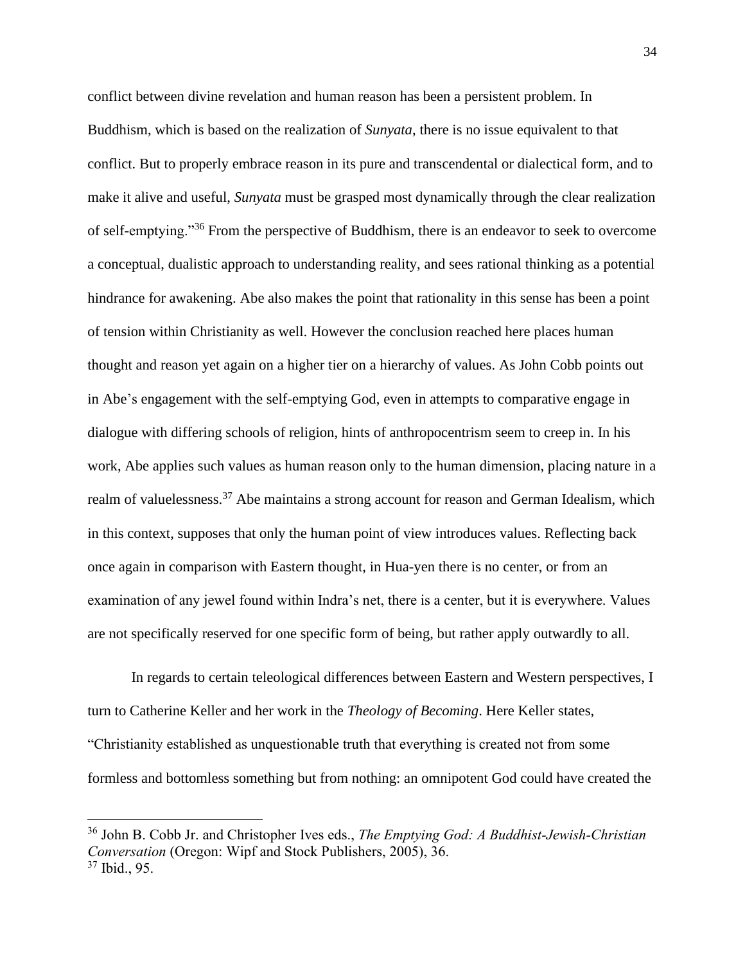conflict between divine revelation and human reason has been a persistent problem. In Buddhism, which is based on the realization of *Sunyata*, there is no issue equivalent to that conflict. But to properly embrace reason in its pure and transcendental or dialectical form, and to make it alive and useful, *Sunyata* must be grasped most dynamically through the clear realization of self-emptying."<sup>36</sup> From the perspective of Buddhism, there is an endeavor to seek to overcome a conceptual, dualistic approach to understanding reality, and sees rational thinking as a potential hindrance for awakening. Abe also makes the point that rationality in this sense has been a point of tension within Christianity as well. However the conclusion reached here places human thought and reason yet again on a higher tier on a hierarchy of values. As John Cobb points out in Abe's engagement with the self-emptying God, even in attempts to comparative engage in dialogue with differing schools of religion, hints of anthropocentrism seem to creep in. In his work, Abe applies such values as human reason only to the human dimension, placing nature in a realm of valuelessness.<sup>37</sup> Abe maintains a strong account for reason and German Idealism, which in this context, supposes that only the human point of view introduces values. Reflecting back once again in comparison with Eastern thought, in Hua-yen there is no center, or from an examination of any jewel found within Indra's net, there is a center, but it is everywhere. Values are not specifically reserved for one specific form of being, but rather apply outwardly to all.

In regards to certain teleological differences between Eastern and Western perspectives, I turn to Catherine Keller and her work in the *Theology of Becoming*. Here Keller states, "Christianity established as unquestionable truth that everything is created not from some formless and bottomless something but from nothing: an omnipotent God could have created the

<sup>36</sup> John B. Cobb Jr. and Christopher Ives eds., *The Emptying God: A Buddhist-Jewish-Christian Conversation* (Oregon: Wipf and Stock Publishers, 2005), 36. <sup>37</sup> Ibid., 95.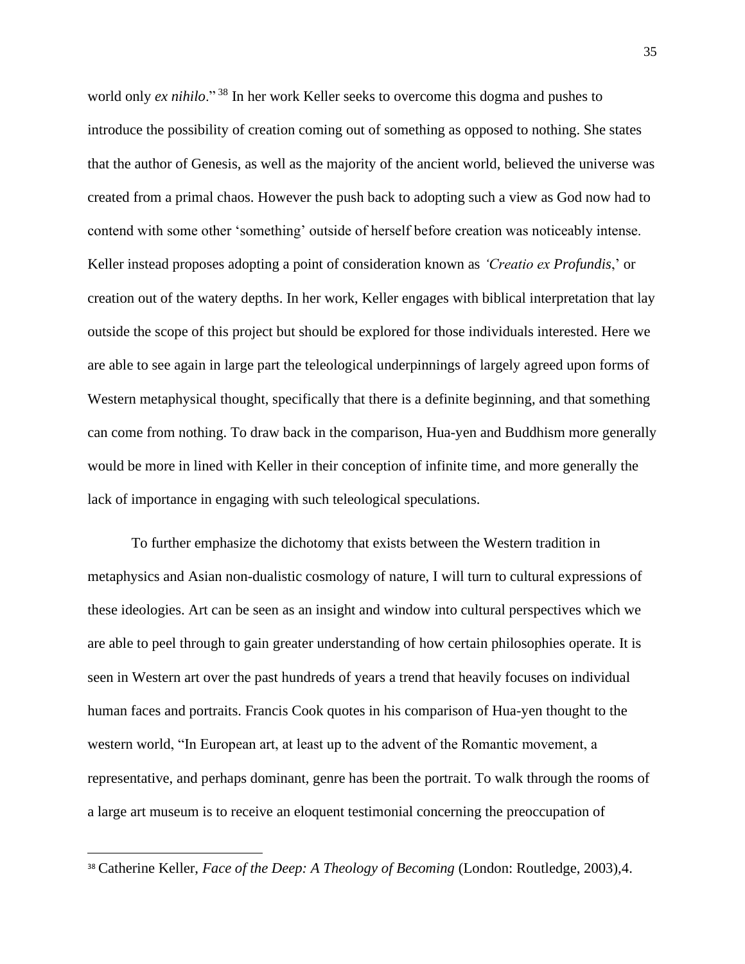world only *ex nihilo*." <sup>38</sup> In her work Keller seeks to overcome this dogma and pushes to introduce the possibility of creation coming out of something as opposed to nothing. She states that the author of Genesis, as well as the majority of the ancient world, believed the universe was created from a primal chaos. However the push back to adopting such a view as God now had to contend with some other 'something' outside of herself before creation was noticeably intense. Keller instead proposes adopting a point of consideration known as *'Creatio ex Profundis*,' or creation out of the watery depths. In her work, Keller engages with biblical interpretation that lay outside the scope of this project but should be explored for those individuals interested. Here we are able to see again in large part the teleological underpinnings of largely agreed upon forms of Western metaphysical thought, specifically that there is a definite beginning, and that something can come from nothing. To draw back in the comparison, Hua-yen and Buddhism more generally would be more in lined with Keller in their conception of infinite time, and more generally the lack of importance in engaging with such teleological speculations.

To further emphasize the dichotomy that exists between the Western tradition in metaphysics and Asian non-dualistic cosmology of nature, I will turn to cultural expressions of these ideologies. Art can be seen as an insight and window into cultural perspectives which we are able to peel through to gain greater understanding of how certain philosophies operate. It is seen in Western art over the past hundreds of years a trend that heavily focuses on individual human faces and portraits. Francis Cook quotes in his comparison of Hua-yen thought to the western world, "In European art, at least up to the advent of the Romantic movement, a representative, and perhaps dominant, genre has been the portrait. To walk through the rooms of a large art museum is to receive an eloquent testimonial concerning the preoccupation of

<sup>38</sup> Catherine Keller, *Face of the Deep: A Theology of Becoming* (London: Routledge, 2003),4.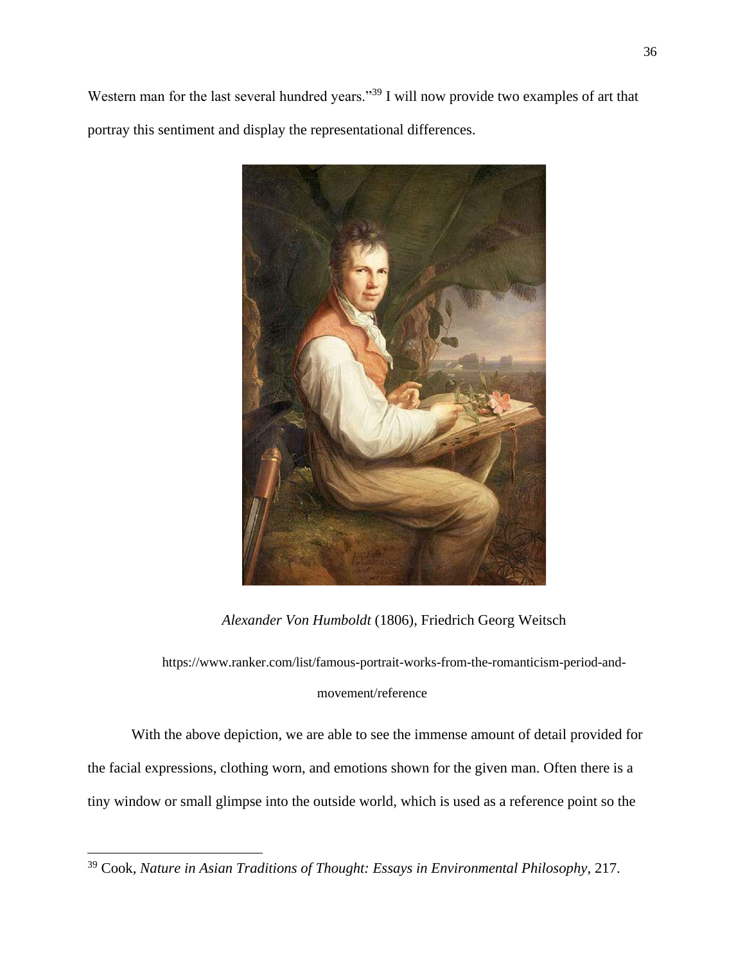Western man for the last several hundred years."<sup>39</sup> I will now provide two examples of art that portray this sentiment and display the representational differences.



*Alexander Von Humboldt* (1806), Friedrich Georg Weitsch

https://www.ranker.com/list/famous-portrait-works-from-the-romanticism-period-andmovement/reference

With the above depiction, we are able to see the immense amount of detail provided for the facial expressions, clothing worn, and emotions shown for the given man. Often there is a tiny window or small glimpse into the outside world, which is used as a reference point so the

<sup>39</sup> Cook, *Nature in Asian Traditions of Thought: Essays in Environmental Philosophy*, 217.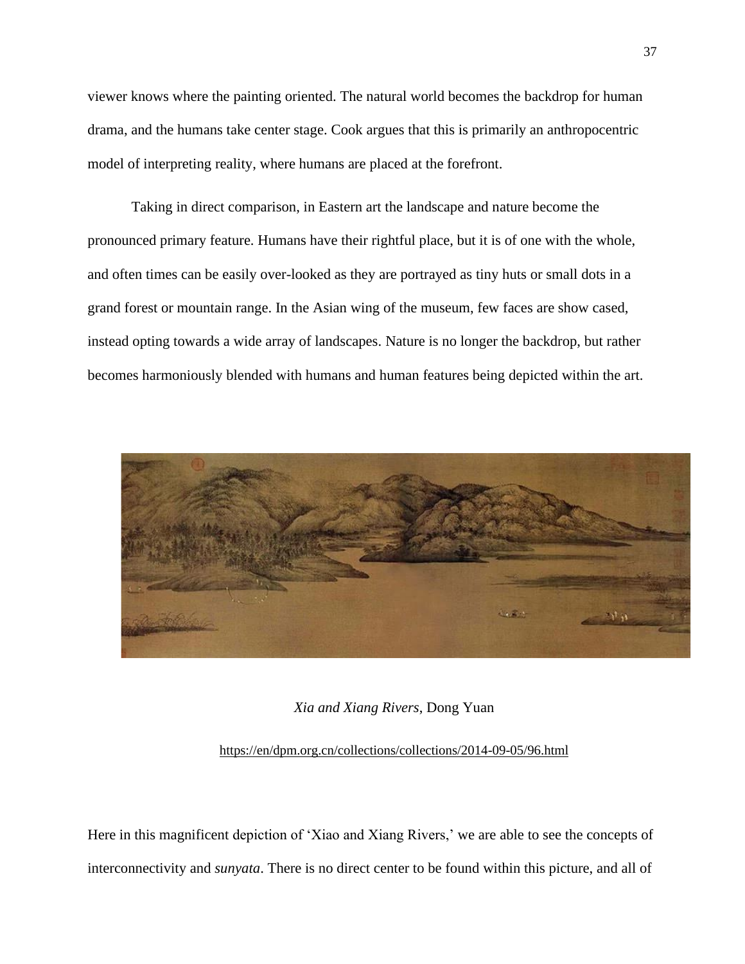viewer knows where the painting oriented. The natural world becomes the backdrop for human drama, and the humans take center stage. Cook argues that this is primarily an anthropocentric model of interpreting reality, where humans are placed at the forefront.

Taking in direct comparison, in Eastern art the landscape and nature become the pronounced primary feature. Humans have their rightful place, but it is of one with the whole, and often times can be easily over-looked as they are portrayed as tiny huts or small dots in a grand forest or mountain range. In the Asian wing of the museum, few faces are show cased, instead opting towards a wide array of landscapes. Nature is no longer the backdrop, but rather becomes harmoniously blended with humans and human features being depicted within the art.



#### *Xia and Xiang Rivers*, Dong Yuan

### [https://en/dpm.org.cn/collections/collections/2014-09-05/96.html](about:blank)

Here in this magnificent depiction of 'Xiao and Xiang Rivers,' we are able to see the concepts of interconnectivity and *sunyata*. There is no direct center to be found within this picture, and all of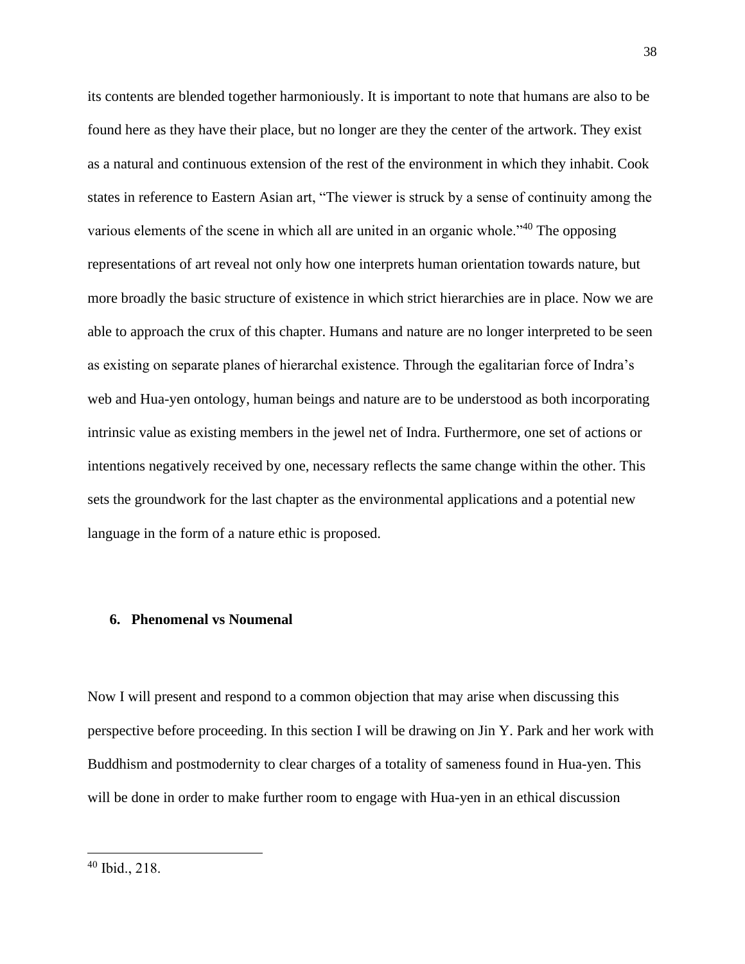its contents are blended together harmoniously. It is important to note that humans are also to be found here as they have their place, but no longer are they the center of the artwork. They exist as a natural and continuous extension of the rest of the environment in which they inhabit. Cook states in reference to Eastern Asian art, "The viewer is struck by a sense of continuity among the various elements of the scene in which all are united in an organic whole."<sup>40</sup> The opposing representations of art reveal not only how one interprets human orientation towards nature, but more broadly the basic structure of existence in which strict hierarchies are in place. Now we are able to approach the crux of this chapter. Humans and nature are no longer interpreted to be seen as existing on separate planes of hierarchal existence. Through the egalitarian force of Indra's web and Hua-yen ontology, human beings and nature are to be understood as both incorporating intrinsic value as existing members in the jewel net of Indra. Furthermore, one set of actions or intentions negatively received by one, necessary reflects the same change within the other. This sets the groundwork for the last chapter as the environmental applications and a potential new language in the form of a nature ethic is proposed.

### **6. Phenomenal vs Noumenal**

Now I will present and respond to a common objection that may arise when discussing this perspective before proceeding. In this section I will be drawing on Jin Y. Park and her work with Buddhism and postmodernity to clear charges of a totality of sameness found in Hua-yen. This will be done in order to make further room to engage with Hua-yen in an ethical discussion

<sup>40</sup> Ibid., 218.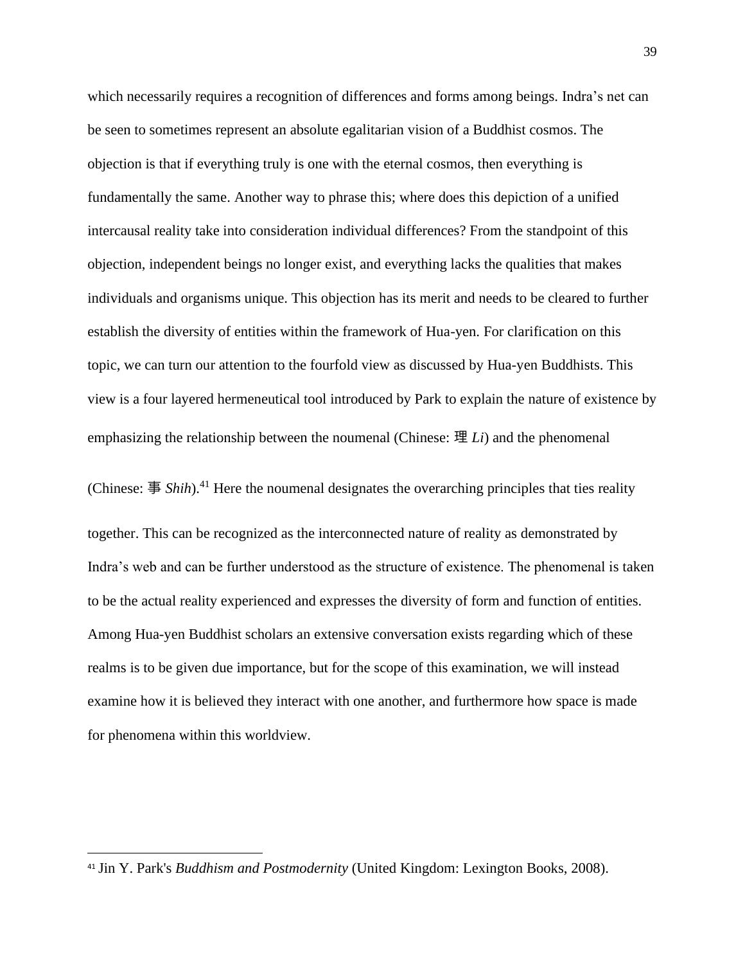which necessarily requires a recognition of differences and forms among beings. Indra's net can be seen to sometimes represent an absolute egalitarian vision of a Buddhist cosmos. The objection is that if everything truly is one with the eternal cosmos, then everything is fundamentally the same. Another way to phrase this; where does this depiction of a unified intercausal reality take into consideration individual differences? From the standpoint of this objection, independent beings no longer exist, and everything lacks the qualities that makes individuals and organisms unique. This objection has its merit and needs to be cleared to further establish the diversity of entities within the framework of Hua-yen. For clarification on this topic, we can turn our attention to the fourfold view as discussed by Hua-yen Buddhists. This view is a four layered hermeneutical tool introduced by Park to explain the nature of existence by emphasizing the relationship between the noumenal (Chinese: 理 *Li*) and the phenomenal

together. This can be recognized as the interconnected nature of reality as demonstrated by Indra's web and can be further understood as the structure of existence. The phenomenal is taken to be the actual reality experienced and expresses the diversity of form and function of entities. Among Hua-yen Buddhist scholars an extensive conversation exists regarding which of these realms is to be given due importance, but for the scope of this examination, we will instead examine how it is believed they interact with one another, and furthermore how space is made for phenomena within this worldview.

(Chinese: 事 *Shih*).<sup>41</sup> Here the noumenal designates the overarching principles that ties reality

<sup>41</sup> Jin Y. Park's *Buddhism and Postmodernity* (United Kingdom: Lexington Books, 2008).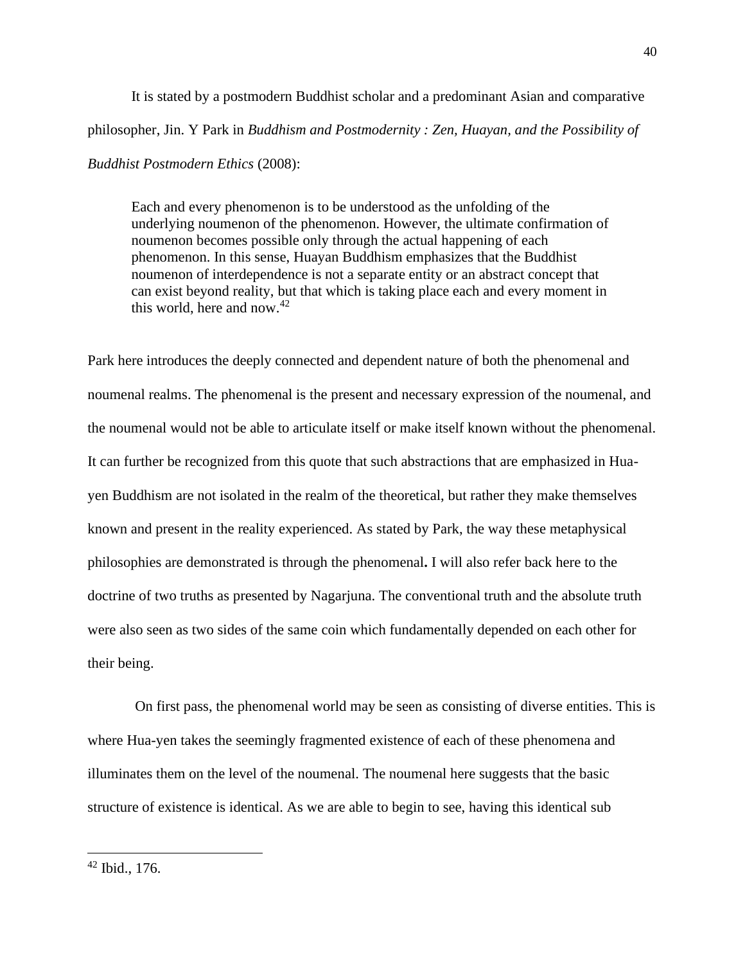It is stated by a postmodern Buddhist scholar and a predominant Asian and comparative philosopher, Jin. Y Park in *Buddhism and Postmodernity : Zen, Huayan, and the Possibility of Buddhist Postmodern Ethics* (2008):

Each and every phenomenon is to be understood as the unfolding of the underlying noumenon of the phenomenon. However, the ultimate confirmation of noumenon becomes possible only through the actual happening of each phenomenon. In this sense, Huayan Buddhism emphasizes that the Buddhist noumenon of interdependence is not a separate entity or an abstract concept that can exist beyond reality, but that which is taking place each and every moment in this world, here and now. $42$ 

Park here introduces the deeply connected and dependent nature of both the phenomenal and noumenal realms. The phenomenal is the present and necessary expression of the noumenal, and the noumenal would not be able to articulate itself or make itself known without the phenomenal. It can further be recognized from this quote that such abstractions that are emphasized in Huayen Buddhism are not isolated in the realm of the theoretical, but rather they make themselves known and present in the reality experienced. As stated by Park, the way these metaphysical philosophies are demonstrated is through the phenomenal**.** I will also refer back here to the doctrine of two truths as presented by Nagarjuna. The conventional truth and the absolute truth were also seen as two sides of the same coin which fundamentally depended on each other for their being.

On first pass, the phenomenal world may be seen as consisting of diverse entities. This is where Hua-yen takes the seemingly fragmented existence of each of these phenomena and illuminates them on the level of the noumenal. The noumenal here suggests that the basic structure of existence is identical. As we are able to begin to see, having this identical sub

 $42$  Ibid., 176.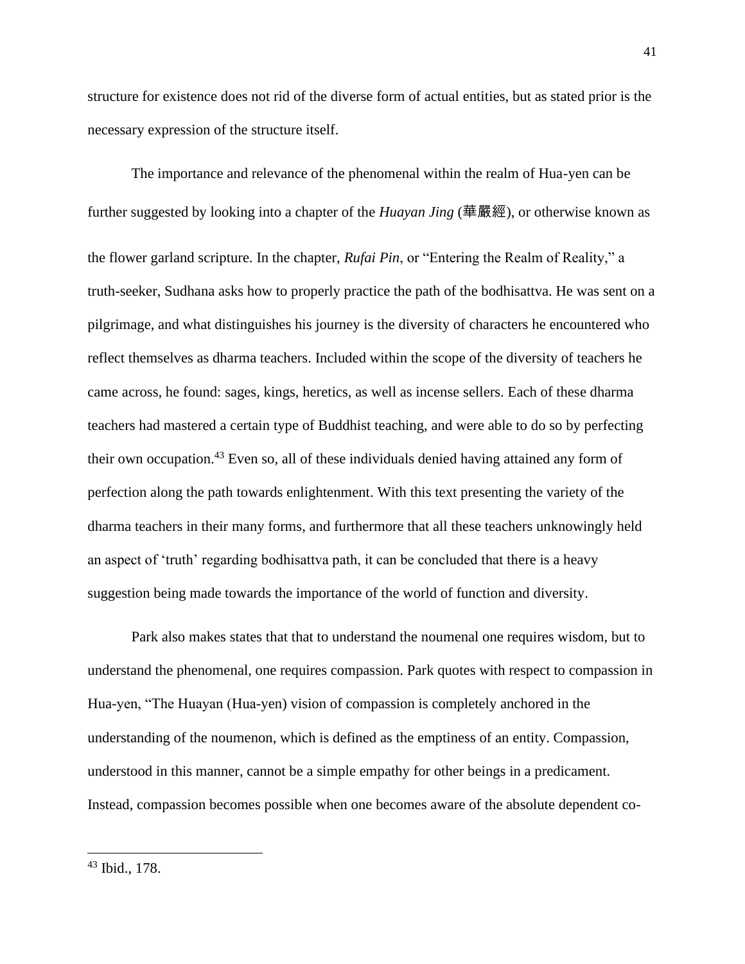structure for existence does not rid of the diverse form of actual entities, but as stated prior is the necessary expression of the structure itself.

The importance and relevance of the phenomenal within the realm of Hua-yen can be further suggested by looking into a chapter of the *Huayan Jing* (華嚴經), or otherwise known as the flower garland scripture. In the chapter, *Rufai Pin*, or "Entering the Realm of Reality," a truth-seeker, Sudhana asks how to properly practice the path of the bodhisattva. He was sent on a pilgrimage, and what distinguishes his journey is the diversity of characters he encountered who reflect themselves as dharma teachers. Included within the scope of the diversity of teachers he came across, he found: sages, kings, heretics, as well as incense sellers. Each of these dharma teachers had mastered a certain type of Buddhist teaching, and were able to do so by perfecting their own occupation.<sup>43</sup> Even so, all of these individuals denied having attained any form of perfection along the path towards enlightenment. With this text presenting the variety of the dharma teachers in their many forms, and furthermore that all these teachers unknowingly held an aspect of 'truth' regarding bodhisattva path, it can be concluded that there is a heavy suggestion being made towards the importance of the world of function and diversity.

Park also makes states that that to understand the noumenal one requires wisdom, but to understand the phenomenal, one requires compassion. Park quotes with respect to compassion in Hua-yen, "The Huayan (Hua-yen) vision of compassion is completely anchored in the understanding of the noumenon, which is defined as the emptiness of an entity. Compassion, understood in this manner, cannot be a simple empathy for other beings in a predicament. Instead, compassion becomes possible when one becomes aware of the absolute dependent co-

<sup>43</sup> Ibid., 178.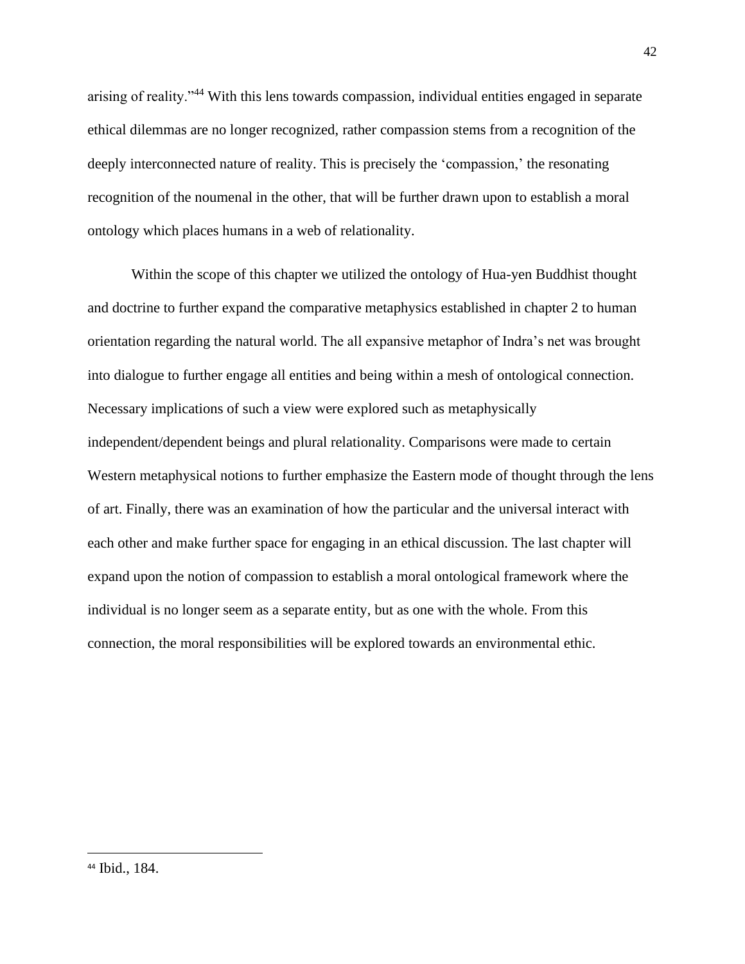arising of reality."<sup>44</sup> With this lens towards compassion, individual entities engaged in separate ethical dilemmas are no longer recognized, rather compassion stems from a recognition of the deeply interconnected nature of reality. This is precisely the 'compassion,' the resonating recognition of the noumenal in the other, that will be further drawn upon to establish a moral ontology which places humans in a web of relationality.

Within the scope of this chapter we utilized the ontology of Hua-yen Buddhist thought and doctrine to further expand the comparative metaphysics established in chapter 2 to human orientation regarding the natural world. The all expansive metaphor of Indra's net was brought into dialogue to further engage all entities and being within a mesh of ontological connection. Necessary implications of such a view were explored such as metaphysically independent/dependent beings and plural relationality. Comparisons were made to certain Western metaphysical notions to further emphasize the Eastern mode of thought through the lens of art. Finally, there was an examination of how the particular and the universal interact with each other and make further space for engaging in an ethical discussion. The last chapter will expand upon the notion of compassion to establish a moral ontological framework where the individual is no longer seem as a separate entity, but as one with the whole. From this connection, the moral responsibilities will be explored towards an environmental ethic.

<sup>44</sup> Ibid., 184.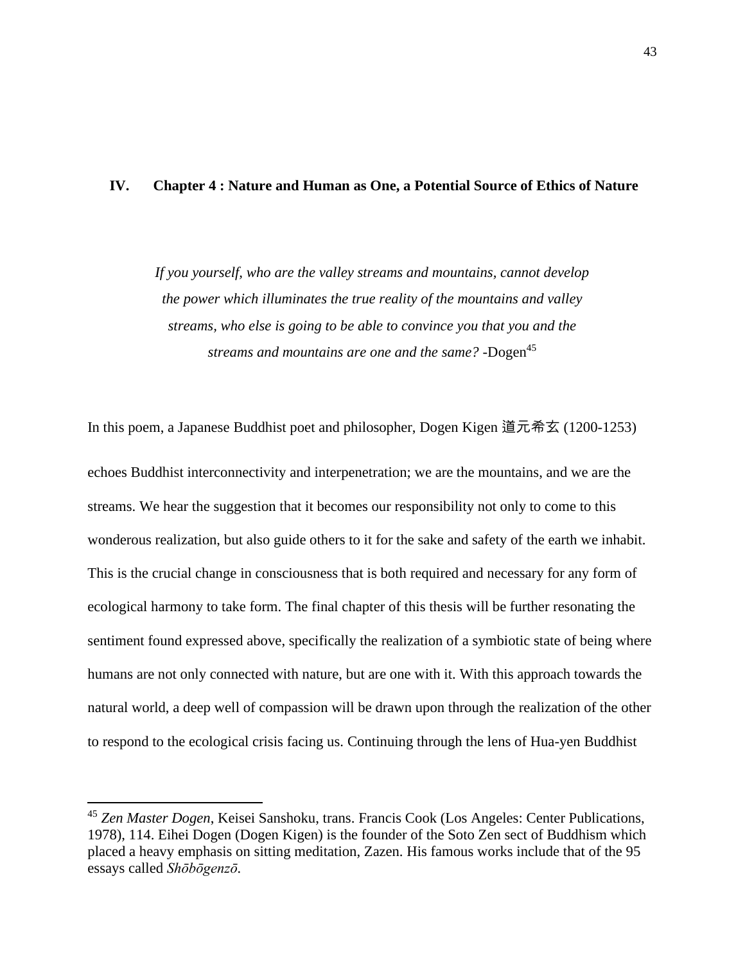### **IV. Chapter 4 : Nature and Human as One, a Potential Source of Ethics of Nature**

*If you yourself, who are the valley streams and mountains, cannot develop the power which illuminates the true reality of the mountains and valley streams, who else is going to be able to convince you that you and the streams and mountains are one and the same?* -Dogen<sup>45</sup>

In this poem, a Japanese Buddhist poet and philosopher, Dogen Kigen 道元希玄 (1200-1253) echoes Buddhist interconnectivity and interpenetration; we are the mountains, and we are the streams. We hear the suggestion that it becomes our responsibility not only to come to this wonderous realization, but also guide others to it for the sake and safety of the earth we inhabit. This is the crucial change in consciousness that is both required and necessary for any form of ecological harmony to take form. The final chapter of this thesis will be further resonating the sentiment found expressed above, specifically the realization of a symbiotic state of being where humans are not only connected with nature, but are one with it. With this approach towards the natural world, a deep well of compassion will be drawn upon through the realization of the other to respond to the ecological crisis facing us. Continuing through the lens of Hua-yen Buddhist

<sup>45</sup> *Zen Master Dogen*, Keisei Sanshoku, trans. Francis Cook (Los Angeles: Center Publications, 1978), 114. Eihei Dogen (Dogen Kigen) is the founder of the Soto Zen sect of Buddhism which placed a heavy emphasis on sitting meditation, Zazen. His famous works include that of the 95 essays called *[Shōbōgenzō.](about:blank)*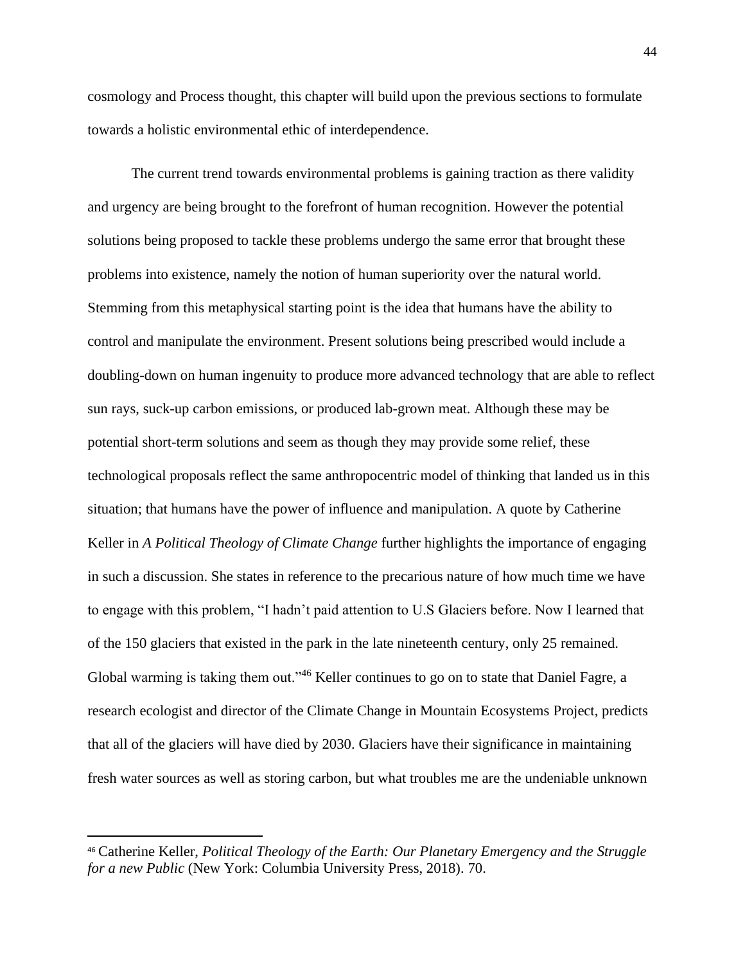cosmology and Process thought, this chapter will build upon the previous sections to formulate towards a holistic environmental ethic of interdependence.

The current trend towards environmental problems is gaining traction as there validity and urgency are being brought to the forefront of human recognition. However the potential solutions being proposed to tackle these problems undergo the same error that brought these problems into existence, namely the notion of human superiority over the natural world. Stemming from this metaphysical starting point is the idea that humans have the ability to control and manipulate the environment. Present solutions being prescribed would include a doubling-down on human ingenuity to produce more advanced technology that are able to reflect sun rays, suck-up carbon emissions, or produced lab-grown meat. Although these may be potential short-term solutions and seem as though they may provide some relief, these technological proposals reflect the same anthropocentric model of thinking that landed us in this situation; that humans have the power of influence and manipulation. A quote by Catherine Keller in *A Political Theology of Climate Change* further highlights the importance of engaging in such a discussion. She states in reference to the precarious nature of how much time we have to engage with this problem, "I hadn't paid attention to U.S Glaciers before. Now I learned that of the 150 glaciers that existed in the park in the late nineteenth century, only 25 remained. Global warming is taking them out."<sup>46</sup> Keller continues to go on to state that Daniel Fagre, a research ecologist and director of the Climate Change in Mountain Ecosystems Project, predicts that all of the glaciers will have died by 2030. Glaciers have their significance in maintaining fresh water sources as well as storing carbon, but what troubles me are the undeniable unknown

<sup>46</sup> Catherine Keller, *Political Theology of the Earth: Our Planetary Emergency and the Struggle for a new Public* (New York: Columbia University Press, 2018). 70.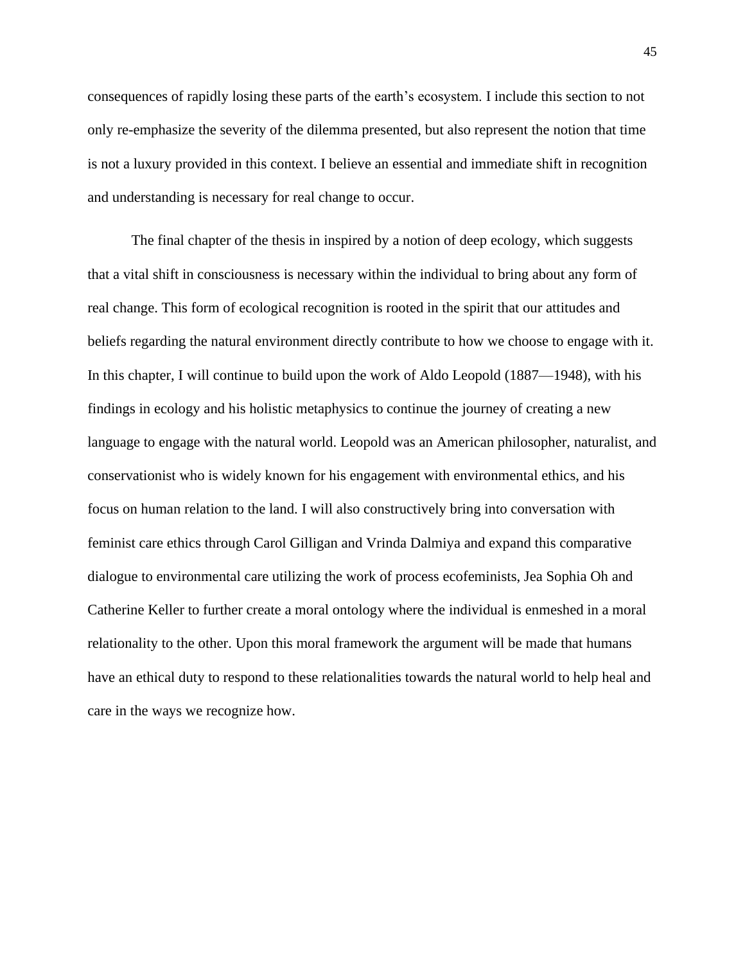consequences of rapidly losing these parts of the earth's ecosystem. I include this section to not only re-emphasize the severity of the dilemma presented, but also represent the notion that time is not a luxury provided in this context. I believe an essential and immediate shift in recognition and understanding is necessary for real change to occur.

The final chapter of the thesis in inspired by a notion of deep ecology, which suggests that a vital shift in consciousness is necessary within the individual to bring about any form of real change. This form of ecological recognition is rooted in the spirit that our attitudes and beliefs regarding the natural environment directly contribute to how we choose to engage with it. In this chapter, I will continue to build upon the work of Aldo Leopold (1887—1948), with his findings in ecology and his holistic metaphysics to continue the journey of creating a new language to engage with the natural world. Leopold was an American philosopher, naturalist, and conservationist who is widely known for his engagement with environmental ethics, and his focus on human relation to the land. I will also constructively bring into conversation with feminist care ethics through Carol Gilligan and Vrinda Dalmiya and expand this comparative dialogue to environmental care utilizing the work of process ecofeminists, Jea Sophia Oh and Catherine Keller to further create a moral ontology where the individual is enmeshed in a moral relationality to the other. Upon this moral framework the argument will be made that humans have an ethical duty to respond to these relationalities towards the natural world to help heal and care in the ways we recognize how.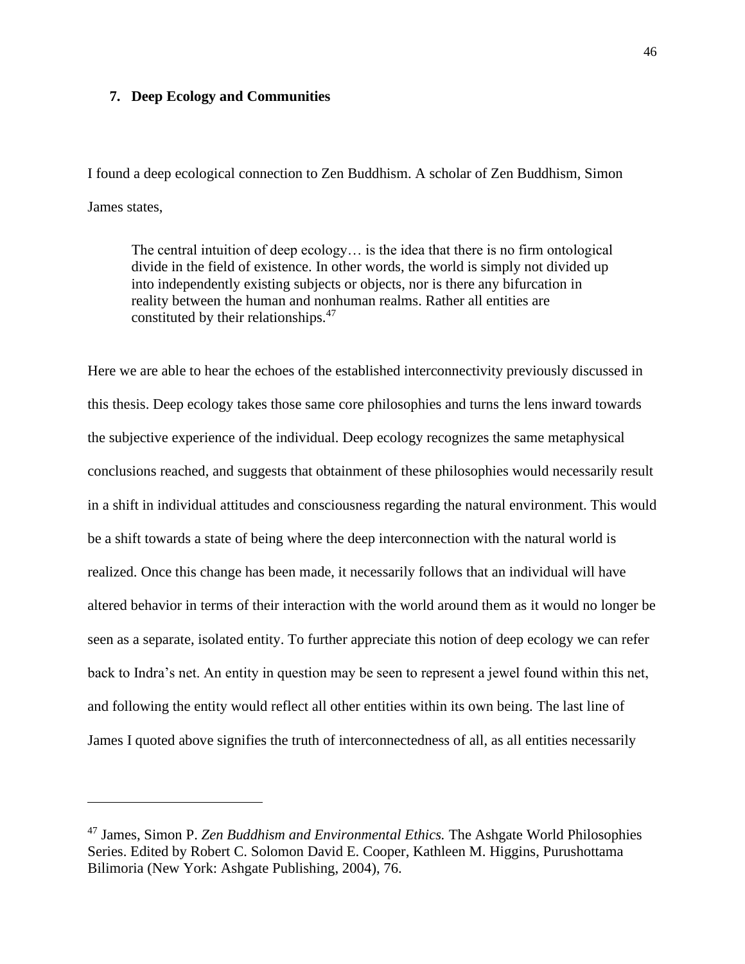### **7. Deep Ecology and Communities**

I found a deep ecological connection to Zen Buddhism. A scholar of Zen Buddhism, Simon James states,

The central intuition of deep ecology… is the idea that there is no firm ontological divide in the field of existence. In other words, the world is simply not divided up into independently existing subjects or objects, nor is there any bifurcation in reality between the human and nonhuman realms. Rather all entities are constituted by their relationships.<sup>47</sup>

Here we are able to hear the echoes of the established interconnectivity previously discussed in this thesis. Deep ecology takes those same core philosophies and turns the lens inward towards the subjective experience of the individual. Deep ecology recognizes the same metaphysical conclusions reached, and suggests that obtainment of these philosophies would necessarily result in a shift in individual attitudes and consciousness regarding the natural environment. This would be a shift towards a state of being where the deep interconnection with the natural world is realized. Once this change has been made, it necessarily follows that an individual will have altered behavior in terms of their interaction with the world around them as it would no longer be seen as a separate, isolated entity. To further appreciate this notion of deep ecology we can refer back to Indra's net. An entity in question may be seen to represent a jewel found within this net, and following the entity would reflect all other entities within its own being. The last line of James I quoted above signifies the truth of interconnectedness of all, as all entities necessarily

<sup>47</sup> James, Simon P. *Zen Buddhism and Environmental Ethics.* The Ashgate World Philosophies Series. Edited by Robert C. Solomon David E. Cooper, Kathleen M. Higgins, Purushottama Bilimoria (New York: Ashgate Publishing, 2004), 76.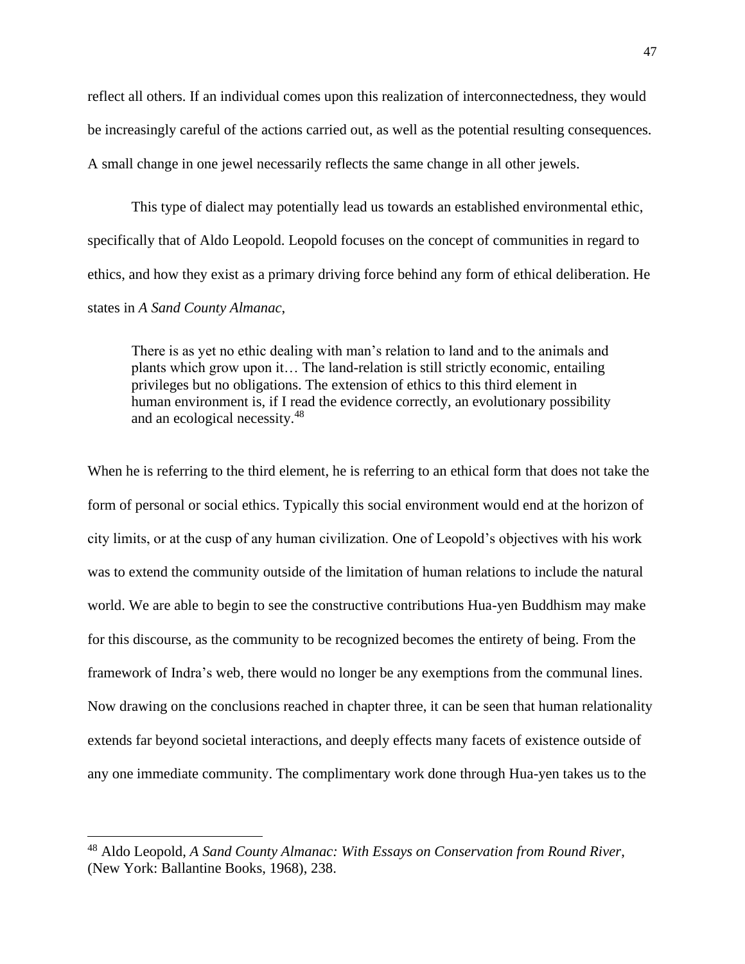reflect all others. If an individual comes upon this realization of interconnectedness, they would be increasingly careful of the actions carried out, as well as the potential resulting consequences. A small change in one jewel necessarily reflects the same change in all other jewels.

This type of dialect may potentially lead us towards an established environmental ethic, specifically that of Aldo Leopold. Leopold focuses on the concept of communities in regard to ethics, and how they exist as a primary driving force behind any form of ethical deliberation. He states in *A Sand County Almanac*,

There is as yet no ethic dealing with man's relation to land and to the animals and plants which grow upon it… The land-relation is still strictly economic, entailing privileges but no obligations. The extension of ethics to this third element in human environment is, if I read the evidence correctly, an evolutionary possibility and an ecological necessity.<sup>48</sup>

When he is referring to the third element, he is referring to an ethical form that does not take the form of personal or social ethics. Typically this social environment would end at the horizon of city limits, or at the cusp of any human civilization. One of Leopold's objectives with his work was to extend the community outside of the limitation of human relations to include the natural world. We are able to begin to see the constructive contributions Hua-yen Buddhism may make for this discourse, as the community to be recognized becomes the entirety of being. From the framework of Indra's web, there would no longer be any exemptions from the communal lines. Now drawing on the conclusions reached in chapter three, it can be seen that human relationality extends far beyond societal interactions, and deeply effects many facets of existence outside of any one immediate community. The complimentary work done through Hua-yen takes us to the

<sup>48</sup> Aldo Leopold, *A Sand County Almanac: With Essays on Conservation from Round River*, (New York: Ballantine Books, 1968), 238.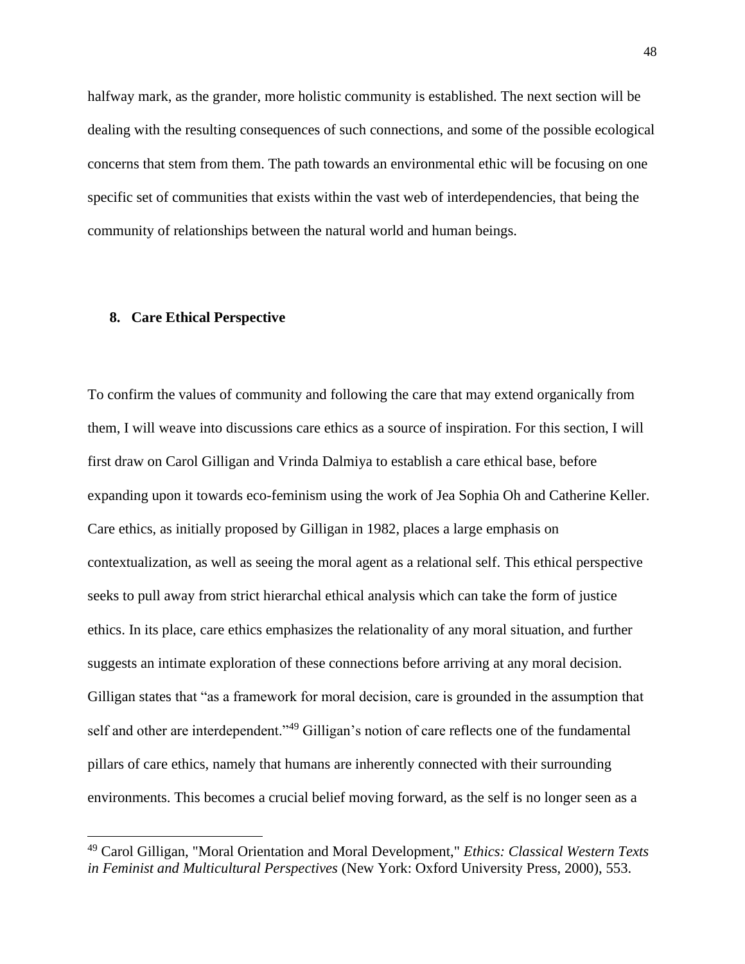halfway mark, as the grander, more holistic community is established. The next section will be dealing with the resulting consequences of such connections, and some of the possible ecological concerns that stem from them. The path towards an environmental ethic will be focusing on one specific set of communities that exists within the vast web of interdependencies, that being the community of relationships between the natural world and human beings.

### **8. Care Ethical Perspective**

To confirm the values of community and following the care that may extend organically from them, I will weave into discussions care ethics as a source of inspiration. For this section, I will first draw on Carol Gilligan and Vrinda Dalmiya to establish a care ethical base, before expanding upon it towards eco-feminism using the work of Jea Sophia Oh and Catherine Keller. Care ethics, as initially proposed by Gilligan in 1982, places a large emphasis on contextualization, as well as seeing the moral agent as a relational self. This ethical perspective seeks to pull away from strict hierarchal ethical analysis which can take the form of justice ethics. In its place, care ethics emphasizes the relationality of any moral situation, and further suggests an intimate exploration of these connections before arriving at any moral decision. Gilligan states that "as a framework for moral decision, care is grounded in the assumption that self and other are interdependent."<sup>49</sup> Gilligan's notion of care reflects one of the fundamental pillars of care ethics, namely that humans are inherently connected with their surrounding environments. This becomes a crucial belief moving forward, as the self is no longer seen as a

<sup>49</sup> Carol Gilligan, "Moral Orientation and Moral Development," *Ethics: Classical Western Texts in Feminist and Multicultural Perspectives* (New York: Oxford University Press, 2000), 553.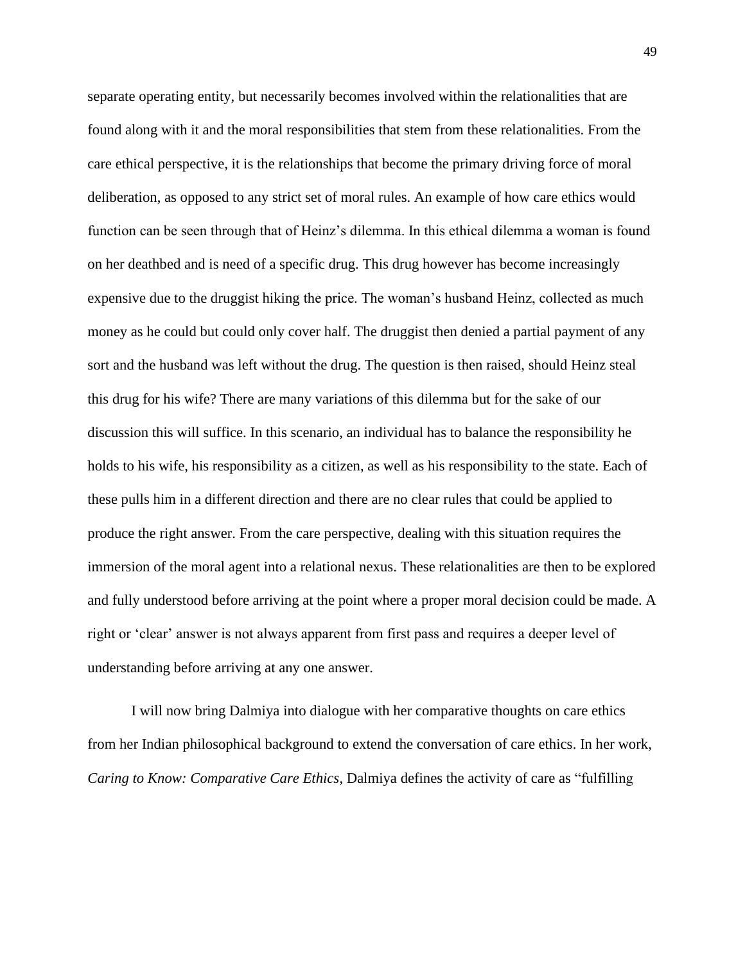separate operating entity, but necessarily becomes involved within the relationalities that are found along with it and the moral responsibilities that stem from these relationalities. From the care ethical perspective, it is the relationships that become the primary driving force of moral deliberation, as opposed to any strict set of moral rules. An example of how care ethics would function can be seen through that of Heinz's dilemma. In this ethical dilemma a woman is found on her deathbed and is need of a specific drug. This drug however has become increasingly expensive due to the druggist hiking the price. The woman's husband Heinz, collected as much money as he could but could only cover half. The druggist then denied a partial payment of any sort and the husband was left without the drug. The question is then raised, should Heinz steal this drug for his wife? There are many variations of this dilemma but for the sake of our discussion this will suffice. In this scenario, an individual has to balance the responsibility he holds to his wife, his responsibility as a citizen, as well as his responsibility to the state. Each of these pulls him in a different direction and there are no clear rules that could be applied to produce the right answer. From the care perspective, dealing with this situation requires the immersion of the moral agent into a relational nexus. These relationalities are then to be explored and fully understood before arriving at the point where a proper moral decision could be made. A right or 'clear' answer is not always apparent from first pass and requires a deeper level of understanding before arriving at any one answer.

I will now bring Dalmiya into dialogue with her comparative thoughts on care ethics from her Indian philosophical background to extend the conversation of care ethics. In her work, *Caring to Know: Comparative Care Ethics*, Dalmiya defines the activity of care as "fulfilling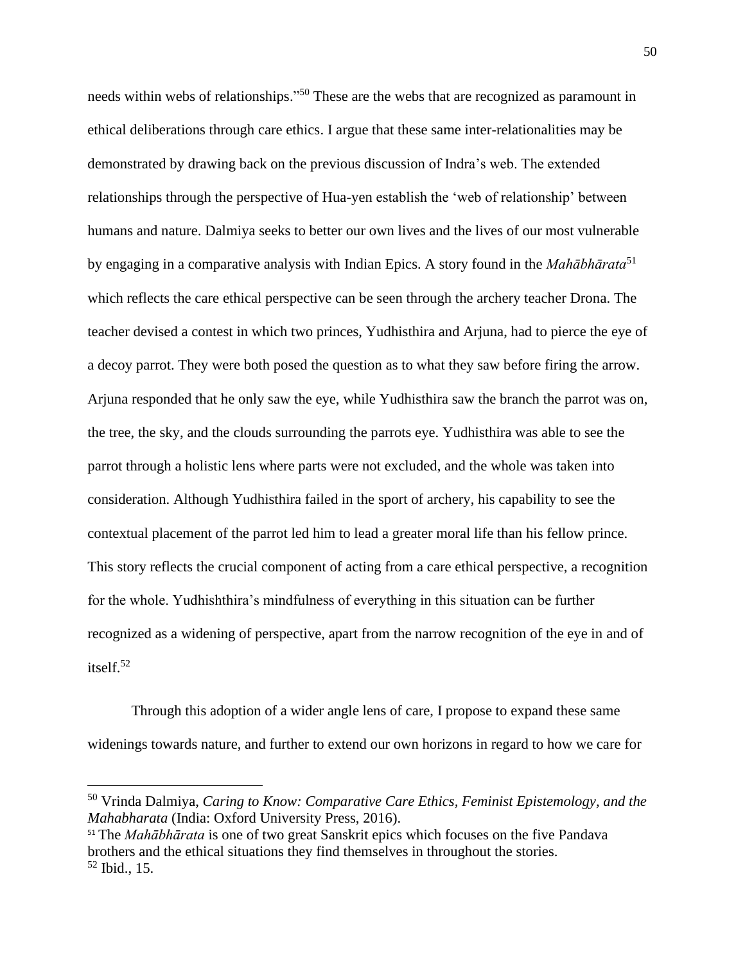needs within webs of relationships."<sup>50</sup> These are the webs that are recognized as paramount in ethical deliberations through care ethics. I argue that these same inter-relationalities may be demonstrated by drawing back on the previous discussion of Indra's web. The extended relationships through the perspective of Hua-yen establish the 'web of relationship' between humans and nature. Dalmiya seeks to better our own lives and the lives of our most vulnerable by engaging in a comparative analysis with Indian Epics. A story found in the *Mahābhārata*<sup>51</sup> which reflects the care ethical perspective can be seen through the archery teacher Drona. The teacher devised a contest in which two princes, Yudhisthira and Arjuna, had to pierce the eye of a decoy parrot. They were both posed the question as to what they saw before firing the arrow. Arjuna responded that he only saw the eye, while Yudhisthira saw the branch the parrot was on, the tree, the sky, and the clouds surrounding the parrots eye. Yudhisthira was able to see the parrot through a holistic lens where parts were not excluded, and the whole was taken into consideration. Although Yudhisthira failed in the sport of archery, his capability to see the contextual placement of the parrot led him to lead a greater moral life than his fellow prince. This story reflects the crucial component of acting from a care ethical perspective, a recognition for the whole. Yudhishthira's mindfulness of everything in this situation can be further recognized as a widening of perspective, apart from the narrow recognition of the eye in and of itself. $52$ 

Through this adoption of a wider angle lens of care, I propose to expand these same widenings towards nature, and further to extend our own horizons in regard to how we care for

<sup>50</sup> Vrinda Dalmiya, *Caring to Know: Comparative Care Ethics, Feminist Epistemology, and the Mahabharata* (India: Oxford University Press, 2016).

<sup>51</sup> The *Mahābhārata* is one of two great Sanskrit epics which focuses on the five Pandava brothers and the ethical situations they find themselves in throughout the stories.  $52$  Ibid., 15.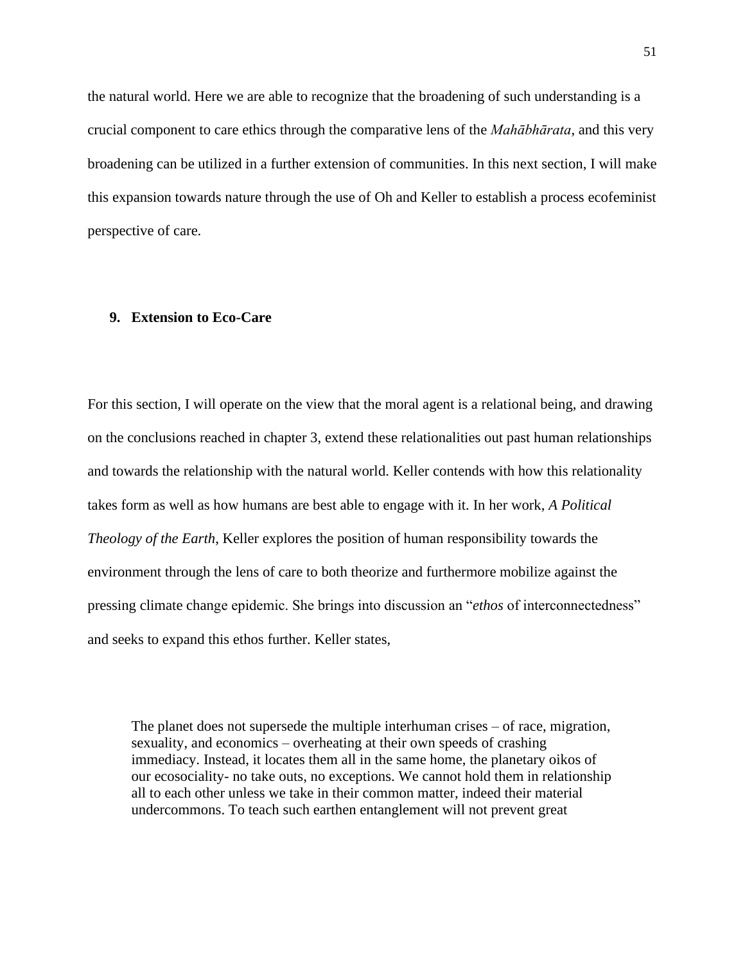the natural world. Here we are able to recognize that the broadening of such understanding is a crucial component to care ethics through the comparative lens of the *Mahābhārata*, and this very broadening can be utilized in a further extension of communities. In this next section, I will make this expansion towards nature through the use of Oh and Keller to establish a process ecofeminist perspective of care.

### **9. Extension to Eco-Care**

For this section, I will operate on the view that the moral agent is a relational being, and drawing on the conclusions reached in chapter 3, extend these relationalities out past human relationships and towards the relationship with the natural world. Keller contends with how this relationality takes form as well as how humans are best able to engage with it. In her work, *A Political Theology of the Earth*, Keller explores the position of human responsibility towards the environment through the lens of care to both theorize and furthermore mobilize against the pressing climate change epidemic. She brings into discussion an "*ethos* of interconnectedness" and seeks to expand this ethos further. Keller states,

The planet does not supersede the multiple interhuman crises – of race, migration, sexuality, and economics – overheating at their own speeds of crashing immediacy. Instead, it locates them all in the same home, the planetary oikos of our ecosociality- no take outs, no exceptions. We cannot hold them in relationship all to each other unless we take in their common matter, indeed their material undercommons. To teach such earthen entanglement will not prevent great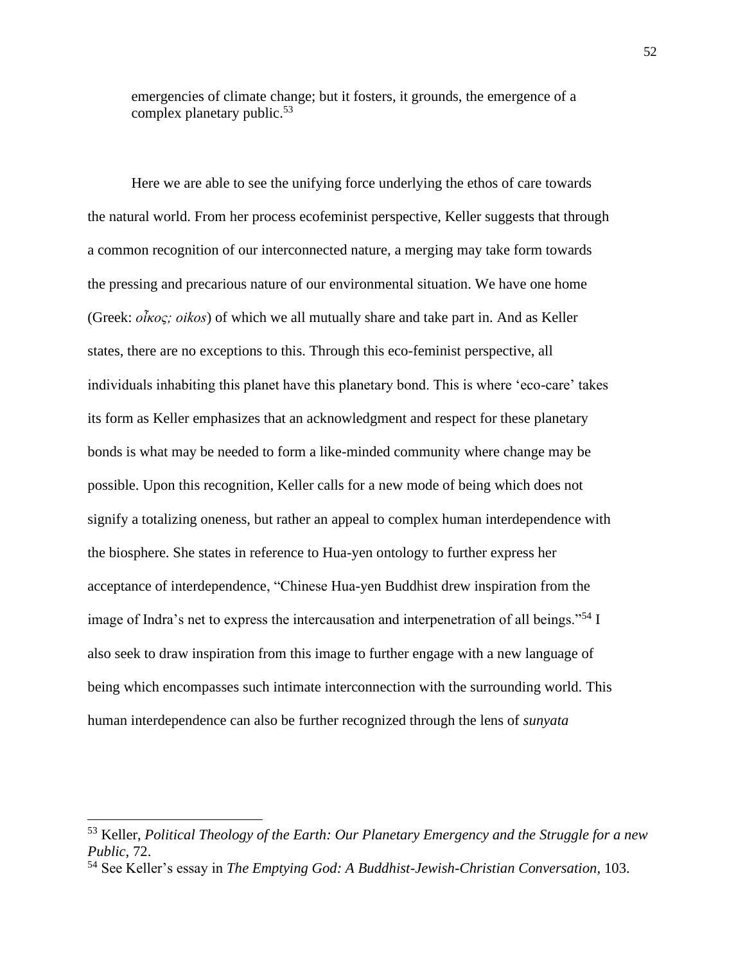emergencies of climate change; but it fosters, it grounds, the emergence of a complex planetary public.<sup>53</sup>

Here we are able to see the unifying force underlying the ethos of care towards the natural world. From her process ecofeminist perspective, Keller suggests that through a common recognition of our interconnected nature, a merging may take form towards the pressing and precarious nature of our environmental situation. We have one home (Greek: *οἶκος; oikos*) of which we all mutually share and take part in. And as Keller states, there are no exceptions to this. Through this eco-feminist perspective, all individuals inhabiting this planet have this planetary bond. This is where 'eco-care' takes its form as Keller emphasizes that an acknowledgment and respect for these planetary bonds is what may be needed to form a like-minded community where change may be possible. Upon this recognition, Keller calls for a new mode of being which does not signify a totalizing oneness, but rather an appeal to complex human interdependence with the biosphere. She states in reference to Hua-yen ontology to further express her acceptance of interdependence, "Chinese Hua-yen Buddhist drew inspiration from the image of Indra's net to express the intercausation and interpenetration of all beings."<sup>54</sup> I also seek to draw inspiration from this image to further engage with a new language of being which encompasses such intimate interconnection with the surrounding world. This human interdependence can also be further recognized through the lens of *sunyata*

<sup>53</sup> Keller, *Political Theology of the Earth: Our Planetary Emergency and the Struggle for a new Public*, 72.

<sup>54</sup> See Keller's essay in *The Emptying God: A Buddhist-Jewish-Christian Conversation,* 103.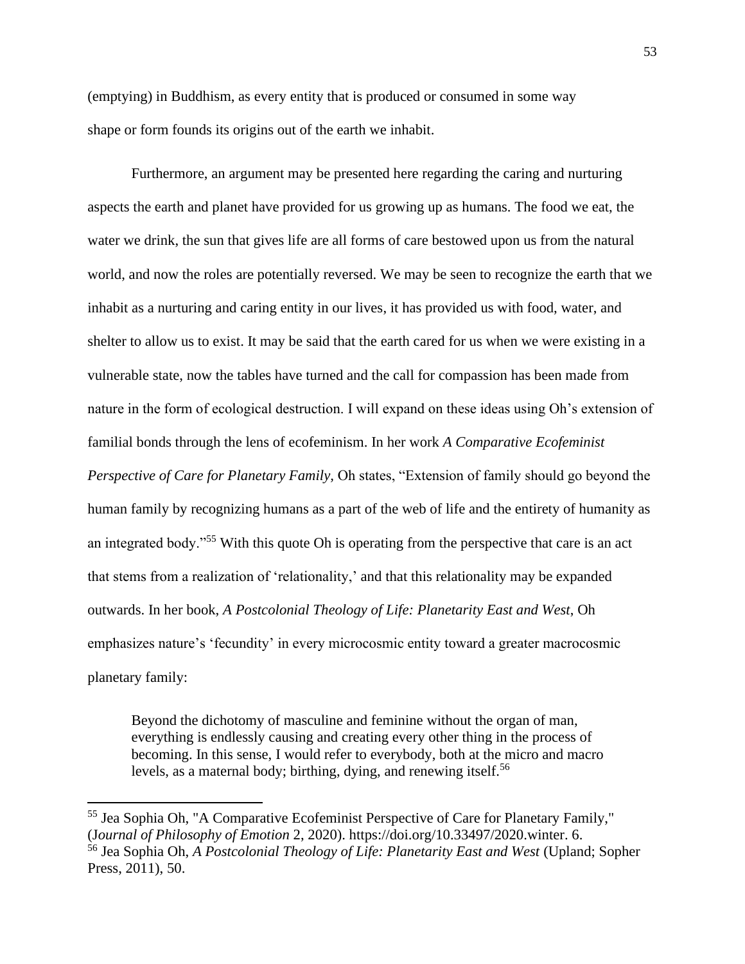(emptying) in Buddhism, as every entity that is produced or consumed in some way shape or form founds its origins out of the earth we inhabit.

Furthermore, an argument may be presented here regarding the caring and nurturing aspects the earth and planet have provided for us growing up as humans. The food we eat, the water we drink, the sun that gives life are all forms of care bestowed upon us from the natural world, and now the roles are potentially reversed. We may be seen to recognize the earth that we inhabit as a nurturing and caring entity in our lives, it has provided us with food, water, and shelter to allow us to exist. It may be said that the earth cared for us when we were existing in a vulnerable state, now the tables have turned and the call for compassion has been made from nature in the form of ecological destruction. I will expand on these ideas using Oh's extension of familial bonds through the lens of ecofeminism. In her work *A Comparative Ecofeminist Perspective of Care for Planetary Family,* Oh states, "Extension of family should go beyond the human family by recognizing humans as a part of the web of life and the entirety of humanity as an integrated body."<sup>55</sup> With this quote Oh is operating from the perspective that care is an act that stems from a realization of 'relationality,' and that this relationality may be expanded outwards. In her book, *A Postcolonial Theology of Life: Planetarity East and West*, Oh emphasizes nature's 'fecundity' in every microcosmic entity toward a greater macrocosmic planetary family:

Beyond the dichotomy of masculine and feminine without the organ of man, everything is endlessly causing and creating every other thing in the process of becoming. In this sense, I would refer to everybody, both at the micro and macro levels, as a maternal body; birthing, dying, and renewing itself.<sup>56</sup>

<sup>55</sup> Jea Sophia Oh, "A Comparative Ecofeminist Perspective of Care for Planetary Family," (J*ournal of Philosophy of Emotion* 2, 2020). https://doi.org/10.33497/2020.winter. 6. <sup>56</sup> Jea Sophia Oh, *A Postcolonial Theology of Life: Planetarity East and West* (Upland; Sopher Press, 2011), 50.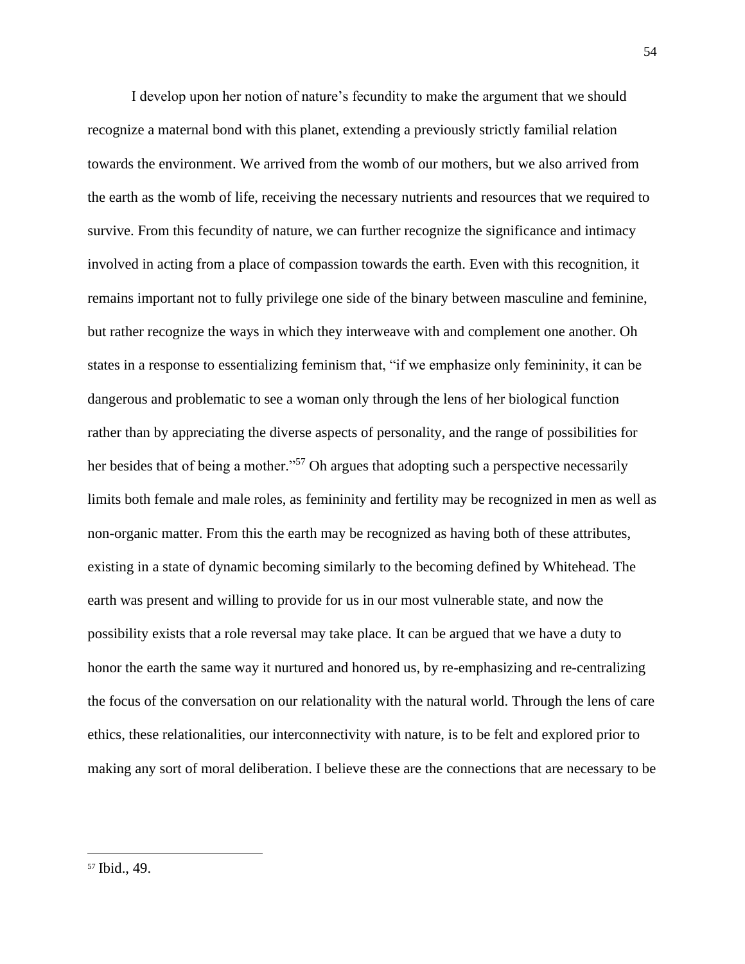I develop upon her notion of nature's fecundity to make the argument that we should recognize a maternal bond with this planet, extending a previously strictly familial relation towards the environment. We arrived from the womb of our mothers, but we also arrived from the earth as the womb of life, receiving the necessary nutrients and resources that we required to survive. From this fecundity of nature, we can further recognize the significance and intimacy involved in acting from a place of compassion towards the earth. Even with this recognition, it remains important not to fully privilege one side of the binary between masculine and feminine, but rather recognize the ways in which they interweave with and complement one another. Oh states in a response to essentializing feminism that, "if we emphasize only femininity, it can be dangerous and problematic to see a woman only through the lens of her biological function rather than by appreciating the diverse aspects of personality, and the range of possibilities for her besides that of being a mother."<sup>57</sup> Oh argues that adopting such a perspective necessarily limits both female and male roles, as femininity and fertility may be recognized in men as well as non-organic matter. From this the earth may be recognized as having both of these attributes, existing in a state of dynamic becoming similarly to the becoming defined by Whitehead. The earth was present and willing to provide for us in our most vulnerable state, and now the possibility exists that a role reversal may take place. It can be argued that we have a duty to honor the earth the same way it nurtured and honored us, by re-emphasizing and re-centralizing the focus of the conversation on our relationality with the natural world. Through the lens of care ethics, these relationalities, our interconnectivity with nature, is to be felt and explored prior to making any sort of moral deliberation. I believe these are the connections that are necessary to be

<sup>57</sup> Ibid., 49.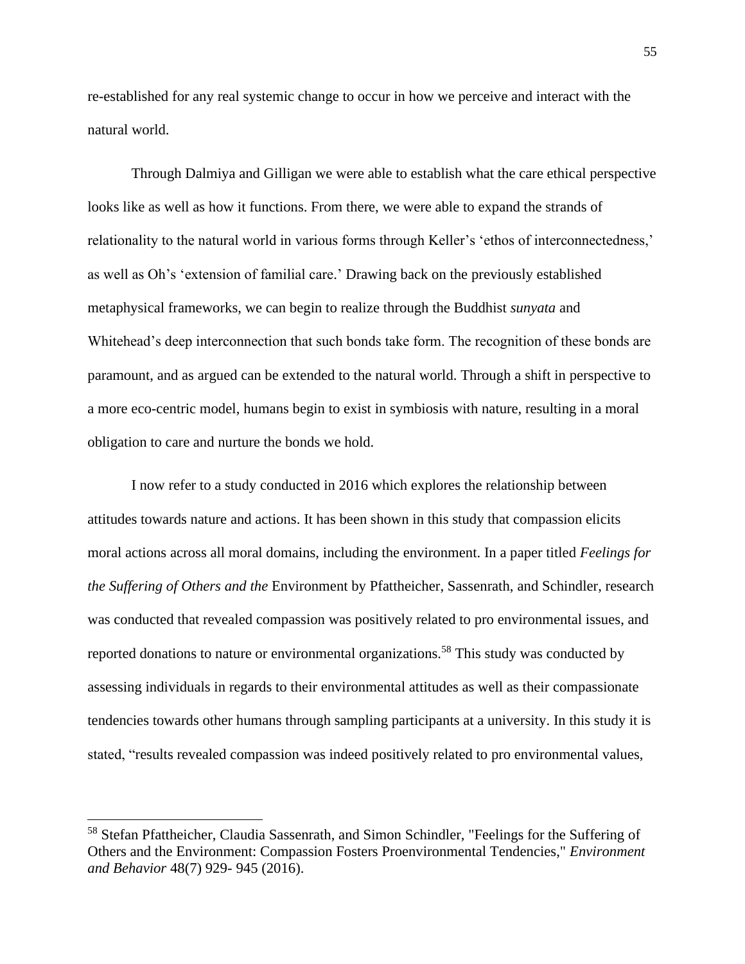re-established for any real systemic change to occur in how we perceive and interact with the natural world.

Through Dalmiya and Gilligan we were able to establish what the care ethical perspective looks like as well as how it functions. From there, we were able to expand the strands of relationality to the natural world in various forms through Keller's 'ethos of interconnectedness,' as well as Oh's 'extension of familial care.' Drawing back on the previously established metaphysical frameworks, we can begin to realize through the Buddhist *sunyata* and Whitehead's deep interconnection that such bonds take form. The recognition of these bonds are paramount, and as argued can be extended to the natural world. Through a shift in perspective to a more eco-centric model, humans begin to exist in symbiosis with nature, resulting in a moral obligation to care and nurture the bonds we hold.

I now refer to a study conducted in 2016 which explores the relationship between attitudes towards nature and actions. It has been shown in this study that compassion elicits moral actions across all moral domains, including the environment. In a paper titled *Feelings for the Suffering of Others and the* Environment by Pfattheicher, Sassenrath, and Schindler, research was conducted that revealed compassion was positively related to pro environmental issues, and reported donations to nature or environmental organizations.<sup>58</sup> This study was conducted by assessing individuals in regards to their environmental attitudes as well as their compassionate tendencies towards other humans through sampling participants at a university. In this study it is stated, "results revealed compassion was indeed positively related to pro environmental values,

<sup>58</sup> Stefan Pfattheicher, Claudia Sassenrath, and Simon Schindler, "Feelings for the Suffering of Others and the Environment: Compassion Fosters Proenvironmental Tendencies," *Environment and Behavior* 48(7) 929- 945 (2016).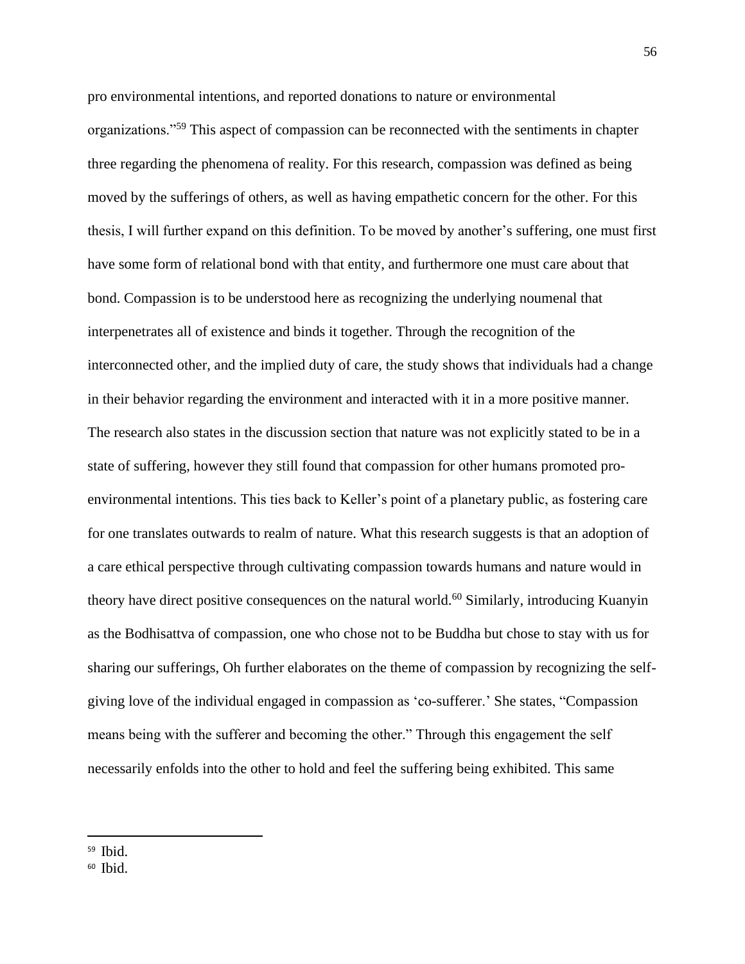pro environmental intentions, and reported donations to nature or environmental organizations."<sup>59</sup> This aspect of compassion can be reconnected with the sentiments in chapter three regarding the phenomena of reality. For this research, compassion was defined as being moved by the sufferings of others, as well as having empathetic concern for the other. For this thesis, I will further expand on this definition. To be moved by another's suffering, one must first have some form of relational bond with that entity, and furthermore one must care about that bond. Compassion is to be understood here as recognizing the underlying noumenal that interpenetrates all of existence and binds it together. Through the recognition of the interconnected other, and the implied duty of care, the study shows that individuals had a change in their behavior regarding the environment and interacted with it in a more positive manner. The research also states in the discussion section that nature was not explicitly stated to be in a state of suffering, however they still found that compassion for other humans promoted proenvironmental intentions. This ties back to Keller's point of a planetary public, as fostering care for one translates outwards to realm of nature. What this research suggests is that an adoption of a care ethical perspective through cultivating compassion towards humans and nature would in theory have direct positive consequences on the natural world.<sup>60</sup> Similarly, introducing Kuanyin as the Bodhisattva of compassion, one who chose not to be Buddha but chose to stay with us for sharing our sufferings, Oh further elaborates on the theme of compassion by recognizing the selfgiving love of the individual engaged in compassion as 'co-sufferer.' She states, "Compassion means being with the sufferer and becoming the other." Through this engagement the self necessarily enfolds into the other to hold and feel the suffering being exhibited. This same

<sup>59</sup> Ibid.

<sup>60</sup> Ibid.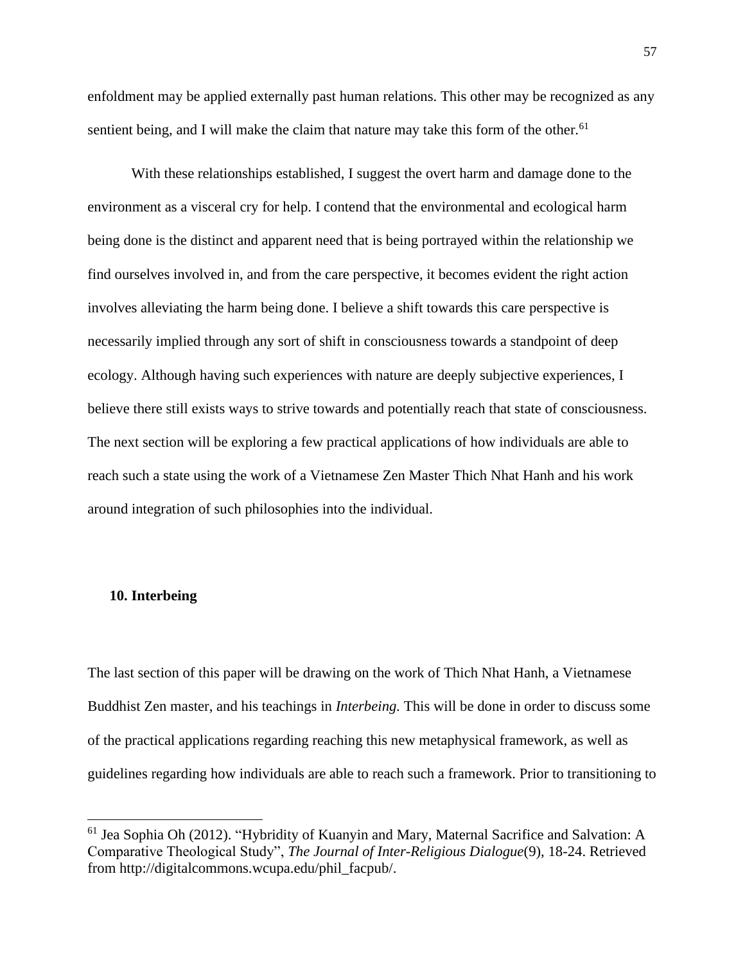enfoldment may be applied externally past human relations. This other may be recognized as any sentient being, and I will make the claim that nature may take this form of the other.<sup>61</sup>

With these relationships established, I suggest the overt harm and damage done to the environment as a visceral cry for help. I contend that the environmental and ecological harm being done is the distinct and apparent need that is being portrayed within the relationship we find ourselves involved in, and from the care perspective, it becomes evident the right action involves alleviating the harm being done. I believe a shift towards this care perspective is necessarily implied through any sort of shift in consciousness towards a standpoint of deep ecology. Although having such experiences with nature are deeply subjective experiences, I believe there still exists ways to strive towards and potentially reach that state of consciousness. The next section will be exploring a few practical applications of how individuals are able to reach such a state using the work of a Vietnamese Zen Master Thich Nhat Hanh and his work around integration of such philosophies into the individual.

### **10. Interbeing**

The last section of this paper will be drawing on the work of Thich Nhat Hanh, a Vietnamese Buddhist Zen master, and his teachings in *Interbeing.* This will be done in order to discuss some of the practical applications regarding reaching this new metaphysical framework, as well as guidelines regarding how individuals are able to reach such a framework. Prior to transitioning to

<sup>&</sup>lt;sup>61</sup> Jea Sophia Oh (2012). "Hybridity of Kuanyin and Mary, Maternal Sacrifice and Salvation: A Comparative Theological Study", *The Journal of Inter-Religious Dialogue*(9), 18-24. Retrieved from http://digitalcommons.wcupa.edu/phil\_facpub/.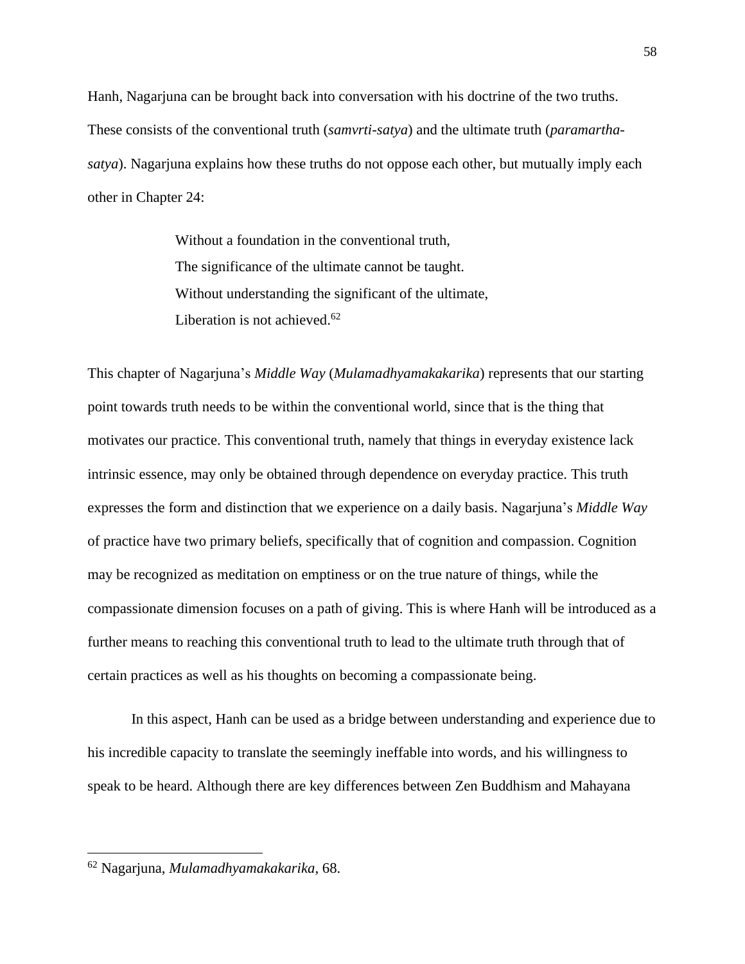Hanh, Nagarjuna can be brought back into conversation with his doctrine of the two truths. These consists of the conventional truth (*samvrti-satya*) and the ultimate truth (*paramarthasatya*). Nagarjuna explains how these truths do not oppose each other, but mutually imply each other in Chapter 24:

> Without a foundation in the conventional truth, The significance of the ultimate cannot be taught. Without understanding the significant of the ultimate, Liberation is not achieved. $62$

This chapter of Nagarjuna's *Middle Way* (*Mulamadhyamakakarika*) represents that our starting point towards truth needs to be within the conventional world, since that is the thing that motivates our practice. This conventional truth, namely that things in everyday existence lack intrinsic essence, may only be obtained through dependence on everyday practice. This truth expresses the form and distinction that we experience on a daily basis. Nagarjuna's *Middle Way* of practice have two primary beliefs, specifically that of cognition and compassion. Cognition may be recognized as meditation on emptiness or on the true nature of things, while the compassionate dimension focuses on a path of giving. This is where Hanh will be introduced as a further means to reaching this conventional truth to lead to the ultimate truth through that of certain practices as well as his thoughts on becoming a compassionate being.

In this aspect, Hanh can be used as a bridge between understanding and experience due to his incredible capacity to translate the seemingly ineffable into words, and his willingness to speak to be heard. Although there are key differences between Zen Buddhism and Mahayana

<sup>62</sup> Nagarjuna, *Mulamadhyamakakarika*, 68.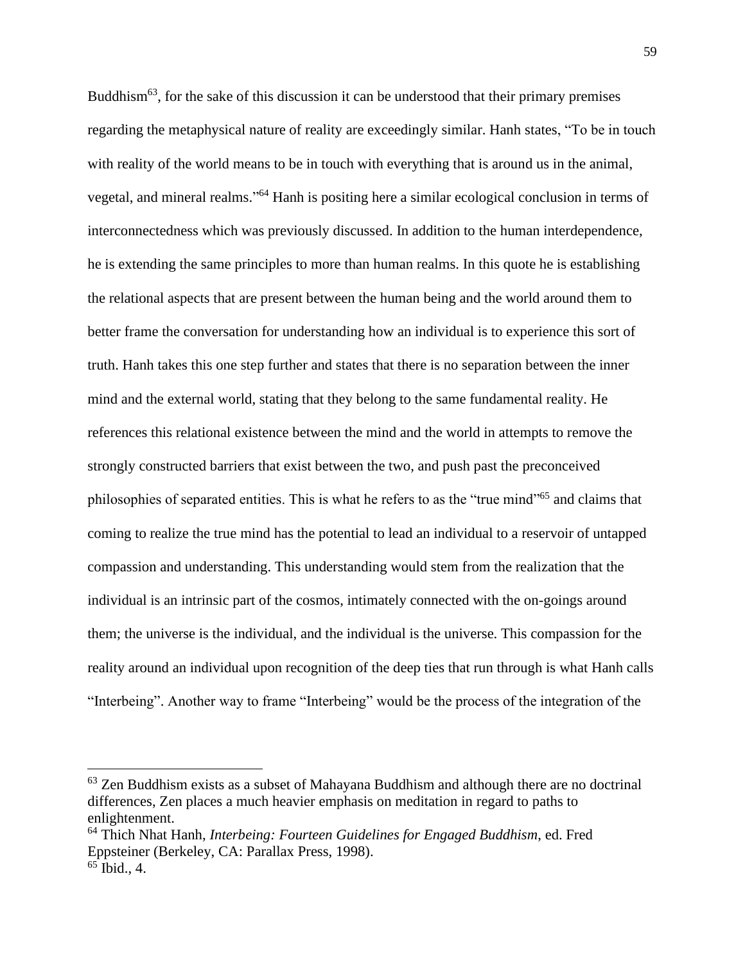Buddhism<sup>63</sup>, for the sake of this discussion it can be understood that their primary premises regarding the metaphysical nature of reality are exceedingly similar. Hanh states, "To be in touch with reality of the world means to be in touch with everything that is around us in the animal, vegetal, and mineral realms."<sup>64</sup> Hanh is positing here a similar ecological conclusion in terms of interconnectedness which was previously discussed. In addition to the human interdependence, he is extending the same principles to more than human realms. In this quote he is establishing the relational aspects that are present between the human being and the world around them to better frame the conversation for understanding how an individual is to experience this sort of truth. Hanh takes this one step further and states that there is no separation between the inner mind and the external world, stating that they belong to the same fundamental reality. He references this relational existence between the mind and the world in attempts to remove the strongly constructed barriers that exist between the two, and push past the preconceived philosophies of separated entities. This is what he refers to as the "true mind"<sup>65</sup> and claims that coming to realize the true mind has the potential to lead an individual to a reservoir of untapped compassion and understanding. This understanding would stem from the realization that the individual is an intrinsic part of the cosmos, intimately connected with the on-goings around them; the universe is the individual, and the individual is the universe. This compassion for the reality around an individual upon recognition of the deep ties that run through is what Hanh calls "Interbeing". Another way to frame "Interbeing" would be the process of the integration of the

 $63$  Zen Buddhism exists as a subset of Mahayana Buddhism and although there are no doctrinal differences, Zen places a much heavier emphasis on meditation in regard to paths to enlightenment.

<sup>64</sup> Thich Nhat Hanh, *Interbeing: Fourteen Guidelines for Engaged Buddhism*, ed. Fred Eppsteiner (Berkeley, CA: Parallax Press, 1998).

 $65$  Ibid., 4.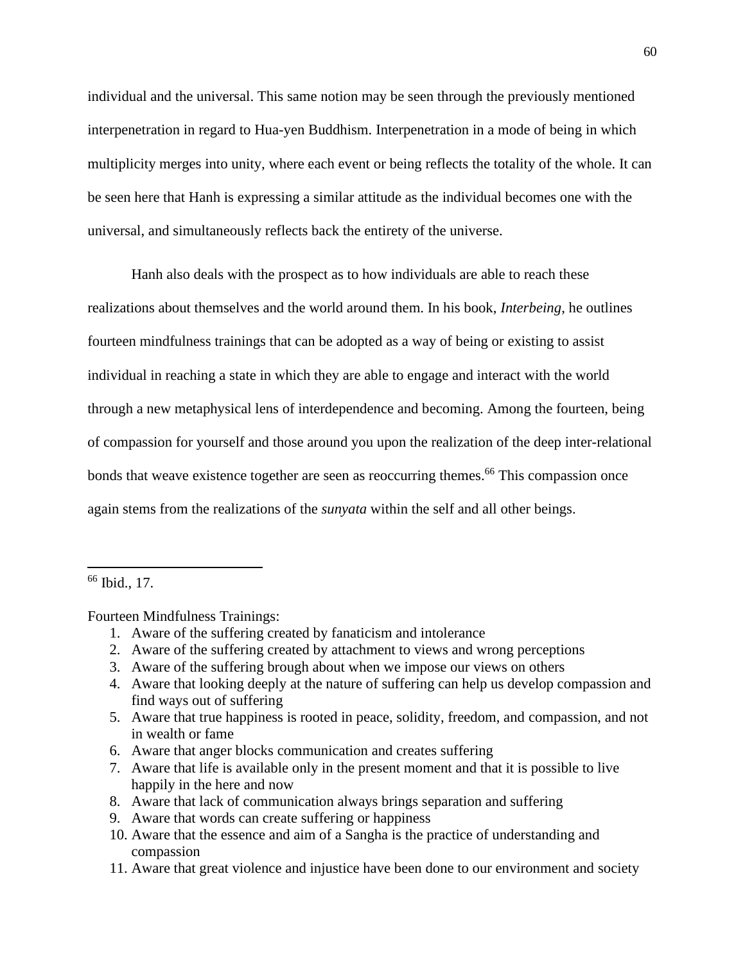individual and the universal. This same notion may be seen through the previously mentioned interpenetration in regard to Hua-yen Buddhism. Interpenetration in a mode of being in which multiplicity merges into unity, where each event or being reflects the totality of the whole. It can be seen here that Hanh is expressing a similar attitude as the individual becomes one with the universal, and simultaneously reflects back the entirety of the universe.

Hanh also deals with the prospect as to how individuals are able to reach these realizations about themselves and the world around them. In his book, *Interbeing*, he outlines fourteen mindfulness trainings that can be adopted as a way of being or existing to assist individual in reaching a state in which they are able to engage and interact with the world through a new metaphysical lens of interdependence and becoming. Among the fourteen, being of compassion for yourself and those around you upon the realization of the deep inter-relational bonds that weave existence together are seen as reoccurring themes.<sup>66</sup> This compassion once again stems from the realizations of the *sunyata* within the self and all other beings.

Fourteen Mindfulness Trainings:

- 1. Aware of the suffering created by fanaticism and intolerance
- 2. Aware of the suffering created by attachment to views and wrong perceptions
- 3. Aware of the suffering brough about when we impose our views on others
- 4. Aware that looking deeply at the nature of suffering can help us develop compassion and find ways out of suffering
- 5. Aware that true happiness is rooted in peace, solidity, freedom, and compassion, and not in wealth or fame
- 6. Aware that anger blocks communication and creates suffering
- 7. Aware that life is available only in the present moment and that it is possible to live happily in the here and now
- 8. Aware that lack of communication always brings separation and suffering
- 9. Aware that words can create suffering or happiness
- 10. Aware that the essence and aim of a Sangha is the practice of understanding and compassion
- 11. Aware that great violence and injustice have been done to our environment and society

<sup>66</sup> Ibid., 17.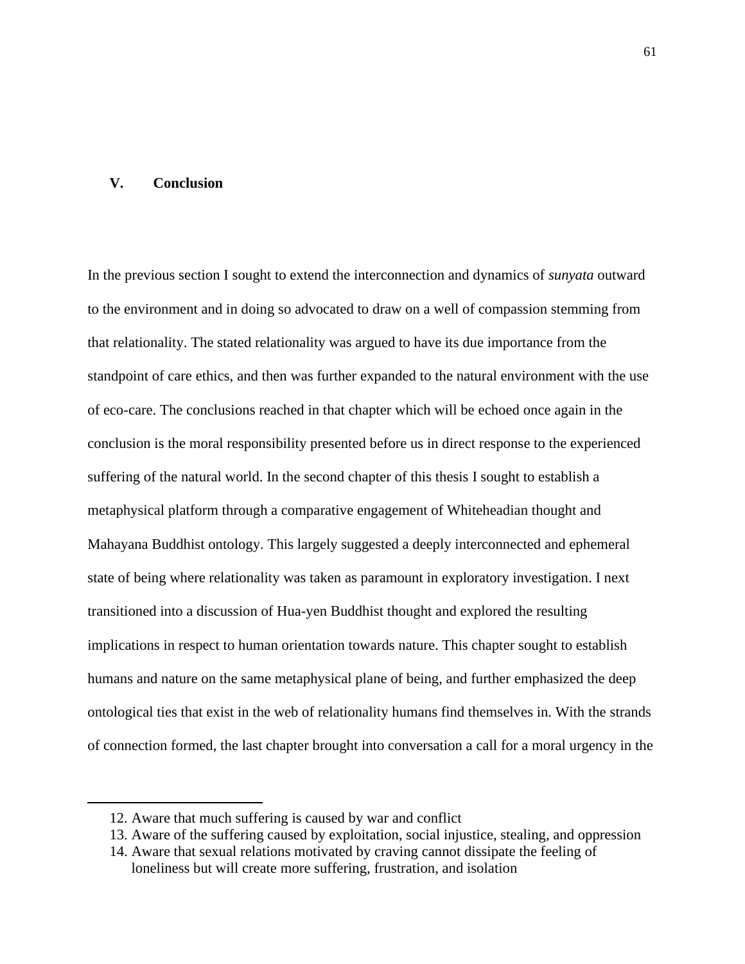### **V. Conclusion**

In the previous section I sought to extend the interconnection and dynamics of *sunyata* outward to the environment and in doing so advocated to draw on a well of compassion stemming from that relationality. The stated relationality was argued to have its due importance from the standpoint of care ethics, and then was further expanded to the natural environment with the use of eco-care. The conclusions reached in that chapter which will be echoed once again in the conclusion is the moral responsibility presented before us in direct response to the experienced suffering of the natural world. In the second chapter of this thesis I sought to establish a metaphysical platform through a comparative engagement of Whiteheadian thought and Mahayana Buddhist ontology. This largely suggested a deeply interconnected and ephemeral state of being where relationality was taken as paramount in exploratory investigation. I next transitioned into a discussion of Hua-yen Buddhist thought and explored the resulting implications in respect to human orientation towards nature. This chapter sought to establish humans and nature on the same metaphysical plane of being, and further emphasized the deep ontological ties that exist in the web of relationality humans find themselves in. With the strands of connection formed, the last chapter brought into conversation a call for a moral urgency in the

<sup>12.</sup> Aware that much suffering is caused by war and conflict

<sup>13.</sup> Aware of the suffering caused by exploitation, social injustice, stealing, and oppression

<sup>14.</sup> Aware that sexual relations motivated by craving cannot dissipate the feeling of loneliness but will create more suffering, frustration, and isolation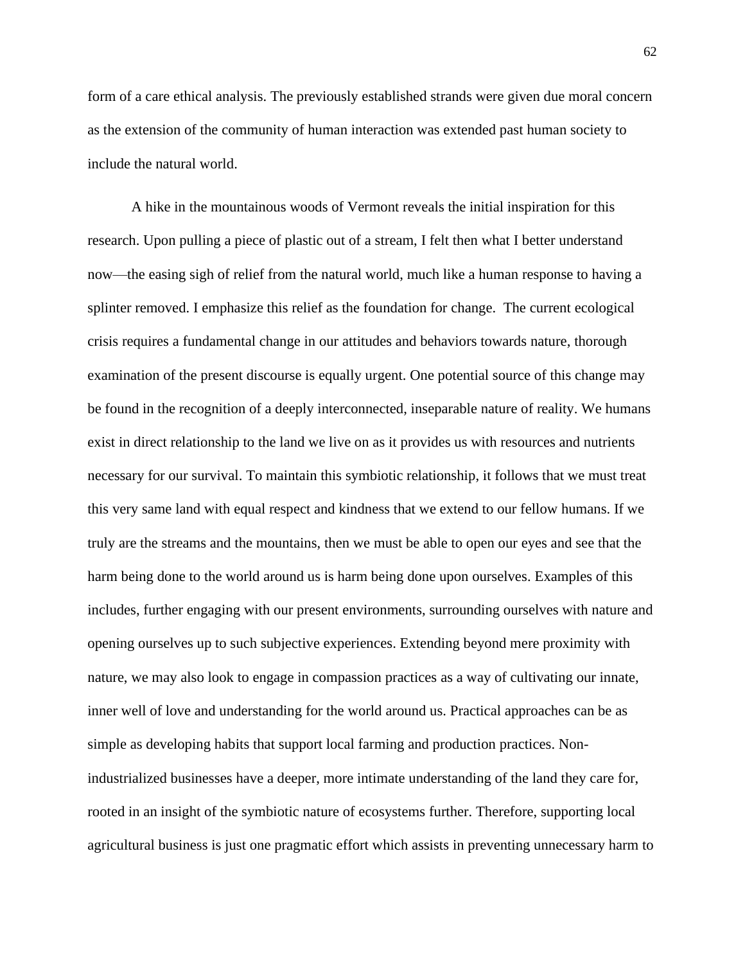form of a care ethical analysis. The previously established strands were given due moral concern as the extension of the community of human interaction was extended past human society to include the natural world.

A hike in the mountainous woods of Vermont reveals the initial inspiration for this research. Upon pulling a piece of plastic out of a stream, I felt then what I better understand now—the easing sigh of relief from the natural world, much like a human response to having a splinter removed. I emphasize this relief as the foundation for change. The current ecological crisis requires a fundamental change in our attitudes and behaviors towards nature, thorough examination of the present discourse is equally urgent. One potential source of this change may be found in the recognition of a deeply interconnected, inseparable nature of reality. We humans exist in direct relationship to the land we live on as it provides us with resources and nutrients necessary for our survival. To maintain this symbiotic relationship, it follows that we must treat this very same land with equal respect and kindness that we extend to our fellow humans. If we truly are the streams and the mountains, then we must be able to open our eyes and see that the harm being done to the world around us is harm being done upon ourselves. Examples of this includes, further engaging with our present environments, surrounding ourselves with nature and opening ourselves up to such subjective experiences. Extending beyond mere proximity with nature, we may also look to engage in compassion practices as a way of cultivating our innate, inner well of love and understanding for the world around us. Practical approaches can be as simple as developing habits that support local farming and production practices. Nonindustrialized businesses have a deeper, more intimate understanding of the land they care for, rooted in an insight of the symbiotic nature of ecosystems further. Therefore, supporting local agricultural business is just one pragmatic effort which assists in preventing unnecessary harm to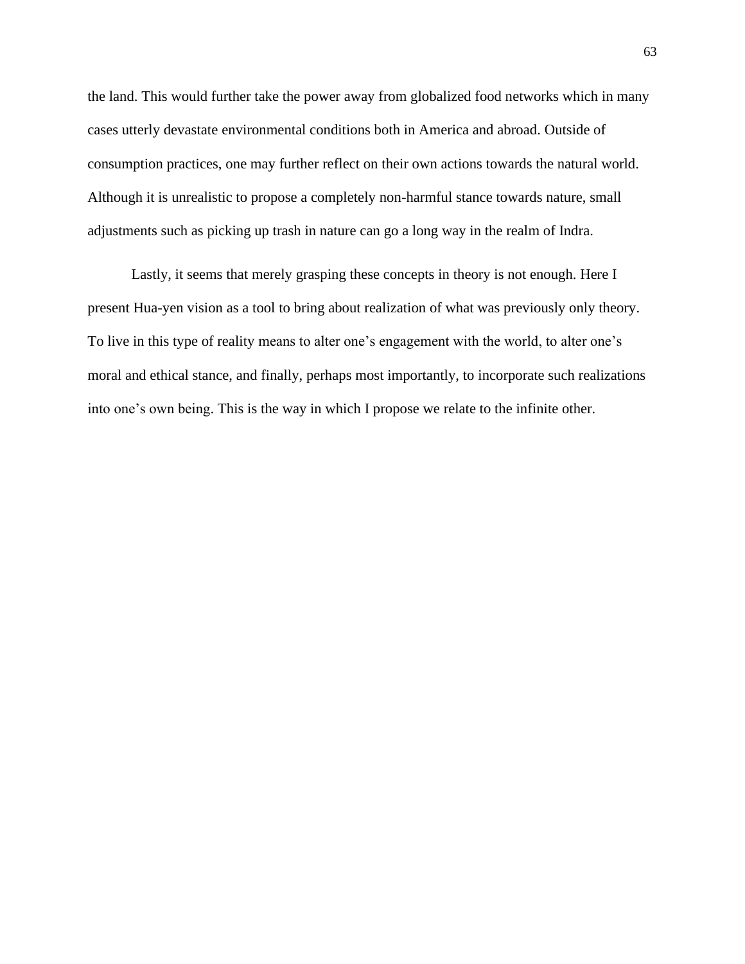the land. This would further take the power away from globalized food networks which in many cases utterly devastate environmental conditions both in America and abroad. Outside of consumption practices, one may further reflect on their own actions towards the natural world. Although it is unrealistic to propose a completely non-harmful stance towards nature, small adjustments such as picking up trash in nature can go a long way in the realm of Indra.

Lastly, it seems that merely grasping these concepts in theory is not enough. Here I present Hua-yen vision as a tool to bring about realization of what was previously only theory. To live in this type of reality means to alter one's engagement with the world, to alter one's moral and ethical stance, and finally, perhaps most importantly, to incorporate such realizations into one's own being. This is the way in which I propose we relate to the infinite other.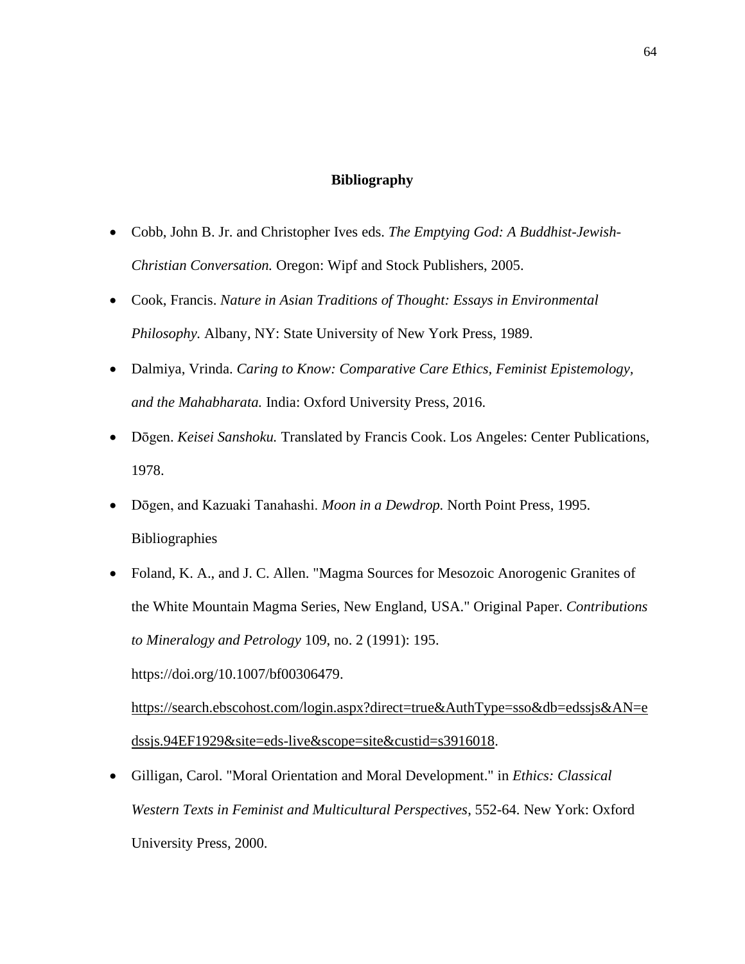### **Bibliography**

- Cobb, John B. Jr. and Christopher Ives eds. *The Emptying God: A Buddhist-Jewish-Christian Conversation.* Oregon: Wipf and Stock Publishers, 2005.
- Cook, Francis. *Nature in Asian Traditions of Thought: Essays in Environmental Philosophy.* Albany, NY: State University of New York Press, 1989.
- Dalmiya, Vrinda. *Caring to Know: Comparative Care Ethics, Feminist Epistemology, and the Mahabharata.* India: Oxford University Press, 2016.
- Dōgen. *Keisei Sanshoku.* Translated by Francis Cook. Los Angeles: Center Publications, 1978.
- Dōgen, and Kazuaki Tanahashi. *Moon in a Dewdrop.* North Point Press, 1995. Bibliographies
- Foland, K. A., and J. C. Allen. "Magma Sources for Mesozoic Anorogenic Granites of the White Mountain Magma Series, New England, USA." Original Paper. *Contributions to Mineralogy and Petrology* 109, no. 2 (1991): 195.

https://doi.org/10.1007/bf00306479.

[https://search.ebscohost.com/login.aspx?direct=true&AuthType=sso&db=edssjs&AN=e](about:blank) [dssjs.94EF1929&site=eds-live&scope=site&custid=s3916018.](about:blank)

• Gilligan, Carol. "Moral Orientation and Moral Development." in *Ethics: Classical Western Texts in Feminist and Multicultural Perspectives*, 552-64. New York: Oxford University Press, 2000.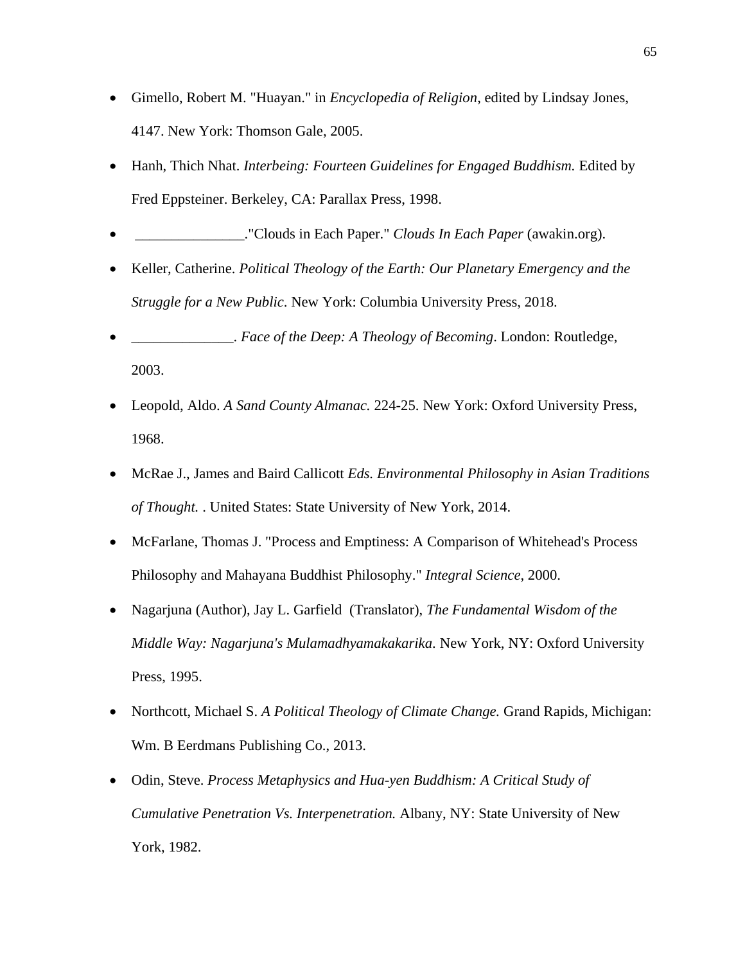- Gimello, Robert M. "Huayan." in *Encyclopedia of Religion*, edited by Lindsay Jones, 4147. New York: Thomson Gale, 2005.
- Hanh, Thich Nhat. *Interbeing: Fourteen Guidelines for Engaged Buddhism.* Edited by Fred Eppsteiner. Berkeley, CA: Parallax Press, 1998.
- \_\_\_\_\_\_\_\_\_\_\_\_\_\_\_."Clouds in Each Paper." *Clouds In Each Paper* (awakin.org).
- Keller, Catherine. *Political Theology of the Earth: Our Planetary Emergency and the Struggle for a New Public*. New York: Columbia University Press, 2018.
- \_\_\_\_\_\_\_\_\_\_\_\_\_\_. *Face of the Deep: A Theology of Becoming*. London: Routledge, 2003.
- Leopold, Aldo. *A Sand County Almanac.* 224-25. New York: Oxford University Press, 1968.
- McRae J., James and Baird Callicott *Eds. Environmental Philosophy in Asian Traditions of Thought.* . United States: State University of New York, 2014.
- McFarlane, Thomas J. "Process and Emptiness: A Comparison of Whitehead's Process Philosophy and Mahayana Buddhist Philosophy." *Integral Science*, 2000.
- Nagarjuna (Author), Jay L. Garfield (Translator), *The Fundamental Wisdom of the Middle Way: Nagarjuna's Mulamadhyamakakarika.* New York, NY: Oxford University Press, 1995.
- Northcott, Michael S. *A Political Theology of Climate Change.* Grand Rapids, Michigan: Wm. B Eerdmans Publishing Co., 2013.
- Odin, Steve. *Process Metaphysics and Hua-yen Buddhism: A Critical Study of Cumulative Penetration Vs. Interpenetration.* Albany, NY: State University of New York, 1982.